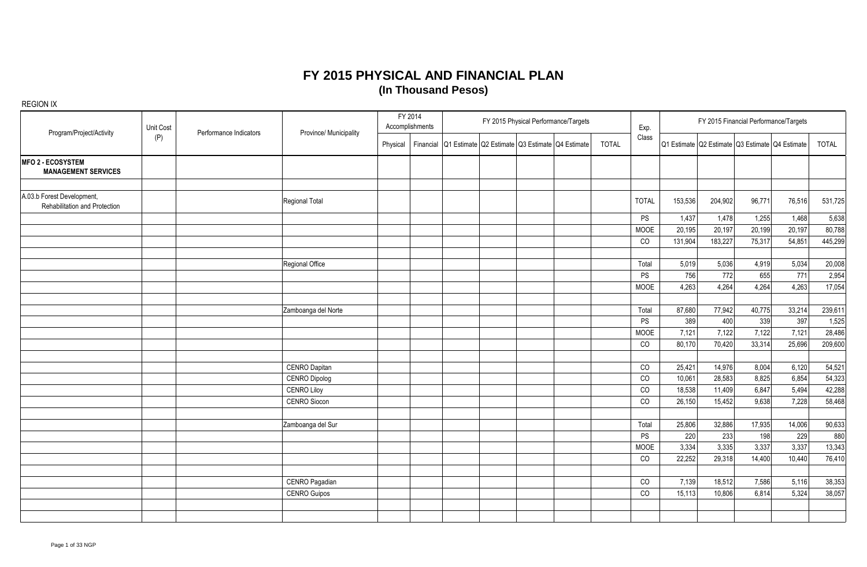| Program/Project/Activity                                    | Unit Cost | Performance Indicators | Province/ Municipality |          | FY 2014<br>Accomplishments |                                                           | FY 2015 Physical Performance/Targets |              | Exp.         |                                                 |         | FY 2015 Financial Performance/Targets |                 |              |
|-------------------------------------------------------------|-----------|------------------------|------------------------|----------|----------------------------|-----------------------------------------------------------|--------------------------------------|--------------|--------------|-------------------------------------------------|---------|---------------------------------------|-----------------|--------------|
|                                                             | (P)       |                        |                        | Physical |                            | Financial Q1 Estimate Q2 Estimate Q3 Estimate Q4 Estimate |                                      | <b>TOTAL</b> | Class        | Q1 Estimate Q2 Estimate Q3 Estimate Q4 Estimate |         |                                       |                 | <b>TOTAL</b> |
| <b>MFO 2 - ECOSYSTEM</b><br><b>MANAGEMENT SERVICES</b>      |           |                        |                        |          |                            |                                                           |                                      |              |              |                                                 |         |                                       |                 |              |
| A.03.b Forest Development,<br>Rehabilitation and Protection |           |                        | Regional Total         |          |                            |                                                           |                                      |              | <b>TOTAL</b> | 153,536                                         | 204,902 | 96,771                                | 76,516          | 531,725      |
|                                                             |           |                        |                        |          |                            |                                                           |                                      |              | PS           | 1,437                                           | 1,478   | 1,255                                 | 1,468           | 5,638        |
|                                                             |           |                        |                        |          |                            |                                                           |                                      |              | <b>MOOE</b>  | 20,195                                          | 20,197  | 20,199                                | 20,197          | 80,788       |
|                                                             |           |                        |                        |          |                            |                                                           |                                      |              | CO           | 131,904                                         | 183,227 | 75,317                                | 54,851          | 445,299      |
|                                                             |           |                        |                        |          |                            |                                                           |                                      |              |              |                                                 |         |                                       |                 |              |
|                                                             |           |                        | Regional Office        |          |                            |                                                           |                                      |              | Total        | 5,019                                           | 5,036   | 4,919                                 | 5,034           | 20,008       |
|                                                             |           |                        |                        |          |                            |                                                           |                                      |              | ${\sf PS}$   | 756                                             | 772     | 655                                   | $\frac{1}{771}$ | 2,954        |
|                                                             |           |                        |                        |          |                            |                                                           |                                      |              | MOOE         | 4,263                                           | 4,264   | 4,264                                 | 4,263           | 17,054       |
|                                                             |           |                        |                        |          |                            |                                                           |                                      |              |              |                                                 |         |                                       |                 |              |
|                                                             |           |                        | Zamboanga del Norte    |          |                            |                                                           |                                      |              | Total        | 87,680                                          | 77,942  | 40,775                                | 33,214          | 239,611      |
|                                                             |           |                        |                        |          |                            |                                                           |                                      |              | <b>PS</b>    | 389                                             | 400     | 339                                   | 397             | 1,525        |
|                                                             |           |                        |                        |          |                            |                                                           |                                      |              | MOOE         | 7,121                                           | 7,122   | 7,122                                 | 7,121           | 28,486       |
|                                                             |           |                        |                        |          |                            |                                                           |                                      |              | CO           | 80,170                                          | 70,420  | 33,314                                | 25,696          | 209,600      |
|                                                             |           |                        |                        |          |                            |                                                           |                                      |              |              |                                                 |         |                                       |                 |              |
|                                                             |           |                        | <b>CENRO Dapitan</b>   |          |                            |                                                           |                                      |              | CO           | 25,421                                          | 14,976  | 8,004                                 | 6,120           | 54,521       |
|                                                             |           |                        | <b>CENRO Dipolog</b>   |          |                            |                                                           |                                      |              | CO           | 10,061                                          | 28,583  | 8,825                                 | 6,854           | 54,323       |
|                                                             |           |                        | <b>CENRO Liloy</b>     |          |                            |                                                           |                                      |              | CO           | 18,538                                          | 11,409  | 6,847                                 | 5,494           | 42,288       |
|                                                             |           |                        | <b>CENRO Siocon</b>    |          |                            |                                                           |                                      |              | CO           | 26,150                                          | 15,452  | 9,638                                 | 7,228           | 58,468       |
|                                                             |           |                        |                        |          |                            |                                                           |                                      |              |              |                                                 |         |                                       |                 |              |
|                                                             |           |                        | Zamboanga del Sur      |          |                            |                                                           |                                      |              | Total        | 25,806                                          | 32,886  | 17,935                                | 14,006          | 90,633       |
|                                                             |           |                        |                        |          |                            |                                                           |                                      |              | PS           | 220                                             | 233     | 198                                   | 229             | 880          |
|                                                             |           |                        |                        |          |                            |                                                           |                                      |              | MOOE         | 3,334                                           | 3,335   | 3,337                                 | 3,337           | 13,343       |
|                                                             |           |                        |                        |          |                            |                                                           |                                      |              | CO           | 22,252                                          | 29,318  | 14,400                                | 10,440          | 76,410       |
|                                                             |           |                        |                        |          |                            |                                                           |                                      |              |              |                                                 |         |                                       |                 |              |
|                                                             |           |                        | CENRO Pagadian         |          |                            |                                                           |                                      |              | CO           | 7,139                                           | 18,512  | 7,586                                 | 5,116           | 38,353       |
|                                                             |           |                        | <b>CENRO Guipos</b>    |          |                            |                                                           |                                      |              | CO           | 15,113                                          | 10,806  | 6,814                                 | 5,324           | 38,057       |
|                                                             |           |                        |                        |          |                            |                                                           |                                      |              |              |                                                 |         |                                       |                 |              |
|                                                             |           |                        |                        |          |                            |                                                           |                                      |              |              |                                                 |         |                                       |                 |              |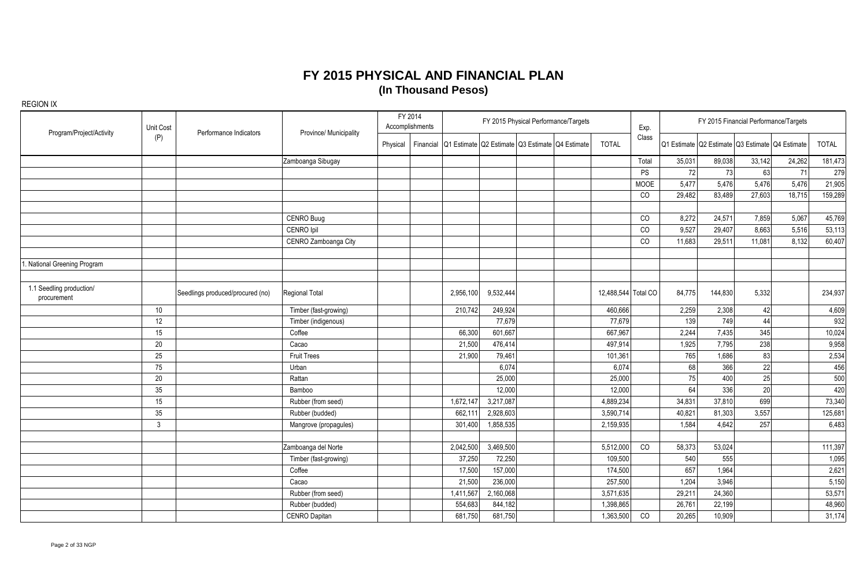| Program/Project/Activity                | Unit Cost | Performance Indicators           | Province/ Municipality |          | FY 2014<br>Accomplishments |                                                           |           | FY 2015 Physical Performance/Targets |                     | Exp.        |        | FY 2015 Financial Performance/Targets           |        |        |              |
|-----------------------------------------|-----------|----------------------------------|------------------------|----------|----------------------------|-----------------------------------------------------------|-----------|--------------------------------------|---------------------|-------------|--------|-------------------------------------------------|--------|--------|--------------|
|                                         | (P)       |                                  |                        | Physical |                            | Financial Q1 Estimate Q2 Estimate Q3 Estimate Q4 Estimate |           |                                      | <b>TOTAL</b>        | Class       |        | Q1 Estimate Q2 Estimate Q3 Estimate Q4 Estimate |        |        | <b>TOTAL</b> |
|                                         |           |                                  | Zamboanga Sibugay      |          |                            |                                                           |           |                                      |                     | Total       | 35,031 | 89,038                                          | 33,142 | 24,262 | 181,473      |
|                                         |           |                                  |                        |          |                            |                                                           |           |                                      |                     | <b>PS</b>   | 72     | 73                                              | 63     | 71     | 279          |
|                                         |           |                                  |                        |          |                            |                                                           |           |                                      |                     | <b>MOOE</b> | 5,477  | 5,476                                           | 5,476  | 5,476  | 21,905       |
|                                         |           |                                  |                        |          |                            |                                                           |           |                                      |                     | CO          | 29,482 | 83,489                                          | 27,603 | 18,715 | 159,289      |
|                                         |           |                                  |                        |          |                            |                                                           |           |                                      |                     |             |        |                                                 |        |        |              |
|                                         |           |                                  | CENRO Buug             |          |                            |                                                           |           |                                      |                     | CO          | 8,272  | 24,571                                          | 7,859  | 5,067  | 45,769       |
|                                         |           |                                  | CENRO Ipil             |          |                            |                                                           |           |                                      |                     | CO          | 9,527  | 29,407                                          | 8,663  | 5,516  | 53,113       |
|                                         |           |                                  | CENRO Zamboanga City   |          |                            |                                                           |           |                                      |                     | CO          | 11,683 | 29,511                                          | 11,081 | 8,132  | 60,407       |
|                                         |           |                                  |                        |          |                            |                                                           |           |                                      |                     |             |        |                                                 |        |        |              |
| National Greening Program               |           |                                  |                        |          |                            |                                                           |           |                                      |                     |             |        |                                                 |        |        |              |
|                                         |           |                                  |                        |          |                            |                                                           |           |                                      |                     |             |        |                                                 |        |        |              |
| 1.1 Seedling production/<br>procurement |           | Seedlings produced/procured (no) | Regional Total         |          |                            | 2,956,100                                                 | 9,532,444 |                                      | 12,488,544 Total CO |             | 84,775 | 144,830                                         | 5,332  |        | 234,937      |
|                                         | 10        |                                  | Timber (fast-growing)  |          |                            | 210,742                                                   | 249,924   |                                      | 460,666             |             | 2,259  | 2,308                                           | 42     |        | 4,609        |
|                                         | 12        |                                  | Timber (indigenous)    |          |                            |                                                           | 77,679    |                                      | 77,679              |             | 139    | 749                                             | 44     |        | 932          |
|                                         | 15        |                                  | Coffee                 |          |                            | 66,300                                                    | 601,667   |                                      | 667,967             |             | 2,244  | 7,435                                           | 345    |        | 10,024       |
|                                         | 20        |                                  | Cacao                  |          |                            | 21,500                                                    | 476,414   |                                      | 497,914             |             | 1,925  | 7,795                                           | 238    |        | 9,958        |
|                                         | 25        |                                  | <b>Fruit Trees</b>     |          |                            | 21,900                                                    | 79,461    |                                      | 101,361             |             | 765    | 1,686                                           | 83     |        | 2,534        |
|                                         | 75        |                                  | Urban                  |          |                            |                                                           | 6.074     |                                      | 6,074               |             | 68     | 366                                             | 22     |        | 456          |
|                                         | 20        |                                  | Rattan                 |          |                            |                                                           | 25,000    |                                      | 25,000              |             | 75     | 400                                             | 25     |        | 500          |
|                                         | 35        |                                  | Bamboo                 |          |                            |                                                           | 12,000    |                                      | 12,000              |             | 64     | 336                                             | 20     |        | 420          |
|                                         | 15        |                                  | Rubber (from seed)     |          |                            | 1,672,147                                                 | 3,217,087 |                                      | 4,889,234           |             | 34,831 | 37,810                                          | 699    |        | 73,340       |
|                                         | 35        |                                  | Rubber (budded)        |          |                            | 662,111                                                   | 2,928,603 |                                      | 3,590,714           |             | 40,821 | 81,303                                          | 3,557  |        | 125,681      |
|                                         | 3         |                                  | Mangrove (propagules)  |          |                            | 301,400                                                   | 1,858,535 |                                      | 2,159,935           |             | 1,584  | 4,642                                           | 257    |        | 6,483        |
|                                         |           |                                  |                        |          |                            |                                                           |           |                                      |                     |             |        |                                                 |        |        |              |
|                                         |           |                                  | Zamboanga del Norte    |          |                            | 2,042,500                                                 | 3,469,500 |                                      | 5,512,000           | CO          | 58,373 | 53,024                                          |        |        | 111,397      |
|                                         |           |                                  | Timber (fast-growing)  |          |                            | 37,250                                                    | 72,250    |                                      | 109,500             |             | 540    | 555                                             |        |        | 1,095        |
|                                         |           |                                  | Coffee                 |          |                            | 17,500                                                    | 157,000   |                                      | 174,500             |             | 657    | 1,964                                           |        |        | 2,621        |
|                                         |           |                                  | Cacao                  |          |                            | 21,500                                                    | 236,000   |                                      | 257,500             |             | 1,204  | 3,946                                           |        |        | 5,150        |
|                                         |           |                                  | Rubber (from seed)     |          |                            | 1,411,567                                                 | 2,160,068 |                                      | 3,571,635           |             | 29,211 | 24,360                                          |        |        | 53,571       |
|                                         |           |                                  | Rubber (budded)        |          |                            | 554,683                                                   | 844,182   |                                      | 1,398,865           |             | 26,761 | 22,199                                          |        |        | 48,960       |
|                                         |           |                                  | <b>CENRO Dapitan</b>   |          |                            | 681,750                                                   | 681,750   |                                      | 1,363,500           | CO          | 20,265 | 10,909                                          |        |        | 31,174       |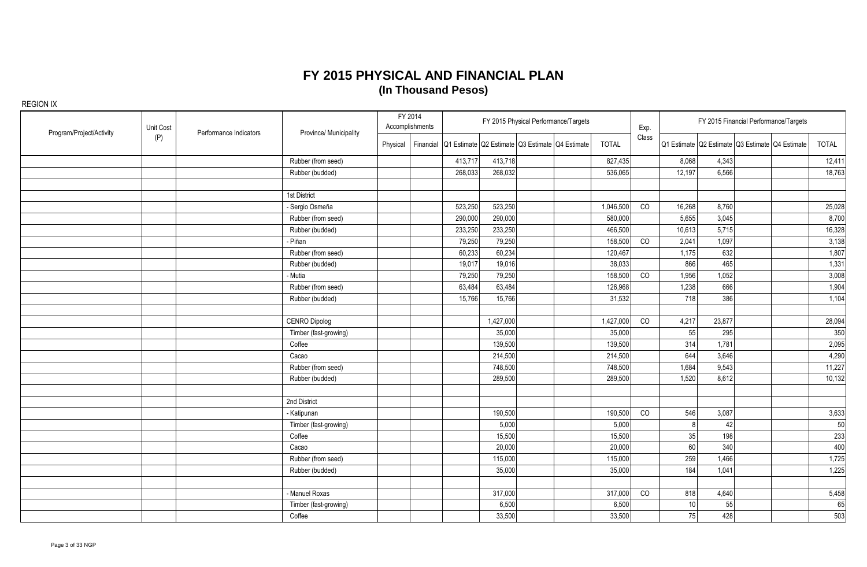| Program/Project/Activity | Unit Cost | Performance Indicators | Province/ Municipality | FY 2014  | Accomplishments |                                                           |           | FY 2015 Physical Performance/Targets |              | Exp.  |                 |        | FY 2015 Financial Performance/Targets           |        |
|--------------------------|-----------|------------------------|------------------------|----------|-----------------|-----------------------------------------------------------|-----------|--------------------------------------|--------------|-------|-----------------|--------|-------------------------------------------------|--------|
|                          | (P)       |                        |                        | Physical |                 | Financial Q1 Estimate Q2 Estimate Q3 Estimate Q4 Estimate |           |                                      | <b>TOTAL</b> | Class |                 |        | Q1 Estimate Q2 Estimate Q3 Estimate Q4 Estimate | TOTAL  |
|                          |           |                        | Rubber (from seed)     |          |                 | 413,717                                                   | 413,718   |                                      | 827,435      |       | 8,068           | 4,343  |                                                 | 12,411 |
|                          |           |                        | Rubber (budded)        |          |                 | 268,033                                                   | 268,032   |                                      | 536,065      |       | 12,197          | 6,566  |                                                 | 18,763 |
|                          |           |                        |                        |          |                 |                                                           |           |                                      |              |       |                 |        |                                                 |        |
|                          |           |                        | 1st District           |          |                 |                                                           |           |                                      |              |       |                 |        |                                                 |        |
|                          |           |                        | - Sergio Osmeña        |          |                 | 523,250                                                   | 523,250   |                                      | 1,046,500    | CO    | 16,268          | 8,760  |                                                 | 25,028 |
|                          |           |                        | Rubber (from seed)     |          |                 | 290,000                                                   | 290,000   |                                      | 580,000      |       | 5,655           | 3,045  |                                                 | 8,700  |
|                          |           |                        | Rubber (budded)        |          |                 | 233,250                                                   | 233,250   |                                      | 466,500      |       | 10,613          | 5,715  |                                                 | 16,328 |
|                          |           |                        | - Piñan                |          |                 | 79,250                                                    | 79,250    |                                      | 158,500      | CO    | 2,041           | 1,097  |                                                 | 3,138  |
|                          |           |                        | Rubber (from seed)     |          |                 | 60,233                                                    | 60,234    |                                      | 120,467      |       | 1,175           | 632    |                                                 | 1,807  |
|                          |           |                        | Rubber (budded)        |          |                 | 19,017                                                    | 19,016    |                                      | 38,033       |       | 866             | 465    |                                                 | 1,331  |
|                          |           |                        | - Mutia                |          |                 | 79,250                                                    | 79,250    |                                      | 158,500      | CO    | 1,956           | 1,052  |                                                 | 3,008  |
|                          |           |                        | Rubber (from seed)     |          |                 | 63,484                                                    | 63,484    |                                      | 126,968      |       | 1,238           | 666    |                                                 | 1,904  |
|                          |           |                        | Rubber (budded)        |          |                 | 15,766                                                    | 15,766    |                                      | 31,532       |       | 718             | 386    |                                                 | 1,104  |
|                          |           |                        |                        |          |                 |                                                           |           |                                      |              |       |                 |        |                                                 |        |
|                          |           |                        | <b>CENRO Dipolog</b>   |          |                 |                                                           | 1,427,000 |                                      | 1,427,000    | CO    | 4,217           | 23,877 |                                                 | 28,094 |
|                          |           |                        | Timber (fast-growing)  |          |                 |                                                           | 35,000    |                                      | 35,000       |       | 55              | 295    |                                                 | 350    |
|                          |           |                        | Coffee                 |          |                 |                                                           | 139,500   |                                      | 139,500      |       | 314             | 1,781  |                                                 | 2,095  |
|                          |           |                        | Cacao                  |          |                 |                                                           | 214,500   |                                      | 214,500      |       | 644             | 3,646  |                                                 | 4,290  |
|                          |           |                        | Rubber (from seed)     |          |                 |                                                           | 748,500   |                                      | 748,500      |       | 1,684           | 9,543  |                                                 | 11,227 |
|                          |           |                        | Rubber (budded)        |          |                 |                                                           | 289,500   |                                      | 289,500      |       | 1,520           | 8,612  |                                                 | 10,132 |
|                          |           |                        |                        |          |                 |                                                           |           |                                      |              |       |                 |        |                                                 |        |
|                          |           |                        | 2nd District           |          |                 |                                                           |           |                                      |              |       |                 |        |                                                 |        |
|                          |           |                        | - Katipunan            |          |                 |                                                           | 190,500   |                                      | 190,500      | CO    | 546             | 3,087  |                                                 | 3,633  |
|                          |           |                        | Timber (fast-growing)  |          |                 |                                                           | 5,000     |                                      | 5,000        |       | 8 <sup>1</sup>  | 42     |                                                 | 50     |
|                          |           |                        | Coffee                 |          |                 |                                                           | 15,500    |                                      | 15,500       |       | 35              | 198    |                                                 | 233    |
|                          |           |                        | Cacao                  |          |                 |                                                           | 20,000    |                                      | 20,000       |       | 60              | 340    |                                                 | 400    |
|                          |           |                        | Rubber (from seed)     |          |                 |                                                           | 115,000   |                                      | 115,000      |       | 259             | 1,466  |                                                 | 1,725  |
|                          |           |                        | Rubber (budded)        |          |                 |                                                           | 35,000    |                                      | 35,000       |       | 184             | 1,041  |                                                 | 1,225  |
|                          |           |                        |                        |          |                 |                                                           |           |                                      |              |       |                 |        |                                                 |        |
|                          |           |                        | - Manuel Roxas         |          |                 |                                                           | 317,000   |                                      | 317,000      | CO    | 818             | 4,640  |                                                 | 5,458  |
|                          |           |                        | Timber (fast-growing)  |          |                 |                                                           | 6,500     |                                      | 6,500        |       | 10 <sup>1</sup> | 55     |                                                 | 65     |
|                          |           |                        | Coffee                 |          |                 |                                                           | 33,500    |                                      | 33,500       |       | 75              | 428    |                                                 | 503    |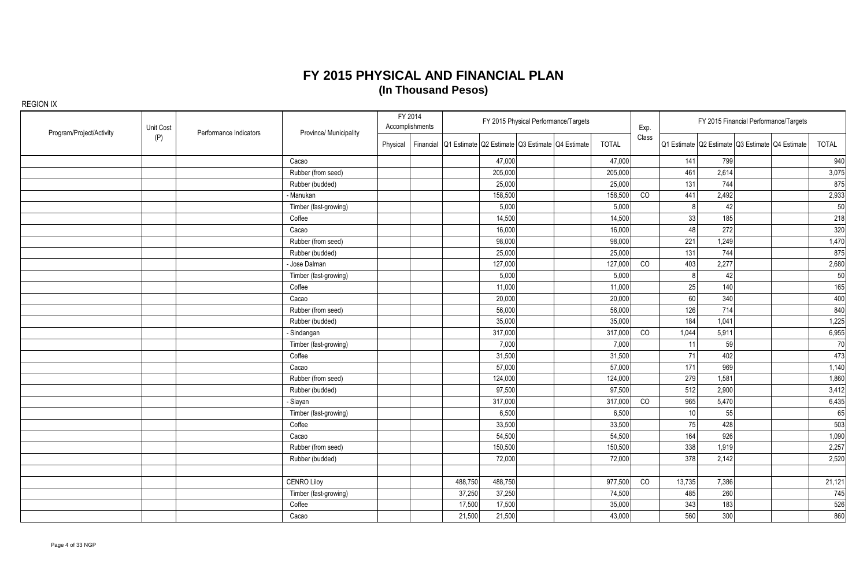| Program/Project/Activity | Unit Cost | Performance Indicators | Province/ Municipality |          | FY 2014<br>Accomplishments |                                                           | FY 2015 Physical Performance/Targets |              | Exp.  |              | FY 2015 Financial Performance/Targets           |  |        |
|--------------------------|-----------|------------------------|------------------------|----------|----------------------------|-----------------------------------------------------------|--------------------------------------|--------------|-------|--------------|-------------------------------------------------|--|--------|
|                          | (P)       |                        |                        | Physical |                            | Financial Q1 Estimate Q2 Estimate Q3 Estimate Q4 Estimate |                                      | <b>TOTAL</b> | Class |              | Q1 Estimate Q2 Estimate Q3 Estimate Q4 Estimate |  | TOTAL  |
|                          |           |                        | Cacao                  |          |                            | 47,000                                                    |                                      | 47,000       |       | 141          | 799                                             |  | 940    |
|                          |           |                        | Rubber (from seed)     |          |                            | 205,000                                                   |                                      | 205,000      |       | 461          | 2,614                                           |  | 3,075  |
|                          |           |                        | Rubber (budded)        |          |                            | 25,000                                                    |                                      | 25,000       |       | 131          | 744                                             |  | 875    |
|                          |           |                        | - Manukan              |          |                            | 158,500                                                   |                                      | 158,500      | CO    | 441          | 2,492                                           |  | 2,933  |
|                          |           |                        | Timber (fast-growing)  |          |                            | 5,000                                                     |                                      | 5,000        |       | $\mathsf{R}$ | 42                                              |  | 50     |
|                          |           |                        | Coffee                 |          |                            | 14,500                                                    |                                      | 14,500       |       | 33           | 185                                             |  | 218    |
|                          |           |                        | Cacao                  |          |                            | 16,000                                                    |                                      | 16,000       |       | 48           | 272                                             |  | 320    |
|                          |           |                        | Rubber (from seed)     |          |                            | 98,000                                                    |                                      | 98,000       |       | 221          | 1,249                                           |  | 1,470  |
|                          |           |                        | Rubber (budded)        |          |                            | 25,000                                                    |                                      | 25,000       |       | 131          | 744                                             |  | 875    |
|                          |           |                        | Jose Dalman            |          |                            | 127,000                                                   |                                      | 127,000      | CO    | 403          | 2,277                                           |  | 2,680  |
|                          |           |                        | Timber (fast-growing)  |          |                            | 5,000                                                     |                                      | 5,000        |       |              | 42                                              |  | 50     |
|                          |           |                        | Coffee                 |          |                            | 11,000                                                    |                                      | 11,000       |       | 25           | 140                                             |  | 165    |
|                          |           |                        | Cacao                  |          |                            | 20,000                                                    |                                      | 20,000       |       | 60           | 340                                             |  | 400    |
|                          |           |                        | Rubber (from seed)     |          |                            | 56,000                                                    |                                      | 56,000       |       | 126          | 714                                             |  | 840    |
|                          |           |                        | Rubber (budded)        |          |                            | 35,000                                                    |                                      | 35,000       |       | 184          | 1,041                                           |  | 1,225  |
|                          |           |                        | - Sindangan            |          |                            | 317,000                                                   |                                      | 317,000      | CO    | 1,044        | 5,911                                           |  | 6,955  |
|                          |           |                        | Timber (fast-growing)  |          |                            | 7,000                                                     |                                      | 7,000        |       | 11           | 59                                              |  | 70     |
|                          |           |                        | Coffee                 |          |                            | 31,500                                                    |                                      | 31,500       |       | 71           | 402                                             |  | 473    |
|                          |           |                        | Cacao                  |          |                            | 57,000                                                    |                                      | 57,000       |       | 171          | 969                                             |  | 1,140  |
|                          |           |                        | Rubber (from seed)     |          |                            | 124,000                                                   |                                      | 124,000      |       | 279          | 1,581                                           |  | 1,860  |
|                          |           |                        | Rubber (budded)        |          |                            | 97,500                                                    |                                      | 97,500       |       | 512          | 2,900                                           |  | 3,412  |
|                          |           |                        | - Siayan               |          |                            | 317,000                                                   |                                      | 317,000      | CO    | 965          | 5,470                                           |  | 6,435  |
|                          |           |                        | Timber (fast-growing)  |          |                            | 6,500                                                     |                                      | 6,500        |       | 10           | 55                                              |  | 65     |
|                          |           |                        | Coffee                 |          |                            | 33,500                                                    |                                      | 33,500       |       | 75           | 428                                             |  | 503    |
|                          |           |                        | Cacao                  |          |                            | 54,500                                                    |                                      | 54,500       |       | 164          | 926                                             |  | 1,090  |
|                          |           |                        | Rubber (from seed)     |          |                            | 150,500                                                   |                                      | 150,500      |       | 338          | 1,919                                           |  | 2,257  |
|                          |           |                        | Rubber (budded)        |          |                            | 72,000                                                    |                                      | 72,000       |       | 378          | 2,142                                           |  | 2,520  |
|                          |           |                        |                        |          |                            |                                                           |                                      |              |       |              |                                                 |  |        |
|                          |           |                        | <b>CENRO Liloy</b>     |          |                            | 488,750<br>488,750                                        |                                      | 977,500      | CO    | 13,735       | 7,386                                           |  | 21,121 |
|                          |           |                        | Timber (fast-growing)  |          |                            | 37,250<br>37,250                                          |                                      | 74,500       |       | 485          | 260                                             |  | 745    |
|                          |           |                        | Coffee                 |          |                            | 17,500<br>17,500                                          |                                      | 35,000       |       | 343          | 183                                             |  | 526    |
|                          |           |                        | Cacao                  |          |                            | 21,500<br>21,500                                          |                                      | 43,000       |       | 560          | 300                                             |  | 860    |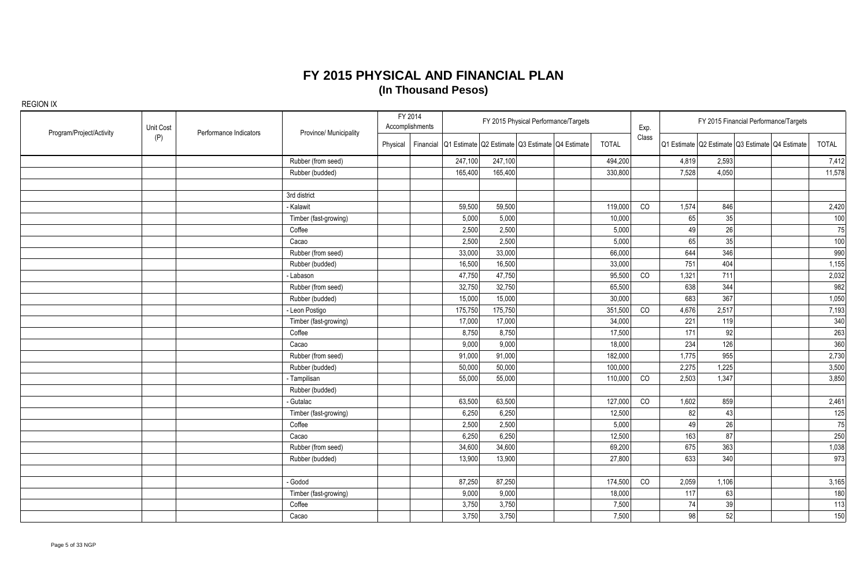| Program/Project/Activity | Unit Cost | Performance Indicators | Province/ Municipality |          | FY 2014<br>Accomplishments |                                                           |         | FY 2015 Physical Performance/Targets |              | Exp.  |       |       | FY 2015 Financial Performance/Targets           |        |
|--------------------------|-----------|------------------------|------------------------|----------|----------------------------|-----------------------------------------------------------|---------|--------------------------------------|--------------|-------|-------|-------|-------------------------------------------------|--------|
|                          | (P)       |                        |                        | Physical |                            | Financial Q1 Estimate Q2 Estimate Q3 Estimate Q4 Estimate |         |                                      | <b>TOTAL</b> | Class |       |       | Q1 Estimate Q2 Estimate Q3 Estimate Q4 Estimate | TOTAL  |
|                          |           |                        | Rubber (from seed)     |          |                            | 247,100                                                   | 247,100 |                                      | 494,200      |       | 4,819 | 2,593 |                                                 | 7,412  |
|                          |           |                        | Rubber (budded)        |          |                            | 165,400                                                   | 165,400 |                                      | 330,800      |       | 7,528 | 4,050 |                                                 | 11,578 |
|                          |           |                        |                        |          |                            |                                                           |         |                                      |              |       |       |       |                                                 |        |
|                          |           |                        | 3rd district           |          |                            |                                                           |         |                                      |              |       |       |       |                                                 |        |
|                          |           |                        | - Kalawit              |          |                            | 59,500                                                    | 59,500  |                                      | 119,000      | CO    | 1,574 | 846   |                                                 | 2,420  |
|                          |           |                        | Timber (fast-growing)  |          |                            | 5,000                                                     | 5,000   |                                      | 10,000       |       | 65    | 35    |                                                 | 100    |
|                          |           |                        | Coffee                 |          |                            | 2,500                                                     | 2,500   |                                      | 5,000        |       | 49    | 26    |                                                 | 75     |
|                          |           |                        | Cacao                  |          |                            | 2,500                                                     | 2,500   |                                      | 5,000        |       | 65    | 35    |                                                 | 100    |
|                          |           |                        | Rubber (from seed)     |          |                            | 33,000                                                    | 33,000  |                                      | 66,000       |       | 644   | 346   |                                                 | 990    |
|                          |           |                        | Rubber (budded)        |          |                            | 16,500                                                    | 16,500  |                                      | 33,000       |       | 751   | 404   |                                                 | 1,155  |
|                          |           |                        | - Labason              |          |                            | 47,750                                                    | 47,750  |                                      | 95,500       | CO    | 1,321 | 711   |                                                 | 2,032  |
|                          |           |                        | Rubber (from seed)     |          |                            | 32,750                                                    | 32,750  |                                      | 65,500       |       | 638   | 344   |                                                 | 982    |
|                          |           |                        | Rubber (budded)        |          |                            | 15,000                                                    | 15,000  |                                      | 30,000       |       | 683   | 367   |                                                 | 1,050  |
|                          |           |                        | - Leon Postigo         |          |                            | 175,750                                                   | 175,750 |                                      | 351,500      | CO    | 4,676 | 2,517 |                                                 | 7,193  |
|                          |           |                        | Timber (fast-growing)  |          |                            | 17,000                                                    | 17,000  |                                      | 34,000       |       | 221   | 119   |                                                 | 340    |
|                          |           |                        | Coffee                 |          |                            | 8,750                                                     | 8,750   |                                      | 17,500       |       | 171   | 92    |                                                 | 263    |
|                          |           |                        | Cacao                  |          |                            | 9,000                                                     | 9,000   |                                      | 18,000       |       | 234   | 126   |                                                 | 360    |
|                          |           |                        | Rubber (from seed)     |          |                            | 91,000                                                    | 91,000  |                                      | 182,000      |       | 1,775 | 955   |                                                 | 2,730  |
|                          |           |                        | Rubber (budded)        |          |                            | 50,000                                                    | 50,000  |                                      | 100,000      |       | 2,275 | 1,225 |                                                 | 3,500  |
|                          |           |                        | - Tampilisan           |          |                            | 55,000                                                    | 55,000  |                                      | 110,000      | CO    | 2,503 | 1,347 |                                                 | 3,850  |
|                          |           |                        | Rubber (budded)        |          |                            |                                                           |         |                                      |              |       |       |       |                                                 |        |
|                          |           |                        | - Gutalac              |          |                            | 63,500                                                    | 63,500  |                                      | 127,000      | CO    | 1,602 | 859   |                                                 | 2,461  |
|                          |           |                        | Timber (fast-growing)  |          |                            | 6,250                                                     | 6,250   |                                      | 12,500       |       | 82    | 43    |                                                 | 125    |
|                          |           |                        | Coffee                 |          |                            | 2,500                                                     | 2,500   |                                      | 5,000        |       | 49    | 26    |                                                 | 75     |
|                          |           |                        | Cacao                  |          |                            | 6,250                                                     | 6,250   |                                      | 12,500       |       | 163   | 87    |                                                 | 250    |
|                          |           |                        | Rubber (from seed)     |          |                            | 34,600                                                    | 34,600  |                                      | 69,200       |       | 675   | 363   |                                                 | 1,038  |
|                          |           |                        | Rubber (budded)        |          |                            | 13,900                                                    | 13,900  |                                      | 27,800       |       | 633   | 340   |                                                 | 973    |
|                          |           |                        |                        |          |                            |                                                           |         |                                      |              |       |       |       |                                                 |        |
|                          |           |                        | - Godod                |          |                            | 87,250                                                    | 87,250  |                                      | 174,500      | CO    | 2,059 | 1,106 |                                                 | 3,165  |
|                          |           |                        | Timber (fast-growing)  |          |                            | 9,000                                                     | 9,000   |                                      | 18,000       |       | 117   | 63    |                                                 | 180    |
|                          |           |                        | Coffee                 |          |                            | 3,750                                                     | 3,750   |                                      | 7,500        |       | 74    | 39    |                                                 | 113    |
|                          |           |                        | Cacao                  |          |                            | 3,750                                                     | 3,750   |                                      | 7,500        |       | 98    | 52    |                                                 | 150    |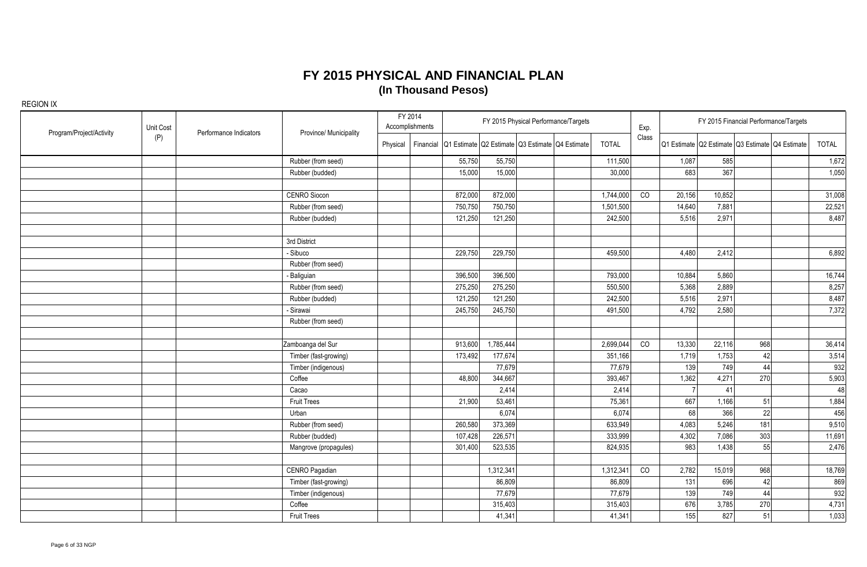| Program/Project/Activity | Unit Cost | Performance Indicators | Province/ Municipality |          | FY 2014<br>Accomplishments |                                                           |           | FY 2015 Physical Performance/Targets |              | Exp.  |        | FY 2015 Financial Performance/Targets           |     |        |
|--------------------------|-----------|------------------------|------------------------|----------|----------------------------|-----------------------------------------------------------|-----------|--------------------------------------|--------------|-------|--------|-------------------------------------------------|-----|--------|
|                          | (P)       |                        |                        | Physical |                            | Financial Q1 Estimate Q2 Estimate Q3 Estimate Q4 Estimate |           |                                      | <b>TOTAL</b> | Class |        | Q1 Estimate Q2 Estimate Q3 Estimate Q4 Estimate |     | TOTAL  |
|                          |           |                        | Rubber (from seed)     |          |                            | 55,750                                                    | 55,750    |                                      | 111,500      |       | 1,087  | 585                                             |     | 1,672  |
|                          |           |                        | Rubber (budded)        |          |                            | 15,000                                                    | 15,000    |                                      | 30,000       |       | 683    | 367                                             |     | 1,050  |
|                          |           |                        |                        |          |                            |                                                           |           |                                      |              |       |        |                                                 |     |        |
|                          |           |                        | <b>CENRO Siocon</b>    |          |                            | 872,000                                                   | 872,000   |                                      | 1,744,000    | CO    | 20,156 | 10,852                                          |     | 31,008 |
|                          |           |                        | Rubber (from seed)     |          |                            | 750,750                                                   | 750,750   |                                      | 1,501,500    |       | 14,640 | 7,881                                           |     | 22,521 |
|                          |           |                        | Rubber (budded)        |          |                            | 121,250                                                   | 121,250   |                                      | 242,500      |       | 5,516  | 2,971                                           |     | 8,487  |
|                          |           |                        | 3rd District           |          |                            |                                                           |           |                                      |              |       |        |                                                 |     |        |
|                          |           |                        | - Sibuco               |          |                            | 229,750                                                   | 229,750   |                                      | 459,500      |       | 4,480  | 2,412                                           |     | 6,892  |
|                          |           |                        | Rubber (from seed)     |          |                            |                                                           |           |                                      |              |       |        |                                                 |     |        |
|                          |           |                        | - Baliguian            |          |                            | 396,500                                                   | 396,500   |                                      | 793,000      |       | 10,884 | 5,860                                           |     | 16,744 |
|                          |           |                        | Rubber (from seed)     |          |                            | 275,250                                                   | 275,250   |                                      | 550,500      |       | 5,368  | 2,889                                           |     | 8,257  |
|                          |           |                        | Rubber (budded)        |          |                            | 121,250                                                   | 121,250   |                                      | 242,500      |       | 5,516  | 2,971                                           |     | 8,487  |
|                          |           |                        | - Sirawai              |          |                            | 245,750                                                   | 245,750   |                                      | 491,500      |       | 4,792  | 2,580                                           |     | 7,372  |
|                          |           |                        | Rubber (from seed)     |          |                            |                                                           |           |                                      |              |       |        |                                                 |     |        |
|                          |           |                        |                        |          |                            |                                                           |           |                                      |              |       |        |                                                 |     |        |
|                          |           |                        | Zamboanga del Sur      |          |                            | 913,600                                                   | 1,785,444 |                                      | 2,699,044    | CO    | 13,330 | 22,116                                          | 968 | 36,414 |
|                          |           |                        | Timber (fast-growing)  |          |                            | 173,492                                                   | 177,674   |                                      | 351,166      |       | 1,719  | 1,753                                           | 42  | 3,514  |
|                          |           |                        | Timber (indigenous)    |          |                            |                                                           | 77,679    |                                      | 77,679       |       | 139    | 749                                             | 44  | 932    |
|                          |           |                        | Coffee                 |          |                            | 48,800                                                    | 344,667   |                                      | 393,467      |       | 1,362  | 4,271                                           | 270 | 5,903  |
|                          |           |                        | Cacao                  |          |                            |                                                           | 2,414     |                                      | 2,414        |       |        | 41                                              |     | 48     |
|                          |           |                        | <b>Fruit Trees</b>     |          |                            | 21,900                                                    | 53,461    |                                      | 75,361       |       | 667    | 1,166                                           | 51  | 1,884  |
|                          |           |                        | Urban                  |          |                            |                                                           | 6,074     |                                      | 6,074        |       | 68     | 366                                             | 22  | 456    |
|                          |           |                        | Rubber (from seed)     |          |                            | 260,580                                                   | 373,369   |                                      | 633,949      |       | 4,083  | 5,246                                           | 181 | 9,510  |
|                          |           |                        | Rubber (budded)        |          |                            | 107,428                                                   | 226,571   |                                      | 333,999      |       | 4,302  | 7,086                                           | 303 | 11,691 |
|                          |           |                        | Mangrove (propagules)  |          |                            | 301,400                                                   | 523,535   |                                      | 824,935      |       | 983    | 1,438                                           | 55  | 2,476  |
|                          |           |                        |                        |          |                            |                                                           |           |                                      |              |       |        |                                                 |     |        |
|                          |           |                        | CENRO Pagadian         |          |                            |                                                           | 1,312,341 |                                      | 1,312,341    | CO    | 2,782  | 15,019                                          | 968 | 18,769 |
|                          |           |                        | Timber (fast-growing)  |          |                            |                                                           | 86,809    |                                      | 86,809       |       | 131    | 696                                             | 42  | 869    |
|                          |           |                        | Timber (indigenous)    |          |                            |                                                           | 77,679    |                                      | 77,679       |       | 139    | 749                                             | 44  | 932    |
|                          |           |                        | Coffee                 |          |                            |                                                           | 315,403   |                                      | 315,403      |       | 676    | 3,785                                           | 270 | 4,731  |
|                          |           |                        | <b>Fruit Trees</b>     |          |                            |                                                           | 41,341    |                                      | 41,341       |       | 155    | 827                                             | 51  | 1,033  |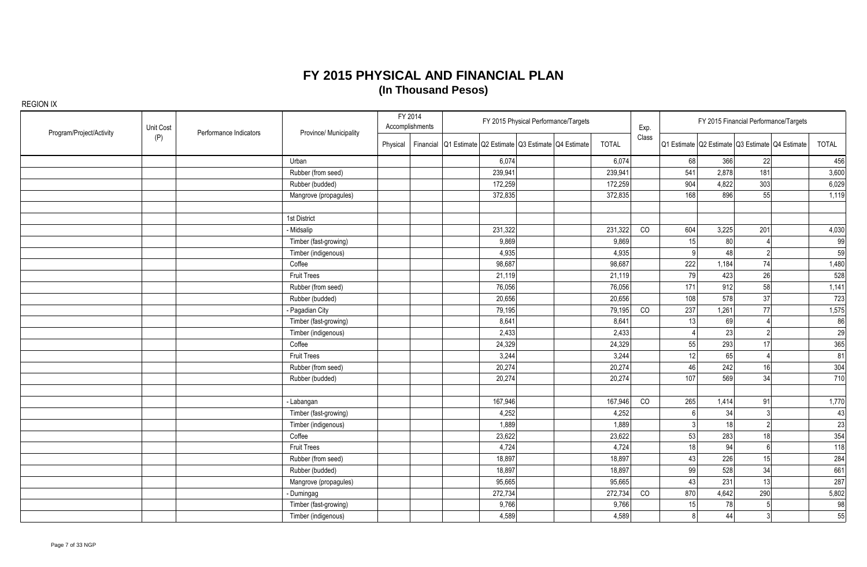| Program/Project/Activity | Unit Cost | Performance Indicators | Province/ Municipality |          | FY 2014<br>Accomplishments |                                                           |         | FY 2015 Physical Performance/Targets |              | Exp.  |                | FY 2015 Financial Performance/Targets           |                |              |
|--------------------------|-----------|------------------------|------------------------|----------|----------------------------|-----------------------------------------------------------|---------|--------------------------------------|--------------|-------|----------------|-------------------------------------------------|----------------|--------------|
|                          | (P)       |                        |                        | Physical |                            | Financial Q1 Estimate Q2 Estimate Q3 Estimate Q4 Estimate |         |                                      | <b>TOTAL</b> | Class |                | Q1 Estimate Q2 Estimate Q3 Estimate Q4 Estimate |                | <b>TOTAL</b> |
|                          |           |                        | Urban                  |          |                            |                                                           | 6,074   |                                      | 6,074        |       | 68             | 366<br>22                                       |                | 456          |
|                          |           |                        | Rubber (from seed)     |          |                            |                                                           | 239,941 |                                      | 239,941      |       | 541            | 2,878<br>181                                    |                | 3,600        |
|                          |           |                        | Rubber (budded)        |          |                            |                                                           | 172,259 |                                      | 172,259      |       | 904            | 4,822<br>303                                    |                | 6,029        |
|                          |           |                        | Mangrove (propagules)  |          |                            |                                                           | 372,835 |                                      | 372,835      |       | 168            | 896<br>55                                       |                | 1,119        |
|                          |           |                        | 1st District           |          |                            |                                                           |         |                                      |              |       |                |                                                 |                |              |
|                          |           |                        | - Midsalip             |          |                            |                                                           | 231,322 |                                      | 231,322      | CO    | 604            | 3,225<br>201                                    |                | 4,030        |
|                          |           |                        | Timber (fast-growing)  |          |                            |                                                           | 9,869   |                                      | 9,869        |       | 15             | 80                                              |                | 99           |
|                          |           |                        | Timber (indigenous)    |          |                            |                                                           | 4,935   |                                      | 4,935        |       | a              | 48                                              | $\overline{2}$ | 59           |
|                          |           |                        | Coffee                 |          |                            |                                                           | 98,687  |                                      | 98,687       |       | 222            | 1,184<br>74                                     |                | 1,480        |
|                          |           |                        | <b>Fruit Trees</b>     |          |                            |                                                           | 21,119  |                                      | 21,119       |       | 79             | 423<br>26                                       |                | 528          |
|                          |           |                        | Rubber (from seed)     |          |                            |                                                           | 76,056  |                                      | 76,056       |       | 171            | 912<br>58                                       |                | 1,141        |
|                          |           |                        | Rubber (budded)        |          |                            |                                                           | 20,656  |                                      | 20,656       |       | 108            | 578<br>37                                       |                | 723          |
|                          |           |                        | - Pagadian City        |          |                            |                                                           | 79,195  |                                      | 79,195       | CO    | 237            | 1,261<br>77                                     |                | 1,575        |
|                          |           |                        | Timber (fast-growing)  |          |                            |                                                           | 8,641   |                                      | 8,641        |       | 13             | 69                                              |                | 86           |
|                          |           |                        | Timber (indigenous)    |          |                            |                                                           | 2,433   |                                      | 2,433        |       |                | 23                                              | $\mathfrak{p}$ | 29           |
|                          |           |                        | Coffee                 |          |                            |                                                           | 24,329  |                                      | 24,329       |       | 55             | 293<br>17                                       |                | 365          |
|                          |           |                        | <b>Fruit Trees</b>     |          |                            |                                                           | 3,244   |                                      | 3,244        |       | 12             | 65                                              |                | 81           |
|                          |           |                        | Rubber (from seed)     |          |                            |                                                           | 20,274  |                                      | 20,274       |       | 46             | 242<br>16                                       |                | 304          |
|                          |           |                        | Rubber (budded)        |          |                            |                                                           | 20,274  |                                      | 20,274       |       | 107            | 569<br>34                                       |                | 710          |
|                          |           |                        | - Labangan             |          |                            |                                                           | 167,946 |                                      | 167,946      | CO    | 265            | 1,414<br>91                                     |                | 1,770        |
|                          |           |                        | Timber (fast-growing)  |          |                            |                                                           | 4,252   |                                      | 4,252        |       |                | 34                                              |                | 43           |
|                          |           |                        | Timber (indigenous)    |          |                            |                                                           | 1,889   |                                      | 1,889        |       |                | 18                                              | $\overline{2}$ | 23           |
|                          |           |                        | Coffee                 |          |                            |                                                           | 23,622  |                                      | 23,622       |       | 53             | 283<br>18                                       |                | 354          |
|                          |           |                        | <b>Fruit Trees</b>     |          |                            |                                                           | 4,724   |                                      | 4,724        |       | 18             | 94                                              | - 61           | 118          |
|                          |           |                        | Rubber (from seed)     |          |                            |                                                           | 18,897  |                                      | 18,897       |       | 43             | 226<br>15                                       |                | 284          |
|                          |           |                        | Rubber (budded)        |          |                            |                                                           | 18,897  |                                      | 18,897       |       | 99             | 528<br>34                                       |                | 661          |
|                          |           |                        | Mangrove (propagules)  |          |                            |                                                           | 95,665  |                                      | 95,665       |       | 43             | 231<br>13                                       |                | 287          |
|                          |           |                        | - Dumingag             |          |                            |                                                           | 272,734 |                                      | 272,734      | CO    | 870            | 4,642<br>290                                    |                | 5,802        |
|                          |           |                        | Timber (fast-growing)  |          |                            |                                                           | 9,766   |                                      | 9,766        |       | 15             | 78                                              |                | 98           |
|                          |           |                        | Timber (indigenous)    |          |                            |                                                           | 4,589   |                                      | 4,589        |       | 8 <sup>1</sup> | 44                                              | 3              | 55           |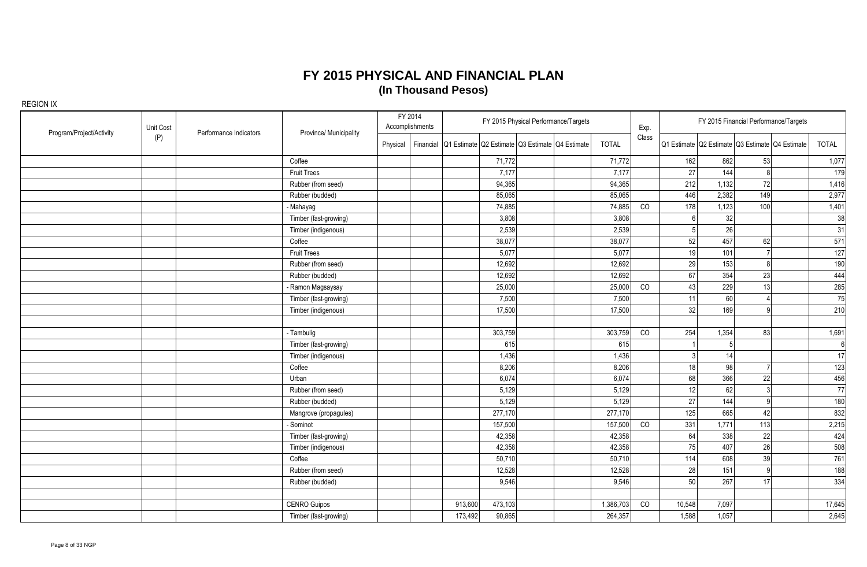| Program/Project/Activity | Unit Cost | Performance Indicators | Province/ Municipality |          | FY 2014<br>Accomplishments |                                                           |         | FY 2015 Physical Performance/Targets |              | Exp.  |        | FY 2015 Financial Performance/Targets                 |              |
|--------------------------|-----------|------------------------|------------------------|----------|----------------------------|-----------------------------------------------------------|---------|--------------------------------------|--------------|-------|--------|-------------------------------------------------------|--------------|
|                          | (P)       |                        |                        | Physical |                            | Financial Q1 Estimate Q2 Estimate Q3 Estimate Q4 Estimate |         |                                      | <b>TOTAL</b> | Class |        | Q1 Estimate   Q2 Estimate   Q3 Estimate   Q4 Estimate | <b>TOTAL</b> |
|                          |           |                        | Coffee                 |          |                            |                                                           | 71,772  |                                      | 71,772       |       | 162    | 862<br>53                                             | 1,077        |
|                          |           |                        | <b>Fruit Trees</b>     |          |                            |                                                           | 7,177   |                                      | 7,177        |       | 27     | 144<br>$\mathsf{R}$                                   | 179          |
|                          |           |                        | Rubber (from seed)     |          |                            |                                                           | 94,365  |                                      | 94,365       |       | 212    | 1,132<br>72                                           | 1,416        |
|                          |           |                        | Rubber (budded)        |          |                            |                                                           | 85,065  |                                      | 85,065       |       | 446    | 2,382<br>149                                          | 2,977        |
|                          |           |                        | - Mahayag              |          |                            |                                                           | 74,885  |                                      | 74,885       | CO    | 178    | 1,123<br>100                                          | 1,401        |
|                          |           |                        | Timber (fast-growing)  |          |                            |                                                           | 3,808   |                                      | 3,808        |       |        | 32                                                    | 38           |
|                          |           |                        | Timber (indigenous)    |          |                            |                                                           | 2,539   |                                      | 2,539        |       |        | 26                                                    | 31           |
|                          |           |                        | Coffee                 |          |                            |                                                           | 38,077  |                                      | 38,077       |       | 52     | 457<br>62                                             | 571          |
|                          |           |                        | <b>Fruit Trees</b>     |          |                            |                                                           | 5,077   |                                      | 5,077        |       | 19     | 101                                                   | 127          |
|                          |           |                        | Rubber (from seed)     |          |                            |                                                           | 12,692  |                                      | 12,692       |       | 29     | 153<br>R                                              | 190          |
|                          |           |                        | Rubber (budded)        |          |                            |                                                           | 12,692  |                                      | 12,692       |       | 67     | 354<br>23                                             | 444          |
|                          |           |                        | - Ramon Magsaysay      |          |                            |                                                           | 25,000  |                                      | 25,000       | CO    | 43     | 229<br>13                                             | 285          |
|                          |           |                        | Timber (fast-growing)  |          |                            |                                                           | 7,500   |                                      | 7,500        |       | 11     | 60                                                    | 75           |
|                          |           |                        | Timber (indigenous)    |          |                            |                                                           | 17,500  |                                      | 17,500       |       | 32     | 169<br>$\Omega$                                       | 210          |
|                          |           |                        |                        |          |                            |                                                           |         |                                      |              |       |        |                                                       |              |
|                          |           |                        | - Tambulig             |          |                            |                                                           | 303,759 |                                      | 303,759      | CO    | 254    | 1,354<br>83                                           | 1,691        |
|                          |           |                        | Timber (fast-growing)  |          |                            |                                                           | 615     |                                      | 615          |       |        | 5                                                     | 6            |
|                          |           |                        | Timber (indigenous)    |          |                            |                                                           | 1,436   |                                      | 1,436        |       |        | 14                                                    | 17           |
|                          |           |                        | Coffee                 |          |                            |                                                           | 8,206   |                                      | 8,206        |       | 18     | 98                                                    | 123          |
|                          |           |                        | Urban                  |          |                            |                                                           | 6,074   |                                      | 6,074        |       | 68     | 366<br>22                                             | 456          |
|                          |           |                        | Rubber (from seed)     |          |                            |                                                           | 5,129   |                                      | 5,129        |       | 12     | 62<br>$\mathcal{R}$                                   | 77           |
|                          |           |                        | Rubber (budded)        |          |                            |                                                           | 5,129   |                                      | 5,129        |       | 27     | 144<br>Q                                              | 180          |
|                          |           |                        | Mangrove (propagules)  |          |                            |                                                           | 277,170 |                                      | 277,170      |       | 125    | 665<br>42                                             | 832          |
|                          |           |                        | - Sominot              |          |                            |                                                           | 157,500 |                                      | 157,500      | CO    | 331    | 1,771<br>113                                          | 2,215        |
|                          |           |                        | Timber (fast-growing)  |          |                            |                                                           | 42,358  |                                      | 42,358       |       | 64     | 338<br>22                                             | 424          |
|                          |           |                        | Timber (indigenous)    |          |                            |                                                           | 42,358  |                                      | 42,358       |       | 75     | 407<br>26                                             | 508          |
|                          |           |                        | Coffee                 |          |                            |                                                           | 50,710  |                                      | 50,710       |       | 114    | 608<br>39                                             | 761          |
|                          |           |                        | Rubber (from seed)     |          |                            |                                                           | 12,528  |                                      | 12,528       |       | 28     | 151<br>- ql                                           | 188          |
|                          |           |                        | Rubber (budded)        |          |                            |                                                           | 9,546   |                                      | 9,546        |       | 50     | 267<br>17                                             | 334          |
|                          |           |                        |                        |          |                            |                                                           |         |                                      |              |       |        |                                                       |              |
|                          |           |                        | <b>CENRO Guipos</b>    |          |                            | 913,600                                                   | 473,103 |                                      | 1,386,703    | CO    | 10,548 | 7,097                                                 | 17,645       |
|                          |           |                        | Timber (fast-growing)  |          |                            | 173,492                                                   | 90,865  |                                      | 264,357      |       | 1,588  | 1,057                                                 | 2,645        |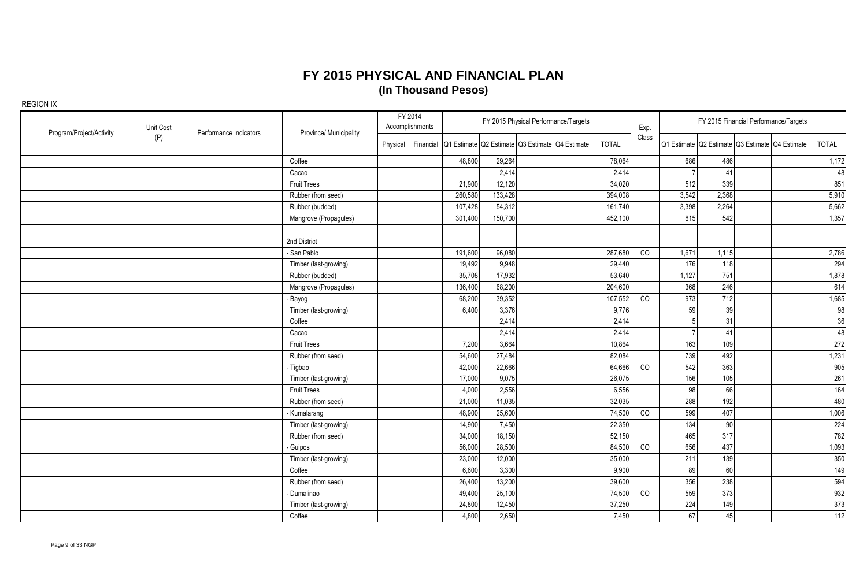| Program/Project/Activity | Unit Cost | Performance Indicators | Province/ Municipality |          | FY 2014<br>Accomplishments |                                                           |         | FY 2015 Physical Performance/Targets |              | Exp.  |       |       | FY 2015 Financial Performance/Targets           |       |
|--------------------------|-----------|------------------------|------------------------|----------|----------------------------|-----------------------------------------------------------|---------|--------------------------------------|--------------|-------|-------|-------|-------------------------------------------------|-------|
|                          | (P)       |                        |                        | Physical |                            | Financial Q1 Estimate Q2 Estimate Q3 Estimate Q4 Estimate |         |                                      | <b>TOTAL</b> | Class |       |       | Q1 Estimate Q2 Estimate Q3 Estimate Q4 Estimate | TOTAL |
|                          |           |                        | Coffee                 |          |                            | 48,800                                                    | 29,264  |                                      | 78,064       |       | 686   | 486   |                                                 | 1,172 |
|                          |           |                        | Cacao                  |          |                            |                                                           | 2,414   |                                      | 2,414        |       |       | 41    |                                                 | 48    |
|                          |           |                        | <b>Fruit Trees</b>     |          |                            | 21,900                                                    | 12,120  |                                      | 34,020       |       | 512   | 339   |                                                 | 851   |
|                          |           |                        | Rubber (from seed)     |          |                            | 260,580                                                   | 133,428 |                                      | 394,008      |       | 3,542 | 2,368 |                                                 | 5,910 |
|                          |           |                        | Rubber (budded)        |          |                            | 107,428                                                   | 54,312  |                                      | 161,740      |       | 3,398 | 2,264 |                                                 | 5,662 |
|                          |           |                        | Mangrove (Propagules)  |          |                            | 301,400                                                   | 150,700 |                                      | 452,100      |       | 815   | 542   |                                                 | 1,357 |
|                          |           |                        | 2nd District           |          |                            |                                                           |         |                                      |              |       |       |       |                                                 |       |
|                          |           |                        | - San Pablo            |          |                            | 191,600                                                   | 96,080  |                                      | 287,680      | CO    | 1,671 | 1,115 |                                                 | 2,786 |
|                          |           |                        | Timber (fast-growing)  |          |                            | 19,492                                                    | 9,948   |                                      | 29,440       |       | 176   | 118   |                                                 | 294   |
|                          |           |                        | Rubber (budded)        |          |                            | 35,708                                                    | 17,932  |                                      | 53,640       |       | 1,127 | 751   |                                                 | 1,878 |
|                          |           |                        | Mangrove (Propagules)  |          |                            | 136,400                                                   | 68,200  |                                      | 204,600      |       | 368   | 246   |                                                 | 614   |
|                          |           |                        | Bayog                  |          |                            | 68,200                                                    | 39,352  |                                      | 107,552      | CO    | 973   | 712   |                                                 | 1,685 |
|                          |           |                        | Timber (fast-growing)  |          |                            | 6,400                                                     | 3,376   |                                      | 9,776        |       | 59    | 39    |                                                 | 98    |
|                          |           |                        | Coffee                 |          |                            |                                                           | 2,414   |                                      | 2,414        |       |       | 31    |                                                 | 36    |
|                          |           |                        | Cacao                  |          |                            |                                                           | 2,414   |                                      | 2,414        |       |       | 41    |                                                 | 48    |
|                          |           |                        | <b>Fruit Trees</b>     |          |                            | 7,200                                                     | 3,664   |                                      | 10,864       |       | 163   | 109   |                                                 | 272   |
|                          |           |                        | Rubber (from seed)     |          |                            | 54,600                                                    | 27,484  |                                      | 82,084       |       | 739   | 492   |                                                 | 1,231 |
|                          |           |                        | - Tigbao               |          |                            | 42,000                                                    | 22,666  |                                      | 64,666       | CO    | 542   | 363   |                                                 | 905   |
|                          |           |                        | Timber (fast-growing)  |          |                            | 17,000                                                    | 9,075   |                                      | 26,075       |       | 156   | 105   |                                                 | 261   |
|                          |           |                        | <b>Fruit Trees</b>     |          |                            | 4,000                                                     | 2,556   |                                      | 6,556        |       | 98    | 66    |                                                 | 164   |
|                          |           |                        | Rubber (from seed)     |          |                            | 21,000                                                    | 11,035  |                                      | 32,035       |       | 288   | 192   |                                                 | 480   |
|                          |           |                        | Kumalarang             |          |                            | 48,900                                                    | 25,600  |                                      | 74,500       | CO    | 599   | 407   |                                                 | 1,006 |
|                          |           |                        | Timber (fast-growing)  |          |                            | 14,900                                                    | 7,450   |                                      | 22,350       |       | 134   | 90    |                                                 | 224   |
|                          |           |                        | Rubber (from seed)     |          |                            | 34,000                                                    | 18,150  |                                      | 52,150       |       | 465   | 317   |                                                 | 782   |
|                          |           |                        | Guipos                 |          |                            | 56,000                                                    | 28,500  |                                      | 84,500       | CO    | 656   | 437   |                                                 | 1,093 |
|                          |           |                        | Timber (fast-growing)  |          |                            | 23,000                                                    | 12,000  |                                      | 35,000       |       | 211   | 139   |                                                 | 350   |
|                          |           |                        | Coffee                 |          |                            | 6,600                                                     | 3,300   |                                      | 9,900        |       | 89    | 60    |                                                 | 149   |
|                          |           |                        | Rubber (from seed)     |          |                            | 26,400                                                    | 13,200  |                                      | 39,600       |       | 356   | 238   |                                                 | 594   |
|                          |           |                        | - Dumalinao            |          |                            | 49,400                                                    | 25,100  |                                      | 74,500       | CO    | 559   | 373   |                                                 | 932   |
|                          |           |                        | Timber (fast-growing)  |          |                            | 24,800                                                    | 12,450  |                                      | 37,250       |       | 224   | 149   |                                                 | 373   |
|                          |           |                        | Coffee                 |          |                            | 4,800                                                     | 2,650   |                                      | 7,450        |       | 67    | 45    |                                                 | 112   |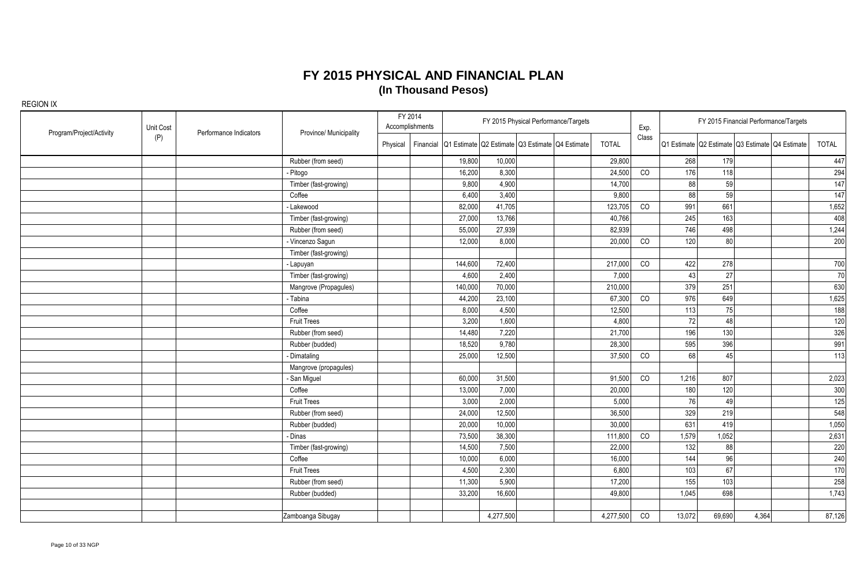| Program/Project/Activity | Unit Cost | Performance Indicators | Province/ Municipality | FY 2014  | Accomplishments |         |                                                           | FY 2015 Physical Performance/Targets |              | Exp.  |        |        | FY 2015 Financial Performance/Targets           |        |
|--------------------------|-----------|------------------------|------------------------|----------|-----------------|---------|-----------------------------------------------------------|--------------------------------------|--------------|-------|--------|--------|-------------------------------------------------|--------|
|                          | (P)       |                        |                        | Physical |                 |         | Financial Q1 Estimate Q2 Estimate Q3 Estimate Q4 Estimate |                                      | <b>TOTAL</b> | Class |        |        | Q1 Estimate Q2 Estimate Q3 Estimate Q4 Estimate | TOTAL  |
|                          |           |                        | Rubber (from seed)     |          |                 | 19,800  | 10,000                                                    |                                      | 29,800       |       | 268    | 179    |                                                 | 447    |
|                          |           |                        | - Pitogo               |          |                 | 16,200  | 8,300                                                     |                                      | 24,500       | CO    | 176    | 118    |                                                 | 294    |
|                          |           |                        | Timber (fast-growing)  |          |                 | 9,800   | 4,900                                                     |                                      | 14,700       |       | 88     | 59     |                                                 | 147    |
|                          |           |                        | Coffee                 |          |                 | 6,400   | 3,400                                                     |                                      | 9,800        |       | 88     | 59     |                                                 | 147    |
|                          |           |                        | - Lakewood             |          |                 | 82,000  | 41,705                                                    |                                      | 123,705      | CO    | 991    | 661    |                                                 | 1,652  |
|                          |           |                        | Timber (fast-growing)  |          |                 | 27,000  | 13,766                                                    |                                      | 40,766       |       | 245    | 163    |                                                 | 408    |
|                          |           |                        | Rubber (from seed)     |          |                 | 55,000  | 27,939                                                    |                                      | 82,939       |       | 746    | 498    |                                                 | 1,244  |
|                          |           |                        | - Vincenzo Sagun       |          |                 | 12,000  | 8,000                                                     |                                      | 20,000       | CO    | 120    | 80     |                                                 | 200    |
|                          |           |                        | Timber (fast-growing)  |          |                 |         |                                                           |                                      |              |       |        |        |                                                 |        |
|                          |           |                        | - Lapuyan              |          |                 | 144,600 | 72,400                                                    |                                      | 217,000      | CO    | 422    | 278    |                                                 | 700    |
|                          |           |                        | Timber (fast-growing)  |          |                 | 4,600   | 2,400                                                     |                                      | 7,000        |       | 43     | 27     |                                                 | 70     |
|                          |           |                        | Mangrove (Propagules)  |          |                 | 140,000 | 70,000                                                    |                                      | 210,000      |       | 379    | 251    |                                                 | 630    |
|                          |           |                        | - Tabina               |          |                 | 44,200  | 23,100                                                    |                                      | 67,300       | CO    | 976    | 649    |                                                 | 1,625  |
|                          |           |                        | Coffee                 |          |                 | 8,000   | 4,500                                                     |                                      | 12,500       |       | 113    | 75     |                                                 | 188    |
|                          |           |                        | <b>Fruit Trees</b>     |          |                 | 3,200   | 1,600                                                     |                                      | 4,800        |       | 72     | 48     |                                                 | 120    |
|                          |           |                        | Rubber (from seed)     |          |                 | 14,480  | 7,220                                                     |                                      | 21,700       |       | 196    | 130    |                                                 | 326    |
|                          |           |                        | Rubber (budded)        |          |                 | 18,520  | 9,780                                                     |                                      | 28,300       |       | 595    | 396    |                                                 | 991    |
|                          |           |                        | - Dimataling           |          |                 | 25,000  | 12,500                                                    |                                      | 37,500       | CO    | 68     | 45     |                                                 | 113    |
|                          |           |                        | Mangrove (propagules)  |          |                 |         |                                                           |                                      |              |       |        |        |                                                 |        |
|                          |           |                        | - San Miguel           |          |                 | 60,000  | 31,500                                                    |                                      | 91,500       | CO    | 1,216  | 807    |                                                 | 2,023  |
|                          |           |                        | Coffee                 |          |                 | 13,000  | 7,000                                                     |                                      | 20,000       |       | 180    | 120    |                                                 | 300    |
|                          |           |                        | <b>Fruit Trees</b>     |          |                 | 3,000   | 2,000                                                     |                                      | 5,000        |       | 76     | 49     |                                                 | 125    |
|                          |           |                        | Rubber (from seed)     |          |                 | 24,000  | 12,500                                                    |                                      | 36,500       |       | 329    | 219    |                                                 | 548    |
|                          |           |                        | Rubber (budded)        |          |                 | 20,000  | 10,000                                                    |                                      | 30,000       |       | 631    | 419    |                                                 | 1,050  |
|                          |           |                        | - Dinas                |          |                 | 73,500  | 38,300                                                    |                                      | 111,800      | CO    | 1,579  | 1,052  |                                                 | 2,631  |
|                          |           |                        | Timber (fast-growing)  |          |                 | 14,500  | 7,500                                                     |                                      | 22,000       |       | 132    | 88     |                                                 | 220    |
|                          |           |                        | Coffee                 |          |                 | 10,000  | 6,000                                                     |                                      | 16,000       |       | 144    | 96     |                                                 | 240    |
|                          |           |                        | <b>Fruit Trees</b>     |          |                 | 4,500   | 2,300                                                     |                                      | 6,800        |       | 103    | 67     |                                                 | 170    |
|                          |           |                        | Rubber (from seed)     |          |                 | 11,300  | 5,900                                                     |                                      | 17,200       |       | 155    | 103    |                                                 | 258    |
|                          |           |                        | Rubber (budded)        |          |                 | 33,200  | 16,600                                                    |                                      | 49,800       |       | 1,045  | 698    |                                                 | 1,743  |
|                          |           |                        |                        |          |                 |         |                                                           |                                      |              |       |        |        |                                                 |        |
|                          |           |                        | Zamboanga Sibugay      |          |                 |         | 4,277,500                                                 |                                      | 4,277,500    | CO    | 13,072 | 69,690 | 4,364                                           | 87,126 |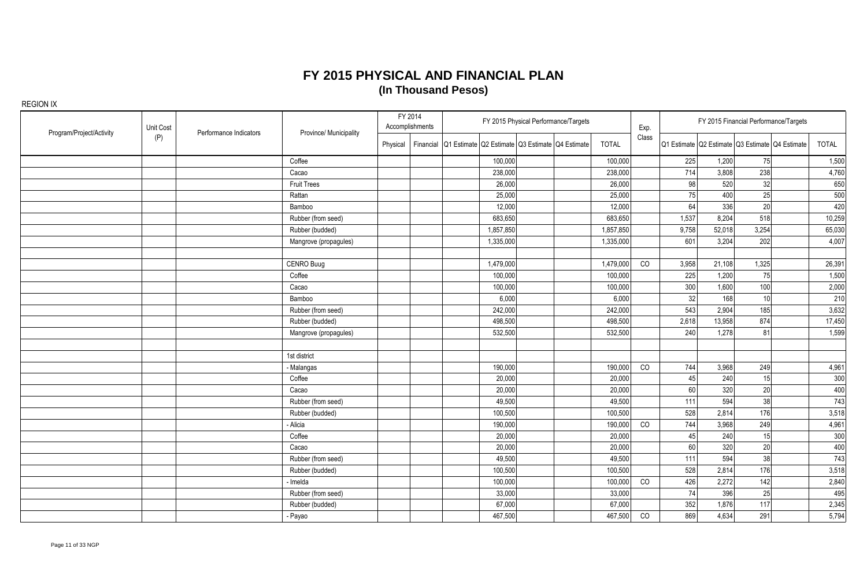| Program/Project/Activity | Unit Cost | Performance Indicators | Province/ Municipality |          | FY 2014<br>Accomplishments |                                                           |           | FY 2015 Physical Performance/Targets |              | Exp.  |       | FY 2015 Financial Performance/Targets           |                 |              |
|--------------------------|-----------|------------------------|------------------------|----------|----------------------------|-----------------------------------------------------------|-----------|--------------------------------------|--------------|-------|-------|-------------------------------------------------|-----------------|--------------|
|                          | (P)       |                        |                        | Physical |                            | Financial Q1 Estimate Q2 Estimate Q3 Estimate Q4 Estimate |           |                                      | <b>TOTAL</b> | Class |       | Q1 Estimate Q2 Estimate Q3 Estimate Q4 Estimate |                 | <b>TOTAL</b> |
|                          |           |                        | Coffee                 |          |                            |                                                           | 100,000   |                                      | 100,000      |       | 225   | 1,200                                           | 75              | 1,500        |
|                          |           |                        | Cacao                  |          |                            |                                                           | 238,000   |                                      | 238,000      |       | 714   | 3,808                                           | 238             | 4,760        |
|                          |           |                        | <b>Fruit Trees</b>     |          |                            |                                                           | 26,000    |                                      | 26,000       |       | 98    | 520                                             | 32              | 650          |
|                          |           |                        | Rattan                 |          |                            |                                                           | 25,000    |                                      | 25,000       |       | 75    | 400                                             | 25              | 500          |
|                          |           |                        | Bamboo                 |          |                            |                                                           | 12,000    |                                      | 12,000       |       | 64    | 336                                             | 20              | 420          |
|                          |           |                        | Rubber (from seed)     |          |                            |                                                           | 683,650   |                                      | 683,650      |       | 1,537 | 8,204                                           | 518             | 10,259       |
|                          |           |                        | Rubber (budded)        |          |                            |                                                           | 1,857,850 |                                      | 1,857,850    |       | 9,758 | 52,018                                          | 3,254           | 65,030       |
|                          |           |                        | Mangrove (propagules)  |          |                            |                                                           | 1,335,000 |                                      | 1,335,000    |       | 601   | 3,204                                           | 202             | 4,007        |
|                          |           |                        | CENRO Buug             |          |                            |                                                           | 1,479,000 |                                      | 1,479,000    | CO    | 3,958 | 21,108                                          | 1,325           | 26,391       |
|                          |           |                        | Coffee                 |          |                            |                                                           | 100,000   |                                      | 100,000      |       | 225   | 1,200                                           | 75              | 1,500        |
|                          |           |                        | Cacao                  |          |                            |                                                           | 100,000   |                                      | 100,000      |       | 300   | 1,600                                           | 100             | 2,000        |
|                          |           |                        | Bamboo                 |          |                            |                                                           | 6,000     |                                      | 6,000        |       | 32    | 168                                             | 10 <sup>1</sup> | 210          |
|                          |           |                        | Rubber (from seed)     |          |                            |                                                           | 242,000   |                                      | 242,000      |       | 543   | 2,904                                           | 185             | 3,632        |
|                          |           |                        | Rubber (budded)        |          |                            |                                                           | 498,500   |                                      | 498,500      |       | 2,618 | 13,958                                          | 874             | 17,450       |
|                          |           |                        | Mangrove (propagules)  |          |                            |                                                           | 532,500   |                                      | 532,500      |       | 240   | 1,278                                           | 81              | 1,599        |
|                          |           |                        | 1st district           |          |                            |                                                           |           |                                      |              |       |       |                                                 |                 |              |
|                          |           |                        | - Malangas             |          |                            |                                                           | 190,000   |                                      | 190,000      | CO    | 744   | 3,968                                           | 249             | 4,961        |
|                          |           |                        | Coffee                 |          |                            |                                                           | 20,000    |                                      | 20,000       |       | 45    | 240                                             | 15              | 300          |
|                          |           |                        | Cacao                  |          |                            |                                                           | 20,000    |                                      | 20,000       |       | 60    | 320                                             | 20              | 400          |
|                          |           |                        | Rubber (from seed)     |          |                            |                                                           | 49,500    |                                      | 49,500       |       | 111   | 594                                             | 38              | 743          |
|                          |           |                        | Rubber (budded)        |          |                            |                                                           | 100,500   |                                      | 100,500      |       | 528   | 2,814                                           | 176             | 3,518        |
|                          |           |                        | - Alicia               |          |                            |                                                           | 190,000   |                                      | 190,000      | CO    | 744   | 3,968                                           | 249             | 4,961        |
|                          |           |                        | Coffee                 |          |                            |                                                           | 20,000    |                                      | 20,000       |       | 45    | 240                                             | 15              | 300          |
|                          |           |                        | Cacao                  |          |                            |                                                           | 20,000    |                                      | 20,000       |       | 60    | 320                                             | 20              | 400          |
|                          |           |                        | Rubber (from seed)     |          |                            |                                                           | 49,500    |                                      | 49,500       |       | 111   | 594                                             | 38              | 743          |
|                          |           |                        | Rubber (budded)        |          |                            |                                                           | 100,500   |                                      | 100,500      |       | 528   | 2,814                                           | 176             | 3,518        |
|                          |           |                        | - Imelda               |          |                            |                                                           | 100,000   |                                      | 100,000      | CO    | 426   | 2,272                                           | 142             | 2,840        |
|                          |           |                        | Rubber (from seed)     |          |                            |                                                           | 33,000    |                                      | 33,000       |       | 74    | 396                                             | 25              | 495          |
|                          |           |                        | Rubber (budded)        |          |                            |                                                           | 67,000    |                                      | 67,000       |       | 352   | 1,876                                           | 117             | 2,345        |
|                          |           |                        | - Payao                |          |                            |                                                           | 467,500   |                                      | 467,500      | CO    | 869   | 4,634                                           | 291             | 5,794        |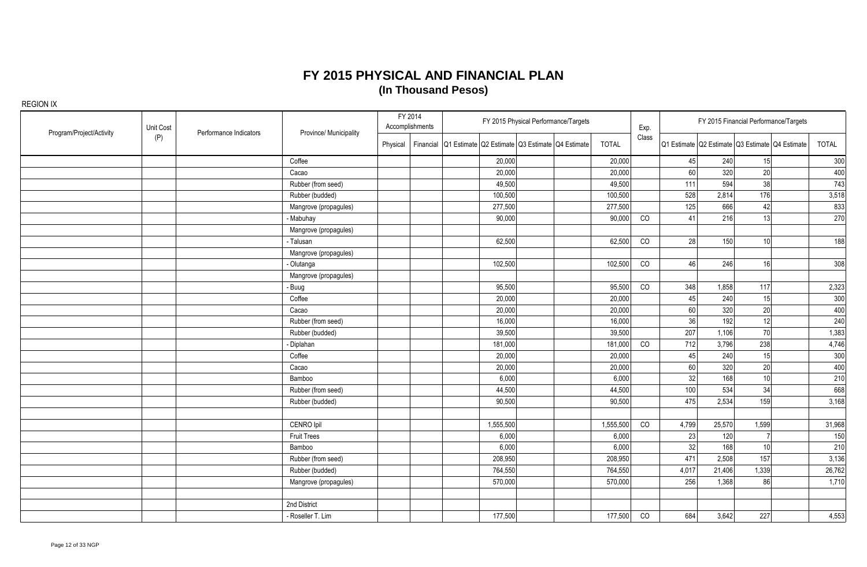| Program/Project/Activity | Unit Cost | Performance Indicators | Province/ Municipality |          | FY 2014<br>Accomplishments |                                                           | FY 2015 Physical Performance/Targets |              | Exp.  |                 |        | FY 2015 Financial Performance/Targets           |        |
|--------------------------|-----------|------------------------|------------------------|----------|----------------------------|-----------------------------------------------------------|--------------------------------------|--------------|-------|-----------------|--------|-------------------------------------------------|--------|
|                          | (P)       |                        |                        | Physical |                            | Financial Q1 Estimate Q2 Estimate Q3 Estimate Q4 Estimate |                                      | <b>TOTAL</b> | Class |                 |        | Q1 Estimate Q2 Estimate Q3 Estimate Q4 Estimate | TOTAL  |
|                          |           |                        | Coffee                 |          |                            | 20,000                                                    |                                      | 20,000       |       | 45              | 240    | 15                                              | 300    |
|                          |           |                        | Cacao                  |          |                            | 20,000                                                    |                                      | 20,000       |       | 60 <sup>1</sup> | 320    | 20                                              | 400    |
|                          |           |                        | Rubber (from seed)     |          |                            | 49,500                                                    |                                      | 49,500       |       | 111             | 594    | 38                                              | 743    |
|                          |           |                        | Rubber (budded)        |          |                            | 100,500                                                   |                                      | 100,500      |       | 528             | 2,814  | 176                                             | 3,518  |
|                          |           |                        | Mangrove (propagules)  |          |                            | 277,500                                                   |                                      | 277,500      |       | 125             | 666    | 42                                              | 833    |
|                          |           |                        | - Mabuhay              |          |                            | 90,000                                                    |                                      | 90,000       | CO    | 41              | 216    | 13                                              | 270    |
|                          |           |                        | Mangrove (propagules)  |          |                            |                                                           |                                      |              |       |                 |        |                                                 |        |
|                          |           |                        | - Talusan              |          |                            | 62,500                                                    |                                      | 62,500       | CO    | 28              | 150    | 10 <sup>1</sup>                                 | 188    |
|                          |           |                        | Mangrove (propagules)  |          |                            |                                                           |                                      |              |       |                 |        |                                                 |        |
|                          |           |                        | - Olutanga             |          |                            | 102,500                                                   |                                      | 102,500      | CO    | 46              | 246    | 16                                              | 308    |
|                          |           |                        | Mangrove (propagules)  |          |                            |                                                           |                                      |              |       |                 |        |                                                 |        |
|                          |           |                        | - Buug                 |          |                            | 95,500                                                    |                                      | 95,500       | CO    | 348             | 1,858  | 117                                             | 2,323  |
|                          |           |                        | Coffee                 |          |                            | 20,000                                                    |                                      | 20,000       |       | 45              | 240    | 15                                              | 300    |
|                          |           |                        | Cacao                  |          |                            | 20,000                                                    |                                      | 20,000       |       | 60              | 320    | 20                                              | 400    |
|                          |           |                        | Rubber (from seed)     |          |                            | 16,000                                                    |                                      | 16,000       |       | 36              | 192    | 12                                              | 240    |
|                          |           |                        | Rubber (budded)        |          |                            | 39,500                                                    |                                      | 39,500       |       | 207             | 1,106  | 70                                              | 1,383  |
|                          |           |                        | - Diplahan             |          |                            | 181,000                                                   |                                      | 181,000      | CO    | 712             | 3,796  | 238                                             | 4,746  |
|                          |           |                        | Coffee                 |          |                            | 20,000                                                    |                                      | 20,000       |       | 45              | 240    | 15                                              | 300    |
|                          |           |                        | Cacao                  |          |                            | 20,000                                                    |                                      | 20,000       |       | 60              | 320    | 20                                              | 400    |
|                          |           |                        | Bamboo                 |          |                            | 6,000                                                     |                                      | 6,000        |       | 32              | 168    | 10                                              | 210    |
|                          |           |                        | Rubber (from seed)     |          |                            | 44,500                                                    |                                      | 44,500       |       | 100             | 534    | 34                                              | 668    |
|                          |           |                        | Rubber (budded)        |          |                            | 90,500                                                    |                                      | 90,500       |       | 475             | 2,534  | 159                                             | 3,168  |
|                          |           |                        |                        |          |                            |                                                           |                                      |              |       |                 |        |                                                 |        |
|                          |           |                        | CENRO Ipil             |          |                            | 1,555,500                                                 |                                      | 1,555,500    | CO    | 4,799           | 25,570 | 1,599                                           | 31,968 |
|                          |           |                        | <b>Fruit Trees</b>     |          |                            | 6,000                                                     |                                      | 6,000        |       | 23              | 120    |                                                 | 150    |
|                          |           |                        | Bamboo                 |          |                            | 6,000                                                     |                                      | 6,000        |       | 32              | 168    | 10                                              | 210    |
|                          |           |                        | Rubber (from seed)     |          |                            | 208,950                                                   |                                      | 208.950      |       | 471             | 2,508  | 157                                             | 3,136  |
|                          |           |                        | Rubber (budded)        |          |                            | 764,550                                                   |                                      | 764,550      |       | 4,017           | 21,406 | 1,339                                           | 26,762 |
|                          |           |                        | Mangrove (propagules)  |          |                            | 570,000                                                   |                                      | 570,000      |       | 256             | 1,368  | 86                                              | 1,710  |
|                          |           |                        |                        |          |                            |                                                           |                                      |              |       |                 |        |                                                 |        |
|                          |           |                        | 2nd District           |          |                            |                                                           |                                      |              |       |                 |        |                                                 |        |
|                          |           |                        | - Roseller T. Lim      |          |                            | 177,500                                                   |                                      | 177,500      | CO    | 684             | 3,642  | 227                                             | 4,553  |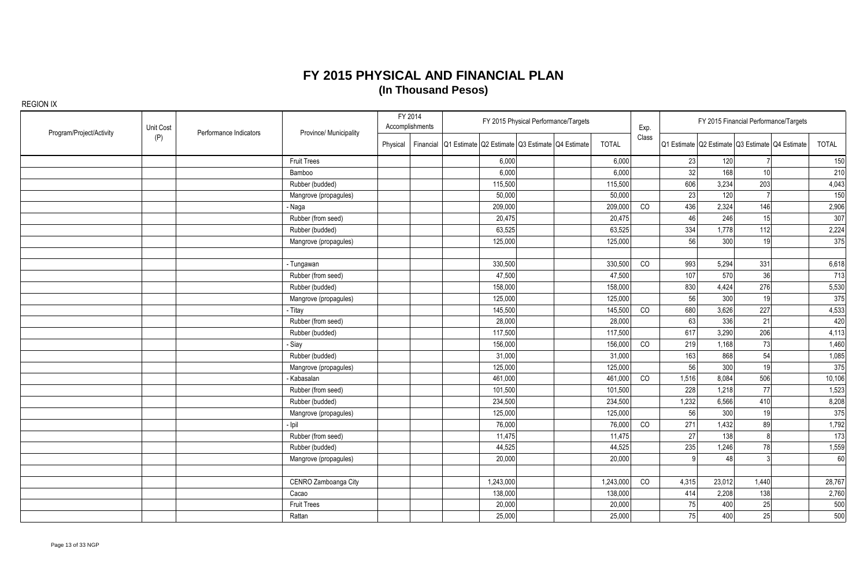| Program/Project/Activity | Unit Cost | Performance Indicators | Province/ Municipality | FY 2014<br>Accomplishments | FY 2015 Physical Performance/Targets                      |              | Exp.  |              | FY 2015 Financial Performance/Targets           |              |              |
|--------------------------|-----------|------------------------|------------------------|----------------------------|-----------------------------------------------------------|--------------|-------|--------------|-------------------------------------------------|--------------|--------------|
|                          | (P)       |                        |                        | Physical                   | Financial Q1 Estimate Q2 Estimate Q3 Estimate Q4 Estimate | <b>TOTAL</b> | Class |              | Q1 Estimate Q2 Estimate Q3 Estimate Q4 Estimate |              | <b>TOTAL</b> |
|                          |           |                        | <b>Fruit Trees</b>     |                            | 6,000                                                     | 6,000        |       | 23           | 120                                             |              | 150          |
|                          |           |                        | Bamboo                 |                            | 6,000                                                     | 6,000        |       | 32           | 168<br>10 <sup>1</sup>                          |              | 210          |
|                          |           |                        | Rubber (budded)        |                            | 115,500                                                   | 115,500      |       | 606          | 3,234<br>203                                    |              | 4,043        |
|                          |           |                        | Mangrove (propagules)  |                            | 50,000                                                    | 50,000       |       | 23           | 120                                             |              | 150          |
|                          |           |                        | - Naga                 |                            | 209,000                                                   | 209,000      | CO    | 436          | 2,324<br>146                                    |              | 2,906        |
|                          |           |                        | Rubber (from seed)     |                            | 20,475                                                    | 20,475       |       | 46           | 246<br>15                                       |              | 307          |
|                          |           |                        | Rubber (budded)        |                            | 63,525                                                    | 63,525       |       | 334          | 1,778<br>112                                    |              | 2,224        |
|                          |           |                        | Mangrove (propagules)  |                            | 125,000                                                   | 125,000      |       | 56           | 300<br>19                                       |              | 375          |
|                          |           |                        | - Tungawan             |                            | 330,500                                                   | 330,500      | CO    | 993          | 5,294<br>331                                    |              | 6,618        |
|                          |           |                        | Rubber (from seed)     |                            | 47,500                                                    | 47,500       |       | 107          | 570<br>36                                       |              | 713          |
|                          |           |                        | Rubber (budded)        |                            | 158,000                                                   | 158,000      |       | 830          | 4,424<br>276                                    |              | 5,530        |
|                          |           |                        | Mangrove (propagules)  |                            | 125,000                                                   | 125,000      |       | 56           | 300<br>19                                       |              | 375          |
|                          |           |                        | - Titay                |                            | 145,500                                                   | 145,500      | CO    | 680          | 3,626<br>227                                    |              | 4,533        |
|                          |           |                        | Rubber (from seed)     |                            | 28,000                                                    | 28,000       |       | 63           | 336<br>21                                       |              | 420          |
|                          |           |                        | Rubber (budded)        |                            | 117,500                                                   | 117,500      |       | 617          | 3,290<br>206                                    |              | 4,113        |
|                          |           |                        | - Siay                 |                            | 156,000                                                   | 156,000      | CO    | 219          | 73<br>1,168                                     |              | 1,460        |
|                          |           |                        | Rubber (budded)        |                            | 31,000                                                    | 31,000       |       | 163          | 868<br>54                                       |              | 1,085        |
|                          |           |                        | Mangrove (propagules)  |                            | 125,000                                                   | 125,000      |       | 56           | 300<br>19                                       |              | 375          |
|                          |           |                        | Kabasalan              |                            | 461,000                                                   | 461,000      | CO    | 1,516        | 8,084<br>506                                    |              | 10,106       |
|                          |           |                        | Rubber (from seed)     |                            | 101,500                                                   | 101,500      |       | 228          | 1,218<br>77                                     |              | 1,523        |
|                          |           |                        | Rubber (budded)        |                            | 234,500                                                   | 234,500      |       | 1,232        | 6,566<br>410                                    |              | 8,208        |
|                          |           |                        | Mangrove (propagules)  |                            | 125,000                                                   | 125,000      |       | 56           | 300<br>19                                       |              | 375          |
|                          |           |                        | ligl                   |                            | 76,000                                                    | 76,000       | CO    | 271          | 1,432<br>89                                     |              | 1,792        |
|                          |           |                        | Rubber (from seed)     |                            | 11,475                                                    | 11,475       |       | 27           | 138                                             | $\mathsf{R}$ | 173          |
|                          |           |                        | Rubber (budded)        |                            | 44,525                                                    | 44,525       |       | 235          | 1,246<br>78                                     |              | 1,559        |
|                          |           |                        | Mangrove (propagules)  |                            | 20,000                                                    | 20,000       |       | $\mathsf{q}$ | 48                                              |              | 60           |
|                          |           |                        |                        |                            |                                                           |              |       |              |                                                 |              |              |
|                          |           |                        | CENRO Zamboanga City   |                            | 1,243,000                                                 | 1,243,000    | CO    | 4,315        | 23,012<br>1,440                                 |              | 28,767       |
|                          |           |                        | Cacao                  |                            | 138,000                                                   | 138,000      |       | 414          | 2,208<br>138                                    |              | 2,760        |
|                          |           |                        | <b>Fruit Trees</b>     |                            | 20,000                                                    | 20,000       |       | 75           | 400<br>25                                       |              | 500          |
|                          |           |                        | Rattan                 |                            | 25,000                                                    | 25,000       |       | 75           | 400<br>25                                       |              | 500          |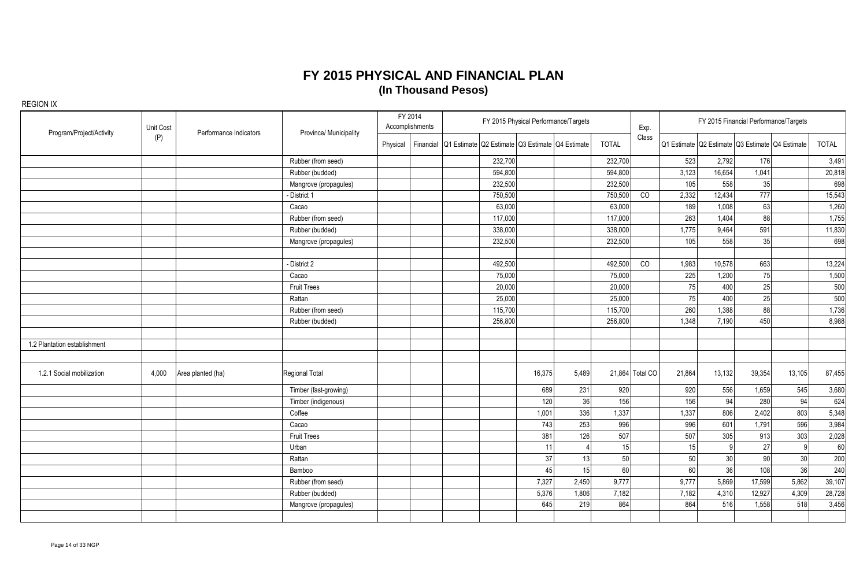| Program/Project/Activity     | Unit Cost | Performance Indicators | Province/ Municipality |          | FY 2014<br>Accomplishments | FY 2015 Physical Performance/Targets<br>Financial Q1 Estimate Q2 Estimate Q3 Estimate Q4 Estimate |        | Exp.  |              |                 | FY 2015 Financial Performance/Targets |                 |                                                 |        |              |
|------------------------------|-----------|------------------------|------------------------|----------|----------------------------|---------------------------------------------------------------------------------------------------|--------|-------|--------------|-----------------|---------------------------------------|-----------------|-------------------------------------------------|--------|--------------|
|                              | (P)       |                        |                        | Physical |                            |                                                                                                   |        |       | <b>TOTAL</b> | Class           |                                       |                 | Q1 Estimate Q2 Estimate Q3 Estimate Q4 Estimate |        | <b>TOTAL</b> |
|                              |           |                        | Rubber (from seed)     |          |                            | 232,700                                                                                           |        |       | 232,700      |                 | 523                                   | 2,792           | 176                                             |        | 3,491        |
|                              |           |                        | Rubber (budded)        |          |                            | 594,800                                                                                           |        |       | 594,800      |                 | 3,123                                 | 16,654          | 1,041                                           |        | 20,818       |
|                              |           |                        | Mangrove (propagules)  |          |                            | 232,500                                                                                           |        |       | 232,500      |                 | 105                                   | 558             | 35                                              |        | 698          |
|                              |           |                        | - District 1           |          |                            | 750,500                                                                                           |        |       | 750,500      | CO              | 2,332                                 | 12,434          | 777                                             |        | 15,543       |
|                              |           |                        | Cacao                  |          |                            | 63,000                                                                                            |        |       | 63,000       |                 | 189                                   | 1,008           | 63                                              |        | 1,260        |
|                              |           |                        | Rubber (from seed)     |          |                            | 117,000                                                                                           |        |       | 117,000      |                 | 263                                   | 1,404           | 88                                              |        | 1,755        |
|                              |           |                        | Rubber (budded)        |          |                            | 338,000                                                                                           |        |       | 338,000      |                 | 1,775                                 | 9,464           | 591                                             |        | 11,830       |
|                              |           |                        | Mangrove (propagules)  |          |                            | 232,500                                                                                           |        |       | 232,500      |                 | 105                                   | 558             | 35                                              |        | 698          |
|                              |           |                        |                        |          |                            |                                                                                                   |        |       |              |                 |                                       |                 |                                                 |        |              |
|                              |           |                        | - District 2           |          |                            | 492,500                                                                                           |        |       | 492,500      | CO              | 1,983                                 | 10,578          | 663                                             |        | 13,224       |
|                              |           |                        | Cacao                  |          |                            | 75,000                                                                                            |        |       | 75,000       |                 | 225                                   | 1,200           | 75                                              |        | 1,500        |
|                              |           |                        | <b>Fruit Trees</b>     |          |                            | 20,000                                                                                            |        |       | 20,000       |                 | 75                                    | 400             | 25                                              |        | 500          |
|                              |           |                        | Rattan                 |          |                            | 25,000                                                                                            |        |       | 25,000       |                 | 75                                    | 400             | 25                                              |        | 500          |
|                              |           |                        | Rubber (from seed)     |          |                            | 115,700                                                                                           |        |       | 115,700      |                 | 260                                   | 1,388           | 88                                              |        | 1,736        |
|                              |           |                        | Rubber (budded)        |          |                            | 256,800                                                                                           |        |       | 256,800      |                 | 1,348                                 | 7,190           | 450                                             |        | 8,988        |
| 1.2 Plantation establishment |           |                        |                        |          |                            |                                                                                                   |        |       |              |                 |                                       |                 |                                                 |        |              |
| 1.2.1 Social mobilization    | 4,000     | Area planted (ha)      | <b>Regional Total</b>  |          |                            |                                                                                                   | 16,375 | 5.489 |              | 21,864 Total CO | 21,864                                | 13,132          | 39,354                                          | 13,105 | 87,455       |
|                              |           |                        | Timber (fast-growing)  |          |                            |                                                                                                   | 689    | 231   | 920          |                 | 920                                   | 556             | 1,659                                           | 545    | 3,680        |
|                              |           |                        | Timber (indigenous)    |          |                            |                                                                                                   | 120    | 36    | 156          |                 | 156                                   | 94              | 280                                             | 94     | 624          |
|                              |           |                        | Coffee                 |          |                            |                                                                                                   | 1,001  | 336   | 1,337        |                 | 1,337                                 | 806             | 2,402                                           | 803    | 5,348        |
|                              |           |                        | Cacao                  |          |                            |                                                                                                   | 743    | 253   | 996          |                 | 996                                   | 601             | 1.791                                           | 596    | 3,984        |
|                              |           |                        | <b>Fruit Trees</b>     |          |                            |                                                                                                   | 381    | 126   | 507          |                 | 507                                   | 305             | 913                                             | 303    | 2,028        |
|                              |           |                        | Urban                  |          |                            |                                                                                                   | 11     |       | 15           |                 | 15                                    | q               | 27                                              | q      | 60           |
|                              |           |                        | Rattan                 |          |                            |                                                                                                   | 37     | 13    | 50           |                 | 50                                    | 30 <sup>°</sup> | 90                                              | 30     | 200          |
|                              |           |                        | Bamboo                 |          |                            |                                                                                                   | 45     | 15    | 60           |                 | 60                                    | 36              | 108                                             | 36     | 240          |
|                              |           |                        | Rubber (from seed)     |          |                            |                                                                                                   | 7,327  | 2,450 | 9,777        |                 | 9,777                                 | 5,869           | 17,599                                          | 5,862  | 39,107       |
|                              |           |                        | Rubber (budded)        |          |                            |                                                                                                   | 5,376  | 1,806 | 7,182        |                 | 7,182                                 | 4,310           | 12,927                                          | 4,309  | 28,728       |
|                              |           |                        | Mangrove (propagules)  |          |                            |                                                                                                   | 645    | 219   | 864          |                 | 864                                   | 516             | 1,558                                           | 518    | 3,456        |
|                              |           |                        |                        |          |                            |                                                                                                   |        |       |              |                 |                                       |                 |                                                 |        |              |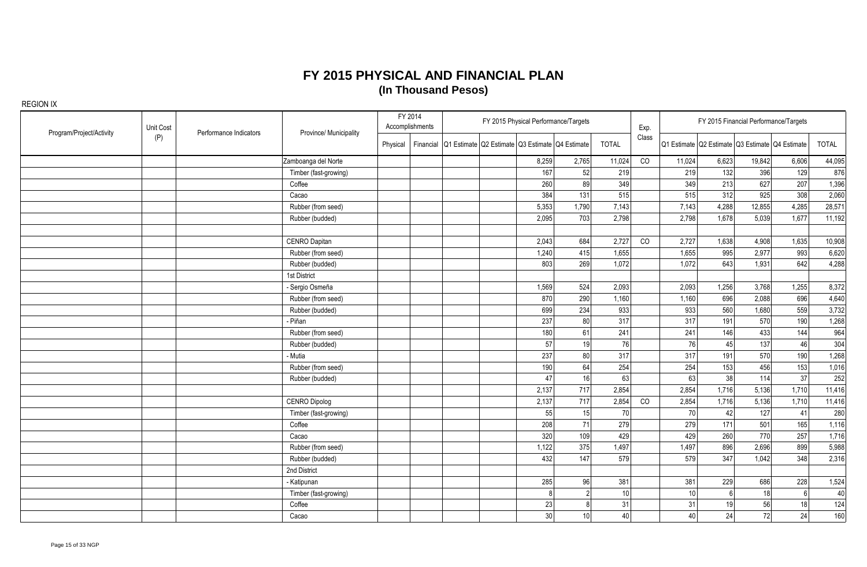| Program/Project/Activity | Unit Cost | Performance Indicators | Province/ Municipality | FY 2014<br>Accomplishments | FY 2015 Physical Performance/Targets                      |                 |              | Exp.  |                 | FY 2015 Financial Performance/Targets           |        |                 |              |
|--------------------------|-----------|------------------------|------------------------|----------------------------|-----------------------------------------------------------|-----------------|--------------|-------|-----------------|-------------------------------------------------|--------|-----------------|--------------|
|                          | (P)       |                        |                        | Physical                   | Financial Q1 Estimate Q2 Estimate Q3 Estimate Q4 Estimate |                 | <b>TOTAL</b> | Class |                 | Q1 Estimate Q2 Estimate Q3 Estimate Q4 Estimate |        |                 | <b>TOTAL</b> |
|                          |           |                        | Zamboanga del Norte    |                            | 8,259                                                     | 2,765           | 11,024       | CO    | 11,024          | 6,623                                           | 19,842 | 6,606           | 44,095       |
|                          |           |                        | Timber (fast-growing)  |                            | 167                                                       | 52              | 219          |       | 219             | 132                                             | 396    | 129             | 876          |
|                          |           |                        | Coffee                 |                            | 260                                                       | 89              | 349          |       | 349             | 213                                             | 627    | 207             | 1,396        |
|                          |           |                        | Cacao                  |                            | 384                                                       | 131             | 515          |       | 515             | 312                                             | 925    | 308             | 2,060        |
|                          |           |                        | Rubber (from seed)     |                            | 5,353                                                     | 1,790           | 7,143        |       | 7,143           | 4,288                                           | 12,855 | 4,285           | 28,571       |
|                          |           |                        | Rubber (budded)        |                            | 2,095                                                     | 703             | 2,798        |       | 2,798           | 1,678                                           | 5,039  | 1,677           | 11,192       |
|                          |           |                        |                        |                            |                                                           |                 |              |       |                 |                                                 |        |                 |              |
|                          |           |                        | CENRO Dapitan          |                            | 2,043                                                     | 684             | 2,727        | CO    | 2,727           | 1,638                                           | 4,908  | 1,635           | 10,908       |
|                          |           |                        | Rubber (from seed)     |                            | 1,240                                                     | 415             | 1,655        |       | 1,655           | 995                                             | 2,977  | 993             | 6,620        |
|                          |           |                        | Rubber (budded)        |                            | 803                                                       | 269             | 1,072        |       | 1,072           | 643                                             | 1,931  | 642             | 4,288        |
|                          |           |                        | 1st District           |                            |                                                           |                 |              |       |                 |                                                 |        |                 |              |
|                          |           |                        | Sergio Osmeña          |                            | 1,569                                                     | 524             | 2,093        |       | 2,093           | 1,256                                           | 3,768  | 1,255           | 8,372        |
|                          |           |                        | Rubber (from seed)     |                            | 870                                                       | 290             | 1,160        |       | 1,160           | 696                                             | 2,088  | 696             | 4,640        |
|                          |           |                        | Rubber (budded)        |                            | 699                                                       | 234             | 933          |       | 933             | 560                                             | 1,680  | 559             | 3,732        |
|                          |           |                        | - Piñan                |                            | 237                                                       | 80              | 317          |       | 317             | 191                                             | 570    | 190             | 1,268        |
|                          |           |                        | Rubber (from seed)     |                            | 180                                                       | 61              | 241          |       | 241             | 146                                             | 433    | 144             | 964          |
|                          |           |                        | Rubber (budded)        |                            | 57                                                        | 19              | 76           |       | 76              | 45                                              | 137    | 46              | 304          |
|                          |           |                        | - Mutia                |                            | 237                                                       | 80              | 317          |       | 317             | 191                                             | 570    | 190             | 1,268        |
|                          |           |                        | Rubber (from seed)     |                            | 190                                                       | 64              | 254          |       | 254             | 153                                             | 456    | 153             | 1,016        |
|                          |           |                        | Rubber (budded)        |                            | 47                                                        | 16              | 63           |       | 63              | 38                                              | 114    | 37              | 252          |
|                          |           |                        |                        |                            | 2,137                                                     | 717             | 2,854        |       | 2,854           | 1,716                                           | 5,136  | 1,710           | 11,416       |
|                          |           |                        | <b>CENRO Dipolog</b>   |                            | 2,137                                                     | 717             | 2,854        | CO    | 2,854           | 1,716                                           | 5,136  | 1,710           | 11,416       |
|                          |           |                        | Timber (fast-growing)  |                            | 55                                                        | 15              | 70           |       | 70              | 42                                              | 127    | 41              | 280          |
|                          |           |                        | Coffee                 |                            | 208                                                       | 71              | 279          |       | 279             | 171                                             | 501    | 165             | 1,116        |
|                          |           |                        | Cacao                  |                            | 320                                                       | 109             | 429          |       | 429             | 260                                             | 770    | 257             | 1,716        |
|                          |           |                        | Rubber (from seed)     |                            | 1,122                                                     | 375             | 1,497        |       | 1,497           | 896                                             | 2,696  | 899             | 5,988        |
|                          |           |                        | Rubber (budded)        |                            | 432                                                       | 147             | 579          |       | 579             | 347                                             | 1,042  | 348             | 2,316        |
|                          |           |                        | 2nd District           |                            |                                                           |                 |              |       |                 |                                                 |        |                 |              |
|                          |           |                        | - Katipunan            |                            | 285                                                       | 96              | 381          |       | 381             | 229                                             | 686    | 228             | 1,524        |
|                          |           |                        | Timber (fast-growing)  |                            | 8                                                         |                 | 10           |       | 10 <sup>1</sup> | 6 <sup>1</sup>                                  | 18     | $6\overline{6}$ | 40           |
|                          |           |                        | Coffee                 |                            | 23                                                        |                 | 31           |       | 31              | 19                                              | 56     | 18              | 124          |
|                          |           |                        | Cacao                  |                            | 30                                                        | 10 <sup>1</sup> | 40           |       | 40              | 24                                              | 72     | 24              | 160          |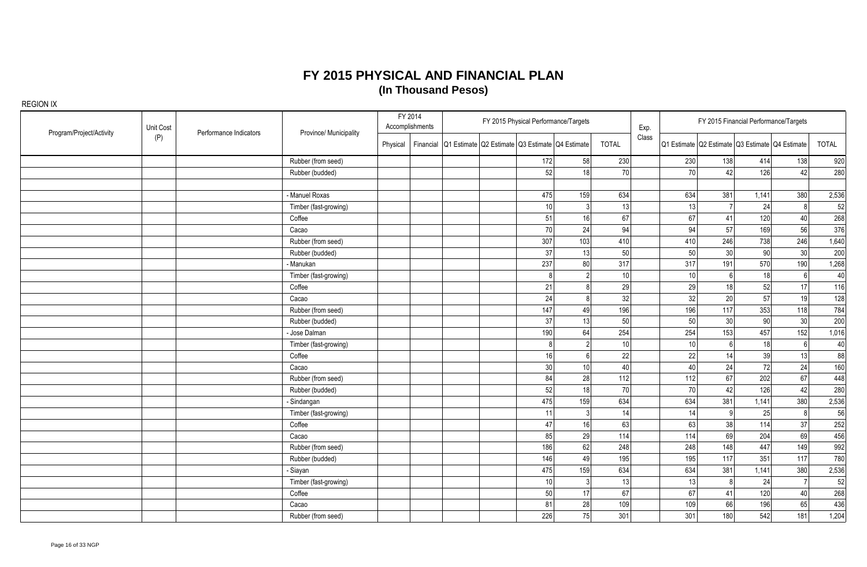| Program/Project/Activity | Unit Cost | Performance Indicators | Province/ Municipality |          | FY 2014<br>Accomplishments |                                                           | FY 2015 Physical Performance/Targets |     |              | Exp.  |                 |                 | FY 2015 Financial Performance/Targets           |                |              |
|--------------------------|-----------|------------------------|------------------------|----------|----------------------------|-----------------------------------------------------------|--------------------------------------|-----|--------------|-------|-----------------|-----------------|-------------------------------------------------|----------------|--------------|
|                          | (P)       |                        |                        | Physical |                            | Financial Q1 Estimate Q2 Estimate Q3 Estimate Q4 Estimate |                                      |     | <b>TOTAL</b> | Class |                 |                 | Q1 Estimate Q2 Estimate Q3 Estimate Q4 Estimate |                | <b>TOTAL</b> |
|                          |           |                        | Rubber (from seed)     |          |                            |                                                           | 172                                  | 58  | 230          |       | 230             | 138             | 414                                             | 138            | 920          |
|                          |           |                        | Rubber (budded)        |          |                            |                                                           | 52                                   | 18  | 70           |       | 70              | 42              | 126                                             | 42             | 280          |
|                          |           |                        |                        |          |                            |                                                           |                                      |     |              |       |                 |                 |                                                 |                |              |
|                          |           |                        | - Manuel Roxas         |          |                            |                                                           | 475                                  | 159 | 634          |       | 634             | 381             | 1,141                                           | 380            | 2,536        |
|                          |           |                        | Timber (fast-growing)  |          |                            |                                                           | 10                                   |     | 13           |       | 13              | $\overline{7}$  | 24                                              | 8              | 52           |
|                          |           |                        | Coffee                 |          |                            |                                                           | 51                                   | 16  | 67           |       | 67              | 41              | 120                                             | 40             | 268          |
|                          |           |                        | Cacao                  |          |                            |                                                           | 70                                   | 24  | 94           |       | 94              | 57              | 169                                             | 56             | 376          |
|                          |           |                        | Rubber (from seed)     |          |                            |                                                           | 307                                  | 103 | 410          |       | 410             | 246             | 738                                             | 246            | 1,640        |
|                          |           |                        | Rubber (budded)        |          |                            |                                                           | 37                                   | 13  | 50           |       | 50              | 30 <sub>2</sub> | 90                                              | 30             | 200          |
|                          |           |                        | - Manukan              |          |                            |                                                           | 237                                  | 80  | 317          |       | 317             | 191             | 570                                             | 190            | 1,268        |
|                          |           |                        | Timber (fast-growing)  |          |                            |                                                           |                                      |     | 10           |       | 10 <sup>1</sup> | $6 \mid$        | 18                                              | 6              | 40           |
|                          |           |                        | Coffee                 |          |                            |                                                           | 21                                   |     | 29           |       | 29              | 18              | 52                                              | 17             | 116          |
|                          |           |                        | Cacao                  |          |                            |                                                           | 24                                   |     | 32           |       | 32              | 20              | 57                                              | 19             | 128          |
|                          |           |                        | Rubber (from seed)     |          |                            |                                                           | 147                                  | 49  | 196          |       | 196             | 117             | 353                                             | 118            | 784          |
|                          |           |                        | Rubber (budded)        |          |                            |                                                           | 37                                   | 13  | 50           |       | 50              | 30 <sup>°</sup> | 90                                              | 30             | 200          |
|                          |           |                        | - Jose Dalman          |          |                            |                                                           | 190                                  | 64  | 254          |       | 254             | 153             | 457                                             | 152            | 1,016        |
|                          |           |                        | Timber (fast-growing)  |          |                            |                                                           |                                      |     | 10           |       | 10 <sup>1</sup> | 6               | 18                                              | 6              | 40           |
|                          |           |                        | Coffee                 |          |                            |                                                           | 16                                   |     | 22           |       | 22              | 14              | 39                                              | 13             | 88           |
|                          |           |                        | Cacao                  |          |                            |                                                           | 30                                   | 10  | 40           |       | 40              | 24              | 72                                              | 24             | 160          |
|                          |           |                        | Rubber (from seed)     |          |                            |                                                           | 84                                   | 28  | 112          |       | 112             | 67              | 202                                             | 67             | 448          |
|                          |           |                        | Rubber (budded)        |          |                            |                                                           | 52                                   | 18  | 70           |       | 70              | 42              | 126                                             | 42             | 280          |
|                          |           |                        | - Sindangan            |          |                            |                                                           | 475                                  | 159 | 634          |       | 634             | 381             | 1,141                                           | 380            | 2,536        |
|                          |           |                        | Timber (fast-growing)  |          |                            |                                                           | 11                                   |     | 14           |       | 14              | 9               | 25                                              | 8              | 56           |
|                          |           |                        | Coffee                 |          |                            |                                                           | 47                                   | 16  | 63           |       | 63              | 38              | 114                                             | 37             | 252          |
|                          |           |                        | Cacao                  |          |                            |                                                           | 85                                   | 29  | 114          |       | 114             | 69              | 204                                             | 69             | 456          |
|                          |           |                        | Rubber (from seed)     |          |                            |                                                           | 186                                  | 62  | 248          |       | 248             | 148             | 447                                             | 149            | 992          |
|                          |           |                        | Rubber (budded)        |          |                            |                                                           | 146                                  | 49  | 195          |       | 195             | 117             | 351                                             | 117            | 780          |
|                          |           |                        | - Siayan               |          |                            |                                                           | 475                                  | 159 | 634          |       | 634             | 381             | 1,141                                           | 380            | 2,536        |
|                          |           |                        | Timber (fast-growing)  |          |                            |                                                           | 10 <sup>1</sup>                      |     | 13           |       | 13              | 8 <sup>1</sup>  | 24                                              | $\overline{7}$ | 52           |
|                          |           |                        | Coffee                 |          |                            |                                                           | 50                                   | 17  | 67           |       | 67              | 41              | 120                                             | 40             | 268          |
|                          |           |                        | Cacao                  |          |                            |                                                           | 81                                   | 28  | 109          |       | 109             | 66              | 196                                             | 65             | 436          |
|                          |           |                        | Rubber (from seed)     |          |                            |                                                           | 226                                  | 75  | 301          |       | 301             | 180             | 542                                             | 181            | 1,204        |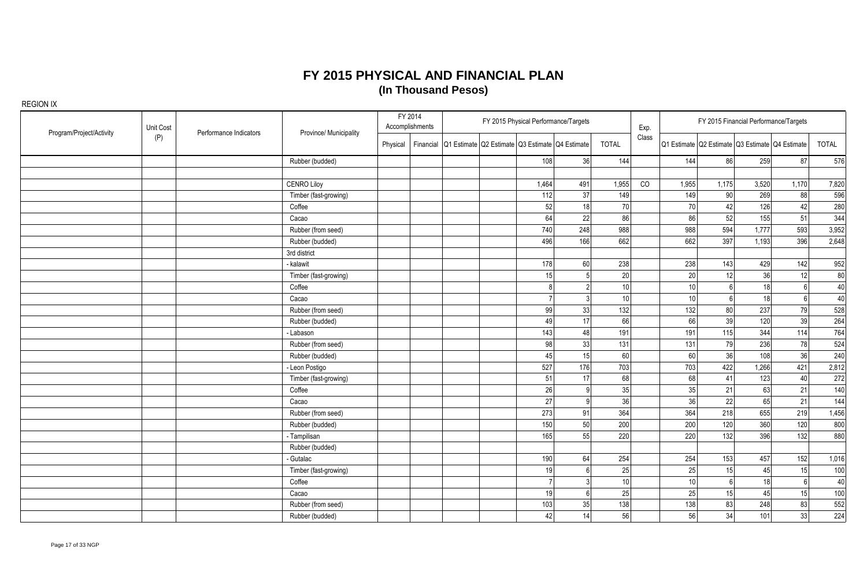| Program/Project/Activity | Unit Cost | Performance Indicators | Province/ Municipality |          | FY 2014<br>Accomplishments |                                                           | FY 2015 Physical Performance/Targets |     |              | Exp.  |                 |                | FY 2015 Financial Performance/Targets           |                 |              |
|--------------------------|-----------|------------------------|------------------------|----------|----------------------------|-----------------------------------------------------------|--------------------------------------|-----|--------------|-------|-----------------|----------------|-------------------------------------------------|-----------------|--------------|
|                          | (P)       |                        |                        | Physical |                            | Financial Q1 Estimate Q2 Estimate Q3 Estimate Q4 Estimate |                                      |     | <b>TOTAL</b> | Class |                 |                | Q1 Estimate Q2 Estimate Q3 Estimate Q4 Estimate |                 | <b>TOTAL</b> |
|                          |           |                        | Rubber (budded)        |          |                            |                                                           | 108                                  | 36  | 144          |       | 144             | 86             | 259                                             | 87              | 576          |
|                          |           |                        |                        |          |                            |                                                           |                                      |     |              |       |                 |                |                                                 |                 |              |
|                          |           |                        | <b>CENRO Liloy</b>     |          |                            |                                                           | 1,464                                | 491 | 1,955        | CO    | 1,955           | 1,175          | 3,520                                           | 1,170           | 7,820        |
|                          |           |                        | Timber (fast-growing)  |          |                            |                                                           | 112                                  | 37  | 149          |       | 149             | 90             | 269                                             | 88              | 596          |
|                          |           |                        | Coffee                 |          |                            |                                                           | 52                                   | 18  | 70           |       | 70              | 42             | 126                                             | 42              | 280          |
|                          |           |                        | Cacao                  |          |                            |                                                           | 64                                   | 22  | 86           |       | 86              | 52             | 155                                             | 51              | 344          |
|                          |           |                        | Rubber (from seed)     |          |                            |                                                           | 740                                  | 248 | 988          |       | 988             | 594            | 1,777                                           | 593             | 3,952        |
|                          |           |                        | Rubber (budded)        |          |                            |                                                           | 496                                  | 166 | 662          |       | 662             | 397            | 1,193                                           | 396             | 2,648        |
|                          |           |                        | 3rd district           |          |                            |                                                           |                                      |     |              |       |                 |                |                                                 |                 |              |
|                          |           |                        | - kalawit              |          |                            |                                                           | 178                                  | 60  | 238          |       | 238             | 143            | 429                                             | 142             | 952          |
|                          |           |                        | Timber (fast-growing)  |          |                            |                                                           | 15                                   |     | 20           |       | 20              | 12             | 36                                              | 12              | 80           |
|                          |           |                        | Coffee                 |          |                            |                                                           |                                      |     | 10           |       | 10              | 6              | 18                                              | $6\overline{6}$ | 40           |
|                          |           |                        | Cacao                  |          |                            |                                                           |                                      |     | 10           |       | 10 <sup>1</sup> | 6 <sup>1</sup> | 18                                              | 6               | 40           |
|                          |           |                        | Rubber (from seed)     |          |                            |                                                           | 99                                   | 33  | 132          |       | 132             | 80             | 237                                             | 79              | 528          |
|                          |           |                        | Rubber (budded)        |          |                            |                                                           | 49                                   | 17  | 66           |       | 66              | 39             | 120                                             | 39              | 264          |
|                          |           |                        | - Labason              |          |                            |                                                           | 143                                  | 48  | 191          |       | 191             | 115            | 344                                             | 114             | 764          |
|                          |           |                        | Rubber (from seed)     |          |                            |                                                           | 98                                   | 33  | 131          |       | 131             | 79             | 236                                             | 78              | 524          |
|                          |           |                        | Rubber (budded)        |          |                            |                                                           | 45                                   | 15  | 60           |       | 60              | 36             | 108                                             | 36              | 240          |
|                          |           |                        | - Leon Postigo         |          |                            |                                                           | 527                                  | 176 | 703          |       | 703             | 422            | 1,266                                           | 421             | 2,812        |
|                          |           |                        | Timber (fast-growing)  |          |                            |                                                           | 51                                   | 17  | 68           |       | 68              | 41             | 123                                             | 40              | 272          |
|                          |           |                        | Coffee                 |          |                            |                                                           | 26                                   |     | 35           |       | 35              | 21             | 63                                              | 21              | 140          |
|                          |           |                        | Cacao                  |          |                            |                                                           | 27                                   |     | 36           |       | 36              | 22             | 65                                              | 21              | 144          |
|                          |           |                        | Rubber (from seed)     |          |                            |                                                           | 273                                  | 91  | 364          |       | 364             | 218            | 655                                             | 219             | 1,456        |
|                          |           |                        | Rubber (budded)        |          |                            |                                                           | 150                                  | 50  | 200          |       | 200             | 120            | 360                                             | 120             | 800          |
|                          |           |                        | - Tampilisan           |          |                            |                                                           | 165                                  | 55  | 220          |       | 220             | $\boxed{132}$  | 396                                             | 132             | 880          |
|                          |           |                        | Rubber (budded)        |          |                            |                                                           |                                      |     |              |       |                 |                |                                                 |                 |              |
|                          |           |                        | - Gutalac              |          |                            |                                                           | 190                                  | 64  | 254          |       | 254             | 153            | 457                                             | 152             | 1,016        |
|                          |           |                        | Timber (fast-growing)  |          |                            |                                                           | 19                                   |     | 25           |       | 25              | 15             | 45                                              | 15              | 100          |
|                          |           |                        | Coffee                 |          |                            |                                                           |                                      |     | 10           |       | 10 <sup>1</sup> | $6 \mid$       | 18                                              | $6\phantom{1}6$ | 40           |
|                          |           |                        | Cacao                  |          |                            |                                                           | 19                                   |     | 25           |       | 25              | 15             | 45                                              | 15              | 100          |
|                          |           |                        | Rubber (from seed)     |          |                            |                                                           | 103                                  | 35  | 138          |       | 138             | 83             | 248                                             | 83              | 552          |
|                          |           |                        | Rubber (budded)        |          |                            |                                                           | 42                                   | 14  | 56           |       | 56              | 34             | 101                                             | 33              | 224          |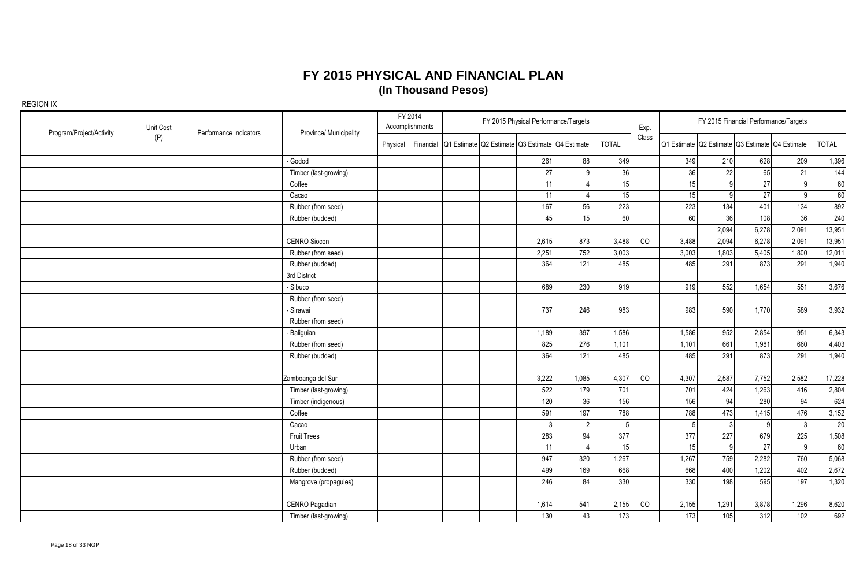| Program/Project/Activity | Unit Cost | Performance Indicators | Province/ Municipality |          | FY 2014<br>Accomplishments |                                                           | FY 2015 Physical Performance/Targets |                |              | Exp.  |                 |                | FY 2015 Financial Performance/Targets           |              |              |
|--------------------------|-----------|------------------------|------------------------|----------|----------------------------|-----------------------------------------------------------|--------------------------------------|----------------|--------------|-------|-----------------|----------------|-------------------------------------------------|--------------|--------------|
|                          | (P)       |                        |                        | Physical |                            | Financial Q1 Estimate Q2 Estimate Q3 Estimate Q4 Estimate |                                      |                | <b>TOTAL</b> | Class |                 |                | Q1 Estimate Q2 Estimate Q3 Estimate Q4 Estimate |              | <b>TOTAL</b> |
|                          |           |                        | - Godod                |          |                            |                                                           | 261                                  | 88             | 349          |       | 349             | 210            | 628                                             | 209          | 1,396        |
|                          |           |                        | Timber (fast-growing)  |          |                            |                                                           | 27                                   |                | 36           |       | 36              | 22             | 65                                              | 21           | 144          |
|                          |           |                        | Coffee                 |          |                            |                                                           | 11                                   |                | 15           |       | 15              | 9              | 27                                              | 9            | 60           |
|                          |           |                        | Cacao                  |          |                            |                                                           | 11                                   |                | 15           |       | 15              | 9 <sup>1</sup> | 27                                              | $\mathsf{q}$ | 60           |
|                          |           |                        | Rubber (from seed)     |          |                            |                                                           | 167                                  | 56             | 223          |       | 223             | 134            | 401                                             | 134          | 892          |
|                          |           |                        | Rubber (budded)        |          |                            |                                                           | 45                                   | 15             | 60           |       | 60 <sup>1</sup> | 36             | 108                                             | 36           | 240          |
|                          |           |                        |                        |          |                            |                                                           |                                      |                |              |       |                 | 2,094          | 6,278                                           | 2,091        | 13,951       |
|                          |           |                        | CENRO Siocon           |          |                            |                                                           | 2,615                                | 873            | 3,488        | CO    | 3,488           | 2,094          | 6,278                                           | 2,091        | 13,951       |
|                          |           |                        | Rubber (from seed)     |          |                            |                                                           | 2,251                                | 752            | 3,003        |       | 3,003           | 1,803          | 5,405                                           | 1,800        | 12,011       |
|                          |           |                        | Rubber (budded)        |          |                            |                                                           | 364                                  | 121            | 485          |       | 485             | 291            | 873                                             | 291          | 1,940        |
|                          |           |                        | 3rd District           |          |                            |                                                           |                                      |                |              |       |                 |                |                                                 |              |              |
|                          |           |                        | - Sibuco               |          |                            |                                                           | 689                                  | 230            | 919          |       | 919             | 552            | 1,654                                           | 551          | 3,676        |
|                          |           |                        | Rubber (from seed)     |          |                            |                                                           |                                      |                |              |       |                 |                |                                                 |              |              |
|                          |           |                        | - Sirawai              |          |                            |                                                           | 737                                  | 246            | 983          |       | 983             | 590            | 1,770                                           | 589          | 3,932        |
|                          |           |                        | Rubber (from seed)     |          |                            |                                                           |                                      |                |              |       |                 |                |                                                 |              |              |
|                          |           |                        | - Baliguian            |          |                            |                                                           | 1,189                                | 397            | 1,586        |       | 1,586           | 952            | 2,854                                           | 951          | 6,343        |
|                          |           |                        | Rubber (from seed)     |          |                            |                                                           | 825                                  | 276            | 1,101        |       | 1,101           | 661            | 1,981                                           | 660          | 4,403        |
|                          |           |                        | Rubber (budded)        |          |                            |                                                           | 364                                  | 121            | 485          |       | 485             | 291            | 873                                             | 291          | 1,940        |
|                          |           |                        |                        |          |                            |                                                           |                                      |                |              |       |                 |                |                                                 |              |              |
|                          |           |                        | Zamboanga del Sur      |          |                            |                                                           | 3,222                                | 1,085          | 4,307        | CO    | 4,307           | 2,587          | 7,752                                           | 2,582        | 17,228       |
|                          |           |                        | Timber (fast-growing)  |          |                            |                                                           | 522                                  | 179            | 701          |       | 701             | 424            | 1,263                                           | 416          | 2,804        |
|                          |           |                        | Timber (indigenous)    |          |                            |                                                           | 120                                  | 36             | 156          |       | 156             | 94             | 280                                             | 94           | 624          |
|                          |           |                        | Coffee                 |          |                            |                                                           | 591                                  | 197            | 788          |       | 788             | 473            | 1,415                                           | 476          | 3,152        |
|                          |           |                        | Cacao                  |          |                            |                                                           | 3                                    | $\overline{2}$ |              |       | 5 <sup>1</sup>  | 3 <sup>1</sup> | 9                                               | -31          | 20           |
|                          |           |                        | <b>Fruit Trees</b>     |          |                            |                                                           | 283                                  | 94             | 377          |       | 377             | 227            | 679                                             | 225          | 1,508        |
|                          |           |                        | Urban                  |          |                            |                                                           | 11                                   |                | 15           |       | 15              | 9              | 27                                              | 9            | 60           |
|                          |           |                        | Rubber (from seed)     |          |                            |                                                           | 947                                  | 320            | 1,267        |       | 1,267           | 759            | 2,282                                           | 760          | 5,068        |
|                          |           |                        | Rubber (budded)        |          |                            |                                                           | 499                                  | 169            | 668          |       | 668             | 400            | 1,202                                           | 402          | 2,672        |
|                          |           |                        | Mangrove (propagules)  |          |                            |                                                           | 246                                  | 84             | 330          |       | 330             | 198            | 595                                             | 197          | 1,320        |
|                          |           |                        |                        |          |                            |                                                           |                                      |                |              |       |                 |                |                                                 |              |              |
|                          |           |                        | CENRO Pagadian         |          |                            |                                                           | 1,614                                | 541            | 2,155        | CO    | 2,155           | 1,291          | 3,878                                           | 1,296        | 8,620        |
|                          |           |                        | Timber (fast-growing)  |          |                            |                                                           | 130                                  | 43             | 173          |       | 173             | 105            | 312                                             | 102          | 692          |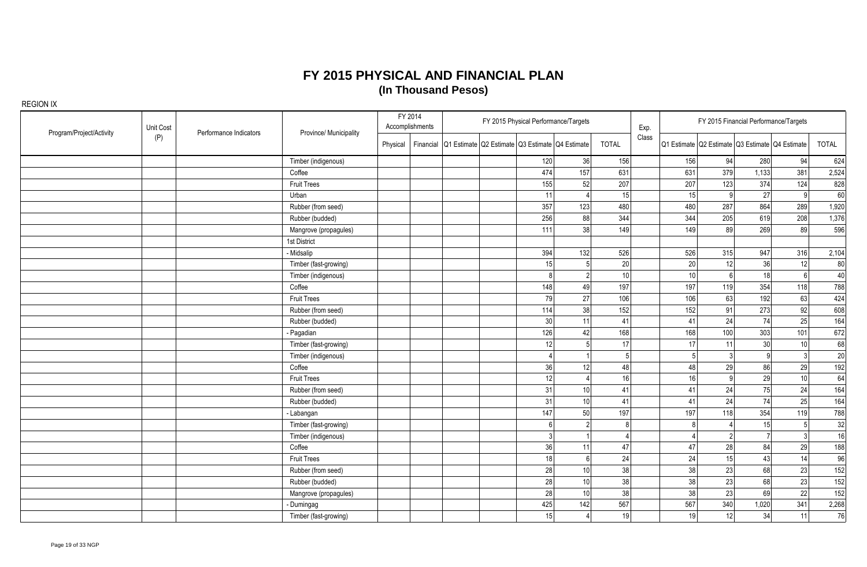| Program/Project/Activity | Unit Cost | Performance Indicators | Province/ Municipality |          | FY 2014<br>Accomplishments |                                                           |                 | FY 2015 Physical Performance/Targets |                 | Exp.  |     |                  | FY 2015 Financial Performance/Targets           |     |       |
|--------------------------|-----------|------------------------|------------------------|----------|----------------------------|-----------------------------------------------------------|-----------------|--------------------------------------|-----------------|-------|-----|------------------|-------------------------------------------------|-----|-------|
|                          | (P)       |                        |                        | Physical |                            | Financial Q1 Estimate Q2 Estimate Q3 Estimate Q4 Estimate |                 |                                      | <b>TOTAL</b>    | Class |     |                  | Q1 Estimate Q2 Estimate Q3 Estimate Q4 Estimate |     | TOTAL |
|                          |           |                        | Timber (indigenous)    |          |                            |                                                           | 120             | 36                                   | 156             |       | 156 | 94               | 280                                             | 94  | 624   |
|                          |           |                        | Coffee                 |          |                            |                                                           | 474             | 157                                  | 631             |       | 631 | 379              | 1,133                                           | 381 | 2,524 |
|                          |           |                        | <b>Fruit Trees</b>     |          |                            |                                                           | 155             | 52                                   | 207             |       | 207 | 123              | 374                                             | 124 | 828   |
|                          |           |                        | Urban                  |          |                            |                                                           | 11              |                                      | 15              |       | 15  | $\overline{9}$   | 27                                              | q   | 60    |
|                          |           |                        | Rubber (from seed)     |          |                            |                                                           | 357             | 123                                  | 480             |       | 480 | 287              | 864                                             | 289 | 1,920 |
|                          |           |                        | Rubber (budded)        |          |                            |                                                           | 256             | 88                                   | 344             |       | 344 | 205              | 619                                             | 208 | 1,376 |
|                          |           |                        | Mangrove (propagules)  |          |                            |                                                           | 111             | 38                                   | 149             |       | 149 | 89               | 269                                             | 89  | 596   |
|                          |           |                        | 1st District           |          |                            |                                                           |                 |                                      |                 |       |     |                  |                                                 |     |       |
|                          |           |                        | - Midsalip             |          |                            |                                                           | 394             | 132                                  | 526             |       | 526 | 315              | 947                                             | 316 | 2,104 |
|                          |           |                        | Timber (fast-growing)  |          |                            |                                                           | 15              | 5 <sup>1</sup>                       | 20              |       | 20  | 12               | 36                                              | 12  | 80    |
|                          |           |                        | Timber (indigenous)    |          |                            |                                                           | 8               | 2 <sup>1</sup>                       | 10 <sup>1</sup> |       | 10  | $6 \overline{6}$ | 18                                              |     | 40    |
|                          |           |                        | Coffee                 |          |                            |                                                           | 148             | 49                                   | 197             |       | 197 | 119              | 354                                             | 118 | 788   |
|                          |           |                        | <b>Fruit Trees</b>     |          |                            |                                                           | 79              | 27                                   | 106             |       | 106 | 63               | 192                                             | 63  | 424   |
|                          |           |                        | Rubber (from seed)     |          |                            |                                                           | 114             | 38                                   | 152             |       | 152 | 91               | 273                                             | 92  | 608   |
|                          |           |                        | Rubber (budded)        |          |                            |                                                           | 30 <sup>1</sup> | 11                                   | 41              |       | 41  | 24               | 74                                              | 25  | 164   |
|                          |           |                        | Pagadian               |          |                            |                                                           | 126             | 42                                   | 168             |       | 168 | 100              | 303                                             | 101 | 672   |
|                          |           |                        | Timber (fast-growing)  |          |                            |                                                           | 12              | 5                                    | 17              |       | 17  | 11               | 30                                              | 10  | 68    |
|                          |           |                        | Timber (indigenous)    |          |                            |                                                           |                 |                                      |                 |       |     | 3 <sup>1</sup>   | $\Omega$                                        |     | 20    |
|                          |           |                        | Coffee                 |          |                            |                                                           | 36              | 12                                   | 48              |       | 48  | 29               | 86                                              | 29  | 192   |
|                          |           |                        | <b>Fruit Trees</b>     |          |                            |                                                           | 12              |                                      | 16 <sup>1</sup> |       | 16  | 9                | 29                                              | 10  | 64    |
|                          |           |                        | Rubber (from seed)     |          |                            |                                                           | 31              | 10 <sup>1</sup>                      | 41              |       | 41  | 24               | 75                                              | 24  | 164   |
|                          |           |                        | Rubber (budded)        |          |                            |                                                           | 31              | 10 <sup>1</sup>                      | 41              |       | 41  | 24               | 74                                              | 25  | 164   |
|                          |           |                        | - Labangan             |          |                            |                                                           | 147             | 50 <sup>1</sup>                      | 197             |       | 197 | 118              | 354                                             | 119 | 788   |
|                          |           |                        | Timber (fast-growing)  |          |                            |                                                           |                 | $\overline{2}$                       |                 |       |     |                  | 15                                              |     | 32    |
|                          |           |                        | Timber (indigenous)    |          |                            |                                                           | 3               |                                      |                 |       |     | 2                |                                                 |     | 16    |
|                          |           |                        | Coffee                 |          |                            |                                                           | 36              | 11                                   | 47              |       | 47  | 28               | 84                                              | 29  | 188   |
|                          |           |                        | <b>Fruit Trees</b>     |          |                            |                                                           | 18              | 6                                    | 24              |       | 24  | 15               | 43                                              | 14  | 96    |
|                          |           |                        | Rubber (from seed)     |          |                            |                                                           | 28              | 10 <sup>1</sup>                      | 38              |       | 38  | $\overline{23}$  | 68                                              | 23  | 152   |
|                          |           |                        | Rubber (budded)        |          |                            |                                                           | 28              | 10 <sup>1</sup>                      | 38              |       | 38  | 23               | 68                                              | 23  | 152   |
|                          |           |                        | Mangrove (propagules)  |          |                            |                                                           | 28              | 10 <sup>1</sup>                      | 38              |       | 38  | 23               | 69                                              | 22  | 152   |
|                          |           |                        | Dumingag               |          |                            |                                                           | 425             | 142                                  | 567             |       | 567 | 340              | 1,020                                           | 341 | 2,268 |
|                          |           |                        | Timber (fast-growing)  |          |                            |                                                           | 15              |                                      | 19              |       | 19  | 12               | 34                                              | 11  | 76    |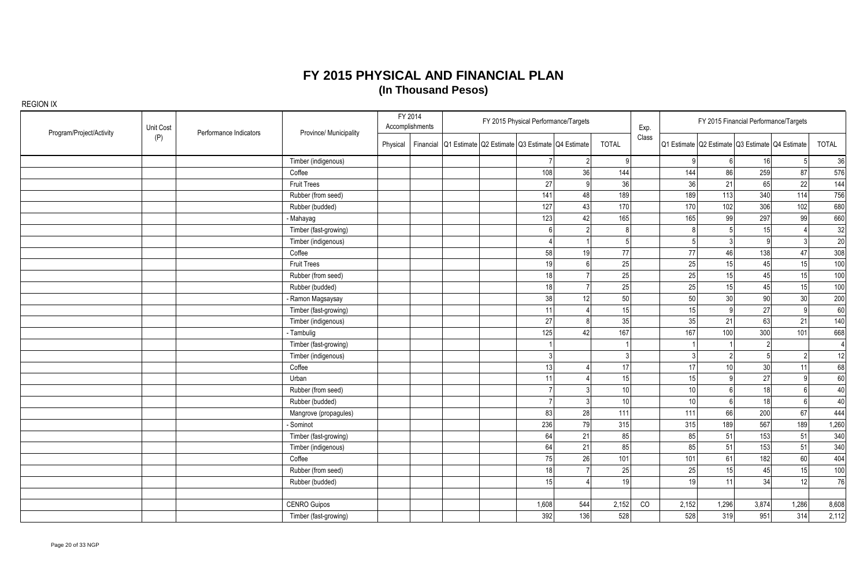| Program/Project/Activity | Unit Cost | Performance Indicators | Province/ Municipality | FY 2014<br>FY 2015 Physical Performance/Targets<br>Accomplishments |  |  |  | Exp.                                                      |                |                 | FY 2015 Financial Performance/Targets |                 |                 |                                                 |                 |
|--------------------------|-----------|------------------------|------------------------|--------------------------------------------------------------------|--|--|--|-----------------------------------------------------------|----------------|-----------------|---------------------------------------|-----------------|-----------------|-------------------------------------------------|-----------------|
|                          | (P)       |                        |                        | Physical                                                           |  |  |  | Financial Q1 Estimate Q2 Estimate Q3 Estimate Q4 Estimate |                | <b>TOTAL</b>    | Class                                 |                 |                 | Q1 Estimate Q2 Estimate Q3 Estimate Q4 Estimate | <b>TOTAL</b>    |
|                          |           |                        | Timber (indigenous)    |                                                                    |  |  |  |                                                           | 2              | q               |                                       | a               | 6               | 16                                              | 36              |
|                          |           |                        | Coffee                 |                                                                    |  |  |  | 108                                                       | 36             | 144             |                                       | 144             | 86              | 259                                             | 87<br>576       |
|                          |           |                        | <b>Fruit Trees</b>     |                                                                    |  |  |  | 27                                                        | 9              | 36              |                                       | 36              | 21              | 65                                              | 22<br>144       |
|                          |           |                        | Rubber (from seed)     |                                                                    |  |  |  | 141                                                       | 48             | 189             |                                       | 189             | 113             | 340                                             | 756<br>114      |
|                          |           |                        | Rubber (budded)        |                                                                    |  |  |  | 127                                                       | 43             | 170             |                                       | 170             | 102             | 306                                             | 102<br>680      |
|                          |           |                        | - Mahayag              |                                                                    |  |  |  | 123                                                       | 42             | 165             |                                       | 165             | 99              | 297                                             | 99<br>660       |
|                          |           |                        | Timber (fast-growing)  |                                                                    |  |  |  |                                                           |                |                 |                                       |                 | $\overline{5}$  | 15                                              | 32              |
|                          |           |                        | Timber (indigenous)    |                                                                    |  |  |  |                                                           |                |                 |                                       |                 | $\overline{3}$  | q                                               | 20              |
|                          |           |                        | Coffee                 |                                                                    |  |  |  | 58                                                        | 19             | 77              |                                       | 77              | 46              | 138                                             | 308<br>47       |
|                          |           |                        | <b>Fruit Trees</b>     |                                                                    |  |  |  | 19                                                        | $6 \mid$       | 25              |                                       | 25              | 15              | 45                                              | 15<br>100       |
|                          |           |                        | Rubber (from seed)     |                                                                    |  |  |  | 18                                                        |                | 25              |                                       | 25              | 15              | 45                                              | 15<br>100       |
|                          |           |                        | Rubber (budded)        |                                                                    |  |  |  | 18                                                        |                | 25              |                                       | 25              | 15              | 45                                              | 15<br>100       |
|                          |           |                        | - Ramon Magsaysay      |                                                                    |  |  |  | 38                                                        | 12             | 50              |                                       | 50              | 30 <sup>°</sup> | 90                                              | 30<br>200       |
|                          |           |                        | Timber (fast-growing)  |                                                                    |  |  |  | 11                                                        |                | 15              |                                       | 15              | 9               | 27                                              | 60              |
|                          |           |                        | Timber (indigenous)    |                                                                    |  |  |  | 27                                                        |                | 35              |                                       | 35              | 21              | 63                                              | 140<br>21       |
|                          |           |                        | - Tambulig             |                                                                    |  |  |  | 125                                                       | 42             | 167             |                                       | 167             | 100             | 300                                             | 101<br>668      |
|                          |           |                        | Timber (fast-growing)  |                                                                    |  |  |  |                                                           |                |                 |                                       |                 |                 | $\mathfrak{D}$                                  | $\vert 4 \vert$ |
|                          |           |                        | Timber (indigenous)    |                                                                    |  |  |  |                                                           |                |                 |                                       |                 | $\overline{2}$  |                                                 | 12              |
|                          |           |                        | Coffee                 |                                                                    |  |  |  | 13                                                        |                | 17              |                                       | 17              | 10              | 30                                              | 68<br>11        |
|                          |           |                        | Urban                  |                                                                    |  |  |  | 11                                                        |                | 15 <sup>1</sup> |                                       | 15              | $\overline{9}$  | 27                                              | 60              |
|                          |           |                        | Rubber (from seed)     |                                                                    |  |  |  |                                                           |                | 10 <sup>1</sup> |                                       | 10 <sup>1</sup> | $6 \mid$        | 18                                              | 40              |
|                          |           |                        | Rubber (budded)        |                                                                    |  |  |  |                                                           | $\overline{3}$ | 10l             |                                       | 10              | $6 \mid$        | 18                                              | 40              |
|                          |           |                        | Mangrove (propagules)  |                                                                    |  |  |  | 83                                                        | 28             | 111             |                                       | 111             | 66              | 200                                             | 444<br>67       |
|                          |           |                        | - Sominot              |                                                                    |  |  |  | 236                                                       | 79             | 315             |                                       | 315             | 189             | 567                                             | 189<br>1,260    |
|                          |           |                        | Timber (fast-growing)  |                                                                    |  |  |  | 64                                                        | 21             | 85              |                                       | 85              | 51              | 153                                             | 51<br>340       |
|                          |           |                        | Timber (indigenous)    |                                                                    |  |  |  | 64                                                        | 21             | 85              |                                       | 85              | 51              | 153                                             | 51<br>340       |
|                          |           |                        | Coffee                 |                                                                    |  |  |  | 75                                                        | 26             | 101             |                                       | 101             | 61              | 182                                             | 60<br>404       |
|                          |           |                        | Rubber (from seed)     |                                                                    |  |  |  | 18                                                        | $\overline{7}$ | 25              |                                       | 25              | 15              | 45                                              | 15<br>100       |
|                          |           |                        | Rubber (budded)        |                                                                    |  |  |  | 15                                                        |                | 19 <sup>1</sup> |                                       | 19              | 11              | 34                                              | 12<br>76        |
|                          |           |                        |                        |                                                                    |  |  |  |                                                           |                |                 |                                       |                 |                 |                                                 |                 |
|                          |           |                        | <b>CENRO Guipos</b>    |                                                                    |  |  |  | 1,608                                                     | 544            | 2,152           | CO                                    | 2,152           | 1,296           | 3,874<br>1,286                                  | 8,608           |
|                          |           |                        | Timber (fast-growing)  |                                                                    |  |  |  | 392                                                       | 136            | 528             |                                       | 528             | 319             | 951                                             | 314<br>2,112    |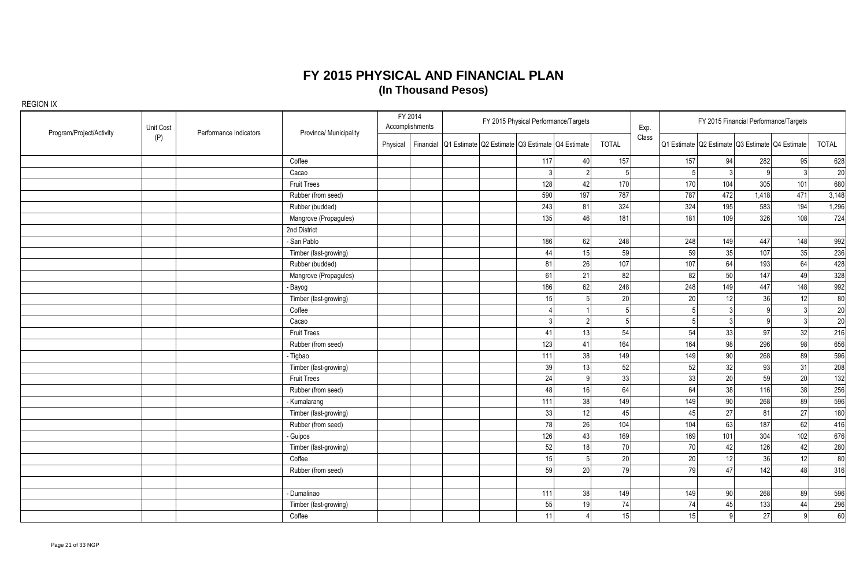|                          |           |                        |                        |          | FY 2014         |                                                           |     | FY 2015 Physical Performance/Targets |              |       |     |                 | FY 2015 Financial Performance/Targets           |     |              |
|--------------------------|-----------|------------------------|------------------------|----------|-----------------|-----------------------------------------------------------|-----|--------------------------------------|--------------|-------|-----|-----------------|-------------------------------------------------|-----|--------------|
| Program/Project/Activity | Unit Cost | Performance Indicators | Province/ Municipality |          | Accomplishments |                                                           |     |                                      |              | Exp.  |     |                 |                                                 |     |              |
|                          | (P)       |                        |                        | Physical |                 | Financial Q1 Estimate Q2 Estimate Q3 Estimate Q4 Estimate |     |                                      | <b>TOTAL</b> | Class |     |                 | Q1 Estimate Q2 Estimate Q3 Estimate Q4 Estimate |     | <b>TOTAL</b> |
|                          |           |                        | Coffee                 |          |                 |                                                           | 117 | 40                                   | 157          |       | 157 | 94              | 282                                             | 95  | 628          |
|                          |           |                        | Cacao                  |          |                 |                                                           |     | 2 <sup>1</sup>                       | 5            |       | 5   | $\mathbf{3}$    |                                                 | 3   | 20           |
|                          |           |                        | <b>Fruit Trees</b>     |          |                 |                                                           | 128 | 42                                   | 170          |       | 170 | 104             | 305                                             | 101 | 680          |
|                          |           |                        | Rubber (from seed)     |          |                 |                                                           | 590 | 197                                  | 787          |       | 787 | 472             | 1,418                                           | 471 | 3,148        |
|                          |           |                        | Rubber (budded)        |          |                 |                                                           | 243 | 81                                   | 324          |       | 324 | 195             | 583                                             | 194 | 1,296        |
|                          |           |                        | Mangrove (Propagules)  |          |                 |                                                           | 135 | 46                                   | 181          |       | 181 | 109             | 326                                             | 108 | 724          |
|                          |           |                        | 2nd District           |          |                 |                                                           |     |                                      |              |       |     |                 |                                                 |     |              |
|                          |           |                        | - San Pablo            |          |                 |                                                           | 186 | 62                                   | 248          |       | 248 | 149             | 447                                             | 148 | 992          |
|                          |           |                        | Timber (fast-growing)  |          |                 |                                                           | 44  | 15                                   | 59           |       | 59  | 35              | 107                                             | 35  | 236          |
|                          |           |                        | Rubber (budded)        |          |                 |                                                           | 81  | 26                                   | 107          |       | 107 | 64              | 193                                             | 64  | 428          |
|                          |           |                        | Mangrove (Propagules)  |          |                 |                                                           | 61  | 21                                   | 82           |       | 82  | 50              | 147                                             | 49  | 328          |
|                          |           |                        | - Bayog                |          |                 |                                                           | 186 | 62                                   | 248          |       | 248 | 149             | 447                                             | 148 | 992          |
|                          |           |                        | Timber (fast-growing)  |          |                 |                                                           | 15  | $\overline{5}$                       | 20           |       | 20  | 12              | 36                                              | 12  | 80           |
|                          |           |                        | Coffee                 |          |                 |                                                           |     |                                      | 5            |       |     | 3               |                                                 |     | 20           |
|                          |           |                        | Cacao                  |          |                 |                                                           |     | 2 <sup>1</sup>                       | 5            |       |     | $\mathbf{3}$    |                                                 |     | 20           |
|                          |           |                        | <b>Fruit Trees</b>     |          |                 |                                                           | 41  | 13                                   | 54           |       | 54  | 33              | 97                                              | 32  | 216          |
|                          |           |                        | Rubber (from seed)     |          |                 |                                                           | 123 | 41                                   | 164          |       | 164 | 98              | 296                                             | 98  | 656          |
|                          |           |                        | - Tigbao               |          |                 |                                                           | 111 | 38                                   | 149          |       | 149 | 90 <sup>1</sup> | 268                                             | 89  | 596          |
|                          |           |                        | Timber (fast-growing)  |          |                 |                                                           | 39  | 13                                   | 52           |       | 52  | 32              | 93                                              | 31  | 208          |
|                          |           |                        | <b>Fruit Trees</b>     |          |                 |                                                           | 24  | $\mathsf{Q}$                         | 33           |       | 33  | 20              | 59                                              | 20  | 132          |
|                          |           |                        | Rubber (from seed)     |          |                 |                                                           | 48  | 16                                   | 64           |       | 64  | 38              | 116                                             | 38  | 256          |
|                          |           |                        | - Kumalarang           |          |                 |                                                           | 111 | 38                                   | 149          |       | 149 | 90              | 268                                             | 89  | 596          |
|                          |           |                        | Timber (fast-growing)  |          |                 |                                                           | 33  | 12                                   | 45           |       | 45  | 27              | 81                                              | 27  | 180          |
|                          |           |                        | Rubber (from seed)     |          |                 |                                                           | 78  | 26                                   | 104          |       | 104 | 63              | 187                                             | 62  | 416          |
|                          |           |                        | - Guipos               |          |                 |                                                           | 126 | 43                                   | 169          |       | 169 | 101             | 304                                             | 102 | 676          |
|                          |           |                        | Timber (fast-growing)  |          |                 |                                                           | 52  | 18                                   | 70           |       | 70  | 42              | 126                                             | 42  | 280          |
|                          |           |                        | Coffee                 |          |                 |                                                           | 15  | 5 <sup>1</sup>                       | 20           |       | 20  | 12              | 36                                              | 12  | 80           |
|                          |           |                        | Rubber (from seed)     |          |                 |                                                           | 59  | 20                                   | 79           |       | 79  | 47              | 142                                             | 48  | 316          |
|                          |           |                        |                        |          |                 |                                                           |     |                                      |              |       |     |                 |                                                 |     |              |
|                          |           |                        | - Dumalinao            |          |                 |                                                           | 111 | 38                                   | 149          |       | 149 | 90 <sup>°</sup> | 268                                             | 89  | 596          |
|                          |           |                        | Timber (fast-growing)  |          |                 |                                                           | 55  | 19                                   | 74           |       | 74  | 45              | 133                                             | 44  | 296          |
|                          |           |                        | Coffee                 |          |                 |                                                           | 11  | 4                                    | 15           |       | 15  | 9               | 27                                              | g   | 60           |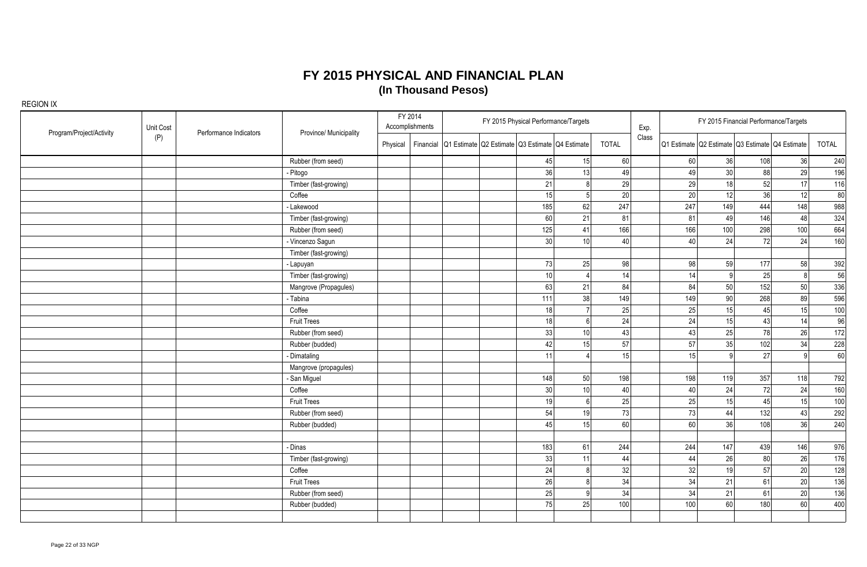| Program/Project/Activity | Unit Cost | Performance Indicators | Province/ Municipality |          | FY 2014<br>Accomplishments |                                                           |     | FY 2015 Physical Performance/Targets |                 | Exp.  |     |                | FY 2015 Financial Performance/Targets           |                 |       |
|--------------------------|-----------|------------------------|------------------------|----------|----------------------------|-----------------------------------------------------------|-----|--------------------------------------|-----------------|-------|-----|----------------|-------------------------------------------------|-----------------|-------|
|                          | (P)       |                        |                        | Physical |                            | Financial Q1 Estimate Q2 Estimate Q3 Estimate Q4 Estimate |     |                                      | <b>TOTAL</b>    | Class |     |                | Q1 Estimate Q2 Estimate Q3 Estimate Q4 Estimate |                 | TOTAL |
|                          |           |                        | Rubber (from seed)     |          |                            |                                                           | 45  | 15                                   | 60              |       | 60  | 36             | 108                                             | 36              | 240   |
|                          |           |                        | Pitogo                 |          |                            |                                                           | 36  | 13                                   | 49              |       | 49  | 30             | 88                                              | 29              | 196   |
|                          |           |                        | Timber (fast-growing)  |          |                            |                                                           | 21  | $\mathbf{8}$                         | 29              |       | 29  | 18             | 52                                              | 17 <sup>1</sup> | 116   |
|                          |           |                        | Coffee                 |          |                            |                                                           | 15  | 5 <sup>1</sup>                       | 20              |       | 20  | 12             | 36                                              | 12              | 80    |
|                          |           |                        | - Lakewood             |          |                            |                                                           | 185 | 62                                   | 247             |       | 247 | 149            | 444                                             | 148             | 988   |
|                          |           |                        | Timber (fast-growing)  |          |                            |                                                           | 60  | 21                                   | 81              |       | 81  | 49             | 146                                             | 48              | 324   |
|                          |           |                        | Rubber (from seed)     |          |                            |                                                           | 125 | 41                                   | 166             |       | 166 | 100            | 298                                             | 100             | 664   |
|                          |           |                        | - Vincenzo Sagun       |          |                            |                                                           | 30  | 10 <sup>1</sup>                      | 40 <sup>1</sup> |       | 40  | 24             | 72                                              | 24              | 160   |
|                          |           |                        | Timber (fast-growing)  |          |                            |                                                           |     |                                      |                 |       |     |                |                                                 |                 |       |
|                          |           |                        | - Lapuyan              |          |                            |                                                           | 73  | 25                                   | 98              |       | 98  | 59             | 177                                             | 58              | 392   |
|                          |           |                        | Timber (fast-growing)  |          |                            |                                                           | 10  |                                      | 14              |       | 14  | $\overline{9}$ | 25                                              | R               | 56    |
|                          |           |                        | Mangrove (Propagules)  |          |                            |                                                           | 63  | 21                                   | 84              |       | 84  | 50             | 152                                             | 50              | 336   |
|                          |           |                        | - Tabina               |          |                            |                                                           | 111 | 38                                   | 149             |       | 149 | 90             | 268                                             | 89              | 596   |
|                          |           |                        | Coffee                 |          |                            |                                                           | 18  |                                      | 25              |       | 25  | 15             | 45                                              | 15              | 100   |
|                          |           |                        | <b>Fruit Trees</b>     |          |                            |                                                           | 18  | 6 <sup>1</sup>                       | 24              |       | 24  | 15             | 43                                              | 14              | 96    |
|                          |           |                        | Rubber (from seed)     |          |                            |                                                           | 33  | 10 <sup>1</sup>                      | 43              |       | 43  | 25             | 78                                              | 26              | 172   |
|                          |           |                        | Rubber (budded)        |          |                            |                                                           | 42  | 15                                   | 57              |       | 57  | 35             | 102                                             | 34              | 228   |
|                          |           |                        | Dimataling             |          |                            |                                                           | 11  |                                      | 15 <sup>1</sup> |       | 15  | $Q^{\dagger}$  | 27                                              |                 | 60    |
|                          |           |                        | Mangrove (propagules)  |          |                            |                                                           |     |                                      |                 |       |     |                |                                                 |                 |       |
|                          |           |                        | - San Miguel           |          |                            |                                                           | 148 | 50                                   | 198             |       | 198 | 119            | 357                                             | 118             | 792   |
|                          |           |                        | Coffee                 |          |                            |                                                           | 30  | 10 <sup>1</sup>                      | 40              |       | 40  | 24             | 72                                              | 24              | 160   |
|                          |           |                        | <b>Fruit Trees</b>     |          |                            |                                                           | 19  | $6 \mid$                             | 25              |       | 25  | 15             | 45                                              | 15              | 100   |
|                          |           |                        | Rubber (from seed)     |          |                            |                                                           | 54  | 19                                   | 73              |       | 73  | 44             | $132$                                           | 43              | 292   |
|                          |           |                        | Rubber (budded)        |          |                            |                                                           | 45  | 15 <sup>1</sup>                      | 60l             |       | 60  | 36             | 108                                             | 36 <sup>l</sup> | 240   |
|                          |           |                        |                        |          |                            |                                                           |     |                                      |                 |       |     |                |                                                 |                 |       |
|                          |           |                        | - Dinas                |          |                            |                                                           | 183 | 61                                   | 244             |       | 244 | 147            | 439                                             | 146             | 976   |
|                          |           |                        | Timber (fast-growing)  |          |                            |                                                           | 33  | 11                                   | 44              |       | 44  | 26             | 80                                              | 26              | 176   |
|                          |           |                        | Coffee                 |          |                            |                                                           | 24  | $\mathsf{a}$                         | 32              |       | 32  | 19             | 57                                              | 20              | 128   |
|                          |           |                        | Fruit Trees            |          |                            |                                                           | 26  | $\mathbf{8}$                         | 34              |       | 34  | 21             | 61                                              | 20              | 136   |
|                          |           |                        | Rubber (from seed)     |          |                            |                                                           | 25  | $\alpha$                             | 34              |       | 34  | 21             | 61                                              | 20              | 136   |
|                          |           |                        | Rubber (budded)        |          |                            |                                                           | 75  | 25                                   | 100             |       | 100 | 60             | 180                                             | 60              | 400   |
|                          |           |                        |                        |          |                            |                                                           |     |                                      |                 |       |     |                |                                                 |                 |       |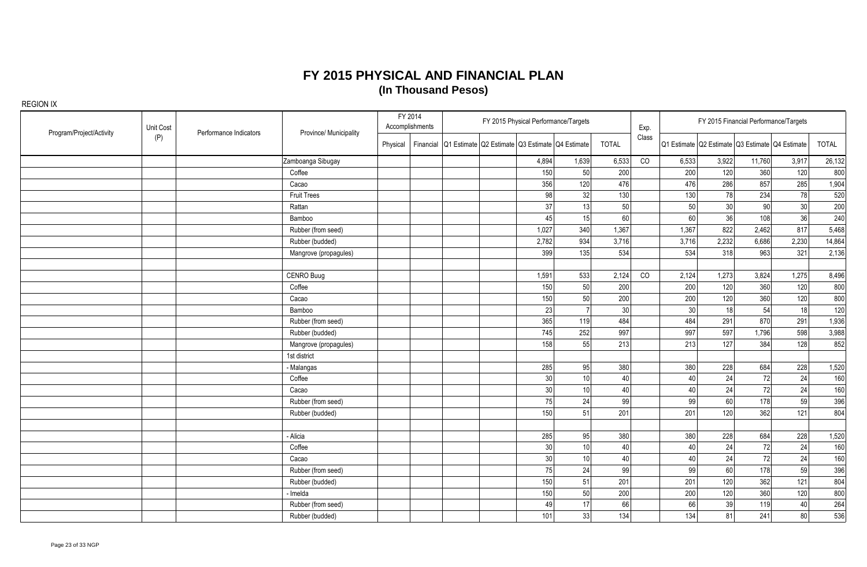| Program/Project/Activity | Unit Cost | Performance Indicators | Province/ Municipality |          | FY 2014<br>Accomplishments |                                                           | FY 2015 Physical Performance/Targets |                 |              | Exp.  |                 |                 | FY 2015 Financial Performance/Targets           |       |              |
|--------------------------|-----------|------------------------|------------------------|----------|----------------------------|-----------------------------------------------------------|--------------------------------------|-----------------|--------------|-------|-----------------|-----------------|-------------------------------------------------|-------|--------------|
|                          | (P)       |                        |                        | Physical |                            | Financial Q1 Estimate Q2 Estimate Q3 Estimate Q4 Estimate |                                      |                 | <b>TOTAL</b> | Class |                 |                 | Q1 Estimate Q2 Estimate Q3 Estimate Q4 Estimate |       | <b>TOTAL</b> |
|                          |           |                        | Zamboanga Sibugay      |          |                            |                                                           | 4,894                                | 1,639           | 6,533        | CO    | 6,533           | 3,922           | 11,760                                          | 3,917 | 26,132       |
|                          |           |                        | Coffee                 |          |                            |                                                           | 150                                  | 50              | 200          |       | 200             | 120             | 360                                             | 120   | 800          |
|                          |           |                        | Cacao                  |          |                            |                                                           | 356                                  | 120             | 476          |       | 476             | 286             | 857                                             | 285   | 1,904        |
|                          |           |                        | <b>Fruit Trees</b>     |          |                            |                                                           | 98                                   | 32              | 130          |       | 130             | 78              | 234                                             | 78    | 520          |
|                          |           |                        | Rattan                 |          |                            |                                                           | 37                                   | 13              | 50           |       | 50              | 30 <sup>°</sup> | 90                                              | 30    | 200          |
|                          |           |                        | Bamboo                 |          |                            |                                                           | 45                                   | 15              | 60           |       | 60              | 36              | 108                                             | 36    | 240          |
|                          |           |                        | Rubber (from seed)     |          |                            |                                                           | 1,027                                | 340             | 1,367        |       | 1,367           | 822             | 2,462                                           | 817   | 5,468        |
|                          |           |                        | Rubber (budded)        |          |                            |                                                           | 2,782                                | 934             | 3,716        |       | 3,716           | 2,232           | 6,686                                           | 2,230 | 14,864       |
|                          |           |                        | Mangrove (propagules)  |          |                            |                                                           | 399                                  | 135             | 534          |       | 534             | 318             | 963                                             | 321   | 2,136        |
|                          |           |                        |                        |          |                            |                                                           |                                      |                 |              |       |                 |                 |                                                 |       |              |
|                          |           |                        | CENRO Buug             |          |                            |                                                           | 1,591                                | 533             | 2,124        | CO    | 2,124           | 1,273           | 3,824                                           | 1,275 | 8,496        |
|                          |           |                        | Coffee                 |          |                            |                                                           | 150                                  | 50              | 200          |       | 200             | 120             | 360                                             | 120   | 800          |
|                          |           |                        | Cacao                  |          |                            |                                                           | 150                                  | 50              | 200          |       | 200             | 120             | 360                                             | 120   | 800          |
|                          |           |                        | Bamboo                 |          |                            |                                                           | 23                                   |                 | 30           |       | 30 <sup>°</sup> | 18              | 54                                              | 18    | 120          |
|                          |           |                        | Rubber (from seed)     |          |                            |                                                           | 365                                  | 119             | 484          |       | 484             | 291             | 870                                             | 291   | 1,936        |
|                          |           |                        | Rubber (budded)        |          |                            |                                                           | 745                                  | 252             | 997          |       | 997             | 597             | 1,796                                           | 598   | 3,988        |
|                          |           |                        | Mangrove (propagules)  |          |                            |                                                           | 158                                  | 55              | 213          |       | 213             | 127             | 384                                             | 128   | 852          |
|                          |           |                        | 1st district           |          |                            |                                                           |                                      |                 |              |       |                 |                 |                                                 |       |              |
|                          |           |                        | - Malangas             |          |                            |                                                           | 285                                  | 95              | 380          |       | 380             | 228             | 684                                             | 228   | 1,520        |
|                          |           |                        | Coffee                 |          |                            |                                                           | 30                                   | 10 <sup>1</sup> | 40           |       | 40              | 24              | 72                                              | 24    | 160          |
|                          |           |                        | Cacao                  |          |                            |                                                           | 30 <sup>1</sup>                      | 10 <sup>1</sup> | 40           |       | 40              | 24              | 72                                              | 24    | 160          |
|                          |           |                        | Rubber (from seed)     |          |                            |                                                           | 75                                   | 24              | 99           |       | 99              | 60              | 178                                             | 59    | 396          |
|                          |           |                        | Rubber (budded)        |          |                            |                                                           | 150                                  | 51              | 201          |       | 201             | 120             | 362                                             | 121   | 804          |
|                          |           |                        |                        |          |                            |                                                           |                                      |                 |              |       |                 |                 |                                                 |       |              |
|                          |           |                        | - Alicia               |          |                            |                                                           | 285                                  | 95              | 380          |       | 380             | 228             | 684                                             | 228   | 1,520        |
|                          |           |                        | Coffee                 |          |                            |                                                           | 30                                   | 10              | 40           |       | 40              | 24              | 72                                              | 24    | 160          |
|                          |           |                        | Cacao                  |          |                            |                                                           | 30                                   | 10              | 40           |       | 40              | 24              | 72                                              | 24    | 160          |
|                          |           |                        | Rubber (from seed)     |          |                            |                                                           | 75                                   | 24              | 99           |       | 99              | 60              | 178                                             | 59    | 396          |
|                          |           |                        | Rubber (budded)        |          |                            |                                                           | 150                                  | 51              | 201          |       | 201             | 120             | 362                                             | 121   | 804          |
|                          |           |                        | Imelda                 |          |                            |                                                           | 150                                  | 50              | 200          |       | 200             | 120             | 360                                             | 120   | 800          |
|                          |           |                        | Rubber (from seed)     |          |                            |                                                           | 49                                   | 17              | 66           |       | 66              | 39              | 119                                             | 40    | 264          |
|                          |           |                        | Rubber (budded)        |          |                            |                                                           | 101                                  | 33              | 134          |       | 134             | 81              | 241                                             | 80    | 536          |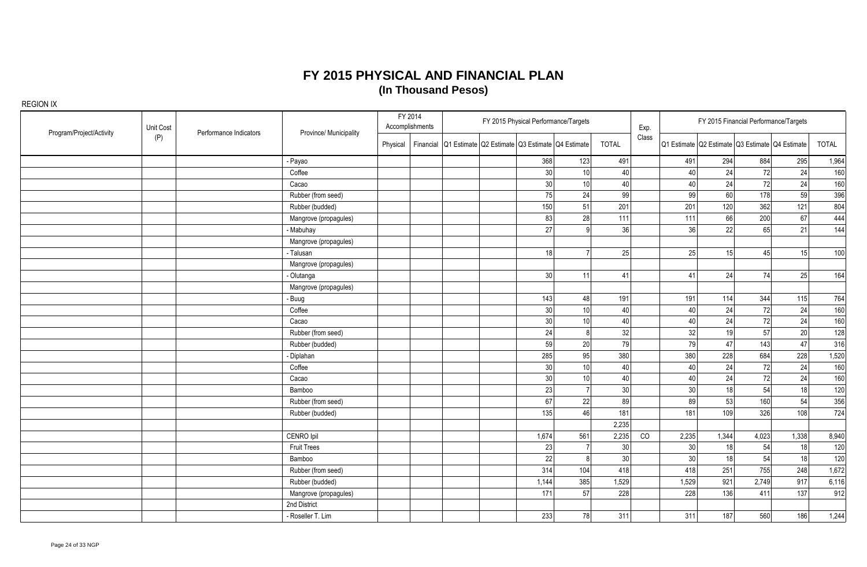| Program/Project/Activity | Unit Cost | Performance Indicators | Province/ Municipality |          | FY 2014<br>Accomplishments |                                                           |                 | FY 2015 Physical Performance/Targets |                 | Exp.  |       |       | FY 2015 Financial Performance/Targets           |       |       |
|--------------------------|-----------|------------------------|------------------------|----------|----------------------------|-----------------------------------------------------------|-----------------|--------------------------------------|-----------------|-------|-------|-------|-------------------------------------------------|-------|-------|
|                          | (P)       |                        |                        | Physical |                            | Financial Q1 Estimate Q2 Estimate Q3 Estimate Q4 Estimate |                 |                                      | <b>TOTAL</b>    | Class |       |       | Q1 Estimate Q2 Estimate Q3 Estimate Q4 Estimate |       | TOTAL |
|                          |           |                        | Payao                  |          |                            |                                                           | 368             | 123                                  | 491             |       | 491   | 294   | 884                                             | 295   | 1,964 |
|                          |           |                        | Coffee                 |          |                            |                                                           | 30              | 10                                   | 40              |       | 40    | 24    | 72                                              | 24    | 160   |
|                          |           |                        | Cacao                  |          |                            |                                                           | 30 <sup>1</sup> | 10 <sup>1</sup>                      | 40              |       | 40    | 24    | 72                                              | 24    | 160   |
|                          |           |                        | Rubber (from seed)     |          |                            |                                                           | 75              | 24                                   | 99              |       | 99    | 60    | 178                                             | 59    | 396   |
|                          |           |                        | Rubber (budded)        |          |                            |                                                           | 150             | 51                                   | 201             |       | 201   | 120   | 362                                             | 121   | 804   |
|                          |           |                        | Mangrove (propagules)  |          |                            |                                                           | 83              | 28                                   | 111             |       | 111   | 66    | 200                                             | 67    | 444   |
|                          |           |                        | Mabuhay                |          |                            |                                                           | 27              |                                      | 36              |       | 36    | 22    | 65                                              | 21    | 144   |
|                          |           |                        | Mangrove (propagules)  |          |                            |                                                           |                 |                                      |                 |       |       |       |                                                 |       |       |
|                          |           |                        | - Talusan              |          |                            |                                                           | 18              |                                      | 25              |       | 25    | 15    | 45                                              | 15    | 100   |
|                          |           |                        | Mangrove (propagules)  |          |                            |                                                           |                 |                                      |                 |       |       |       |                                                 |       |       |
|                          |           |                        | Olutanga               |          |                            |                                                           | 30              | 11                                   | 41              |       | 41    | 24    | 74                                              | 25    | 164   |
|                          |           |                        | Mangrove (propagules)  |          |                            |                                                           |                 |                                      |                 |       |       |       |                                                 |       |       |
|                          |           |                        | Buug                   |          |                            |                                                           | 143             | 48                                   | 191             |       | 191   | 114   | 344                                             | 115   | 764   |
|                          |           |                        | Coffee                 |          |                            |                                                           | 30              | 10 <sup>1</sup>                      | 40              |       | 40    | 24    | 72                                              | 24    | 160   |
|                          |           |                        | Cacao                  |          |                            |                                                           | 30              | 10 <sup>1</sup>                      | 40              |       | 40    | 24    | 72                                              | 24    | 160   |
|                          |           |                        | Rubber (from seed)     |          |                            |                                                           | 24              | 8 <sup>1</sup>                       | 32              |       | 32    | 19    | 57                                              | 20    | 128   |
|                          |           |                        | Rubber (budded)        |          |                            |                                                           | 59              | 20 <sup>1</sup>                      | 79              |       | 79    | 47    | 143                                             | 47    | 316   |
|                          |           |                        | - Diplahan             |          |                            |                                                           | 285             | 95                                   | 380             |       | 380   | 228   | 684                                             | 228   | 1,520 |
|                          |           |                        | Coffee                 |          |                            |                                                           | 30              | 10 <sup>1</sup>                      | 40              |       | 40    | 24    | 72                                              | 24    | 160   |
|                          |           |                        | Cacao                  |          |                            |                                                           | 30              | 10 <sup>1</sup>                      | 40              |       | 40    | 24    | 72                                              | 24    | 160   |
|                          |           |                        | Bamboo                 |          |                            |                                                           | 23              | 7                                    | 30 <sup>1</sup> |       | 30    | 18    | 54                                              | 18    | 120   |
|                          |           |                        | Rubber (from seed)     |          |                            |                                                           | 67              | 22                                   | -89             |       | 89    | 53    | 160                                             | 54    | 356   |
|                          |           |                        | Rubber (budded)        |          |                            |                                                           | 135             | 46                                   | 181             |       | 181   | 109   | 326                                             | 108   | 724   |
|                          |           |                        |                        |          |                            |                                                           |                 |                                      | 2,235           |       |       |       |                                                 |       |       |
|                          |           |                        | CENRO Ipil             |          |                            |                                                           | 1,674           | 561                                  | 2,235           | CO    | 2,235 | 1,344 | 4,023                                           | 1,338 | 8,940 |
|                          |           |                        | <b>Fruit Trees</b>     |          |                            |                                                           | 23              | 7 <sup>1</sup>                       | 30              |       | 30    | 18    | 54                                              | 18    | 120   |
|                          |           |                        | Bamboo                 |          |                            |                                                           | 22              | 8 <sup>1</sup>                       | 30 <sup>1</sup> |       | 30    | 18    | 54                                              | 18    | 120   |
|                          |           |                        | Rubber (from seed)     |          |                            |                                                           | 314             | 104                                  | 418             |       | 418   | 251   | 755                                             | 248   | 1,672 |
|                          |           |                        | Rubber (budded)        |          |                            |                                                           | 1,144           | 385                                  | 1,529           |       | 1,529 | 921   | 2,749                                           | 917   | 6,116 |
|                          |           |                        | Mangrove (propagules)  |          |                            |                                                           | 171             | 57                                   | 228             |       | 228   | 136   | 411                                             | 137   | 912   |
|                          |           |                        | 2nd District           |          |                            |                                                           |                 |                                      |                 |       |       |       |                                                 |       |       |
|                          |           |                        | Roseller T. Lim        |          |                            |                                                           | 233             | 78                                   | 311             |       | 311   | 187   | 560                                             | 186   | 1,244 |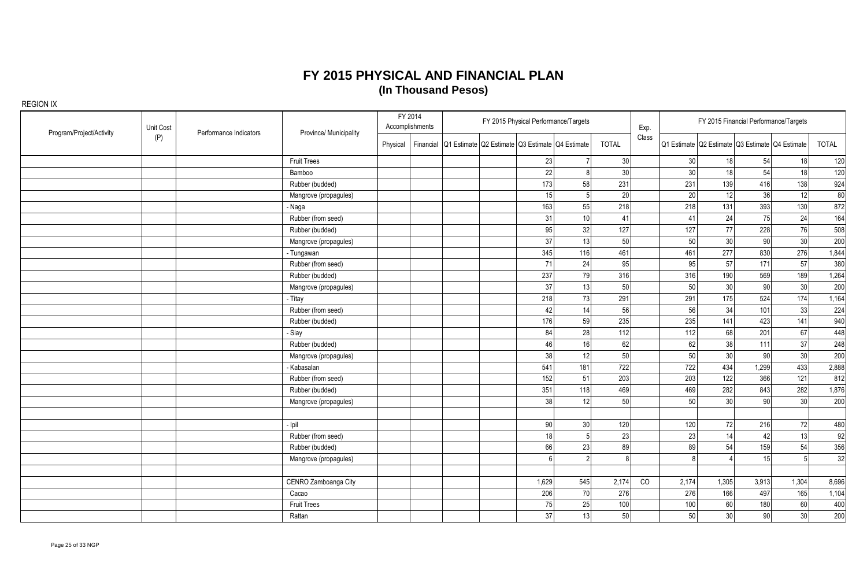| Program/Project/Activity | Unit Cost | Performance Indicators | Province/ Municipality | FY 2014  | Accomplishments |                                                           | FY 2015 Physical Performance/Targets |                 |              | Exp.  |                 |                 | FY 2015 Financial Performance/Targets           |                 |       |
|--------------------------|-----------|------------------------|------------------------|----------|-----------------|-----------------------------------------------------------|--------------------------------------|-----------------|--------------|-------|-----------------|-----------------|-------------------------------------------------|-----------------|-------|
|                          | (P)       |                        |                        | Physical |                 | Financial Q1 Estimate Q2 Estimate Q3 Estimate Q4 Estimate |                                      |                 | <b>TOTAL</b> | Class |                 |                 | Q1 Estimate Q2 Estimate Q3 Estimate Q4 Estimate |                 | TOTAL |
|                          |           |                        | <b>Fruit Trees</b>     |          |                 |                                                           | 23                                   |                 | 30           |       | 30              | 18              | 54                                              | 18              | 120   |
|                          |           |                        | Bamboo                 |          |                 |                                                           | 22                                   |                 | 30           |       | 30 <sup>1</sup> | 18              | 54                                              | 18              | 120   |
|                          |           |                        | Rubber (budded)        |          |                 |                                                           | 173                                  | 58              | 231          |       | 231             | 139             | 416                                             | 138             | 924   |
|                          |           |                        | Mangrove (propagules)  |          |                 |                                                           | 15                                   |                 | 20           |       | 20              | 12              | 36                                              | 12              | 80    |
|                          |           |                        | - Naga                 |          |                 |                                                           | 163                                  | 55              | 218          |       | 218             | 131             | 393                                             | 130             | 872   |
|                          |           |                        | Rubber (from seed)     |          |                 |                                                           | 31                                   | 10              | 41           |       | 41              | 24              | 75                                              | 24              | 164   |
|                          |           |                        | Rubber (budded)        |          |                 |                                                           | 95                                   | 32              | 127          |       | 127             | 77              | 228                                             | 76              | 508   |
|                          |           |                        | Mangrove (propagules)  |          |                 |                                                           | 37                                   | 13              | 50           |       | 50              | 30 <sup>°</sup> | 90                                              | 30 <sup>1</sup> | 200   |
|                          |           |                        | - Tungawan             |          |                 |                                                           | 345                                  | 116             | 461          |       | 461             | 277             | 830                                             | 276             | 1,844 |
|                          |           |                        | Rubber (from seed)     |          |                 |                                                           | 71                                   | 24              | 95           |       | 95              | 57              | 171                                             | 57              | 380   |
|                          |           |                        | Rubber (budded)        |          |                 |                                                           | 237                                  | 79              | 316          |       | 316             | 190             | 569                                             | 189             | 1,264 |
|                          |           |                        | Mangrove (propagules)  |          |                 |                                                           | 37                                   | 13              | 50           |       | 50              | 30 <sup>°</sup> | 90                                              | 30              | 200   |
|                          |           |                        | - Titay                |          |                 |                                                           | 218                                  | 73              | 291          |       | 291             | 175             | 524                                             | 174             | 1,164 |
|                          |           |                        | Rubber (from seed)     |          |                 |                                                           | 42                                   | 14              | 56           |       | 56              | 34              | 101                                             | 33              | 224   |
|                          |           |                        | Rubber (budded)        |          |                 |                                                           | 176                                  | 59              | 235          |       | 235             | 141             | 423                                             | 141             | 940   |
|                          |           |                        | - Siay                 |          |                 |                                                           | 84                                   | 28              | 112          |       | 112             | 68              | 201                                             | 67              | 448   |
|                          |           |                        | Rubber (budded)        |          |                 |                                                           | 46                                   | 16              | 62           |       | 62              | 38              | 111                                             | 37              | 248   |
|                          |           |                        | Mangrove (propagules)  |          |                 |                                                           | 38                                   | 12              | 50           |       | 50              | 30 <sup>°</sup> | 90                                              | 30              | 200   |
|                          |           |                        | Kabasalan              |          |                 |                                                           | 541                                  | 181             | 722          |       | 722             | 434             | 1,299                                           | 433             | 2,888 |
|                          |           |                        | Rubber (from seed)     |          |                 |                                                           | 152                                  | 51              | 203          |       | 203             | 122             | 366                                             | 121             | 812   |
|                          |           |                        | Rubber (budded)        |          |                 |                                                           | 351                                  | 118             | 469          |       | 469             | 282             | 843                                             | 282             | 1,876 |
|                          |           |                        | Mangrove (propagules)  |          |                 |                                                           | 38l                                  | 12              | 50           |       | 50              | 30 <sup>°</sup> | 90                                              | 30 <sup>1</sup> | 200   |
|                          |           |                        |                        |          |                 |                                                           |                                      |                 |              |       |                 |                 |                                                 |                 |       |
|                          |           |                        | - Ipil                 |          |                 |                                                           | 90                                   | 30 <sup>1</sup> | 120          |       | 120             | 72              | 216                                             | 72              | 480   |
|                          |           |                        | Rubber (from seed)     |          |                 |                                                           | 18                                   |                 | 23           |       | 23              | 14              | 42                                              | 13              | 92    |
|                          |           |                        | Rubber (budded)        |          |                 |                                                           | 66                                   | 23              | 89           |       | 89              | 54              | 159                                             | 54              | 356   |
|                          |           |                        | Mangrove (propagules)  |          |                 |                                                           | ĥ                                    | $\mathcal{D}$   | R            |       | 8 <sup>1</sup>  |                 | 15                                              | 5 <sup>1</sup>  | 32    |
|                          |           |                        |                        |          |                 |                                                           |                                      |                 |              |       |                 |                 |                                                 |                 |       |
|                          |           |                        | CENRO Zamboanga City   |          |                 |                                                           | 1,629                                | 545             | 2,174        | CO    | 2,174           | 1,305           | 3,913                                           | 1,304           | 8,696 |
|                          |           |                        | Cacao                  |          |                 |                                                           | 206                                  | 70              | 276          |       | 276             | 166             | 497                                             | 165             | 1,104 |
|                          |           |                        | <b>Fruit Trees</b>     |          |                 |                                                           | 75                                   | 25              | 100          |       | 100             | 60              | 180                                             | 60              | 400   |
|                          |           |                        | Rattan                 |          |                 |                                                           | 37                                   | 13              | 50           |       | 50              | 30              | 90                                              | 30              | 200   |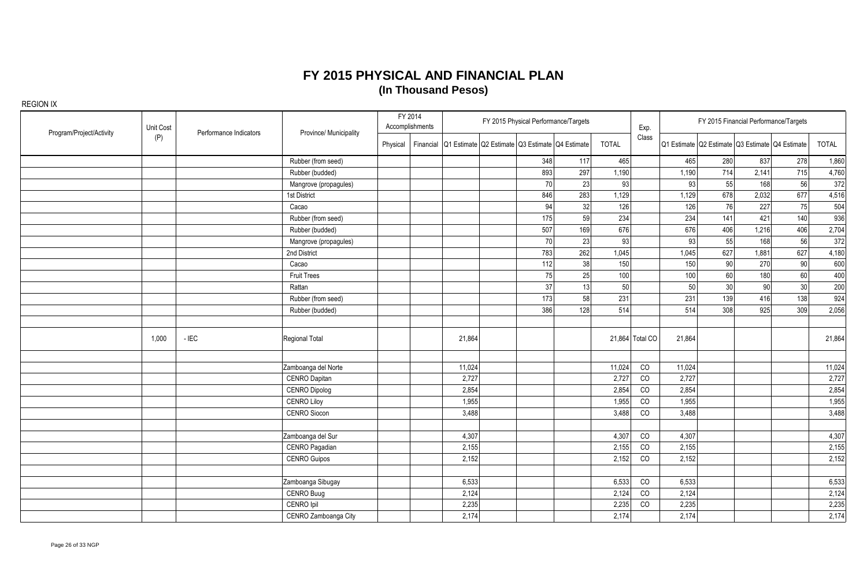| Unit Cost<br>Program/Project/Activity | Performance Indicators | Province/ Municipality |                       | FY 2014<br>Accomplishments |  | FY 2015 Physical Performance/Targets                      |     |     | Exp.         |                 |        | FY 2015 Financial Performance/Targets |                                                 |     |        |
|---------------------------------------|------------------------|------------------------|-----------------------|----------------------------|--|-----------------------------------------------------------|-----|-----|--------------|-----------------|--------|---------------------------------------|-------------------------------------------------|-----|--------|
|                                       | (P)                    |                        |                       | Physical                   |  | Financial Q1 Estimate Q2 Estimate Q3 Estimate Q4 Estimate |     |     | <b>TOTAL</b> | Class           |        |                                       | Q1 Estimate Q2 Estimate Q3 Estimate Q4 Estimate |     | TOTAL  |
|                                       |                        |                        | Rubber (from seed)    |                            |  |                                                           | 348 | 117 | 465          |                 | 465    | 280                                   | 837                                             | 278 | 1,860  |
|                                       |                        |                        | Rubber (budded)       |                            |  |                                                           | 893 | 297 | 1,190        |                 | 1,190  | 714                                   | 2,141                                           | 715 | 4,760  |
|                                       |                        |                        | Mangrove (propagules) |                            |  |                                                           | 70  | 23  | 93           |                 | 93     | 55                                    | 168                                             | 56  | 372    |
|                                       |                        |                        | 1st District          |                            |  |                                                           | 846 | 283 | 1,129        |                 | 1,129  | 678                                   | 2,032                                           | 677 | 4,516  |
|                                       |                        |                        | Cacao                 |                            |  |                                                           | 94  | 32  | 126          |                 | 126    | 76                                    | 227                                             | 75  | 504    |
|                                       |                        |                        | Rubber (from seed)    |                            |  |                                                           | 175 | 59  | 234          |                 | 234    | 141                                   | 421                                             | 140 | 936    |
|                                       |                        |                        | Rubber (budded)       |                            |  |                                                           | 507 | 169 | 676          |                 | 676    | 406                                   | 1,216                                           | 406 | 2,704  |
|                                       |                        |                        | Mangrove (propagules) |                            |  |                                                           | 70  | 23  | 93           |                 | 93     | 55                                    | 168                                             | 56  | 372    |
|                                       |                        |                        | 2nd District          |                            |  |                                                           | 783 | 262 | 1,045        |                 | 1,045  | 627                                   | 1,881                                           | 627 | 4,180  |
|                                       |                        |                        | Cacao                 |                            |  |                                                           | 112 | 38  | 150          |                 | 150    | 90                                    | 270                                             | 90  | 600    |
|                                       |                        |                        | <b>Fruit Trees</b>    |                            |  |                                                           | 75  | 25  | 100          |                 | 100    | 60                                    | 180                                             | 60  | 400    |
|                                       |                        |                        | Rattan                |                            |  |                                                           | 37  | 13  | 50           |                 | 50     | 30 <sub>2</sub>                       | 90                                              | 30  | 200    |
|                                       |                        |                        | Rubber (from seed)    |                            |  |                                                           | 173 | 58  | 231          |                 | 231    | 139                                   | 416                                             | 138 | 924    |
|                                       |                        |                        | Rubber (budded)       |                            |  |                                                           | 386 | 128 | 514          |                 | 514    | 308                                   | 925                                             | 309 | 2,056  |
|                                       |                        |                        |                       |                            |  |                                                           |     |     |              |                 |        |                                       |                                                 |     |        |
|                                       | 1,000                  | $-$ IEC                | Regional Total        |                            |  | 21,864                                                    |     |     |              | 21,864 Total CO | 21,864 |                                       |                                                 |     | 21,864 |
|                                       |                        |                        | Zamboanga del Norte   |                            |  | 11,024                                                    |     |     | 11,024       | CO              | 11,024 |                                       |                                                 |     | 11,024 |
|                                       |                        |                        | CENRO Dapitan         |                            |  | 2,727                                                     |     |     | 2,727        | CO              | 2,727  |                                       |                                                 |     | 2,727  |
|                                       |                        |                        | <b>CENRO Dipolog</b>  |                            |  | 2,854                                                     |     |     | 2,854        | CO              | 2,854  |                                       |                                                 |     | 2,854  |
|                                       |                        |                        | <b>CENRO Liloy</b>    |                            |  | 1,955                                                     |     |     | 1,955        | CO              | 1,955  |                                       |                                                 |     | 1,955  |
|                                       |                        |                        | CENRO Siocon          |                            |  | 3,488                                                     |     |     | 3,488        | CO              | 3,488  |                                       |                                                 |     | 3,488  |
|                                       |                        |                        |                       |                            |  |                                                           |     |     |              |                 |        |                                       |                                                 |     |        |
|                                       |                        |                        | Zamboanga del Sur     |                            |  | 4,307                                                     |     |     | 4,307        | CO              | 4,307  |                                       |                                                 |     | 4,307  |
|                                       |                        |                        | CENRO Pagadian        |                            |  | 2,155                                                     |     |     | 2,155        | CO              | 2,155  |                                       |                                                 |     | 2,155  |
|                                       |                        |                        | <b>CENRO Guipos</b>   |                            |  | 2,152                                                     |     |     | 2,152        | CO              | 2,152  |                                       |                                                 |     | 2,152  |
|                                       |                        |                        |                       |                            |  |                                                           |     |     |              |                 |        |                                       |                                                 |     |        |
|                                       |                        |                        | Zamboanga Sibugay     |                            |  | 6,533                                                     |     |     | 6,533        | CO              | 6,533  |                                       |                                                 |     | 6,533  |
|                                       |                        |                        | CENRO Buug            |                            |  | 2,124                                                     |     |     | 2,124        | CO              | 2,124  |                                       |                                                 |     | 2,124  |
|                                       |                        |                        | CENRO Ipil            |                            |  | 2,235                                                     |     |     | 2,235        | CO              | 2,235  |                                       |                                                 |     | 2,235  |
|                                       |                        |                        | CENRO Zamboanga City  |                            |  | 2,174                                                     |     |     | 2,174        |                 | 2,174  |                                       |                                                 |     | 2,174  |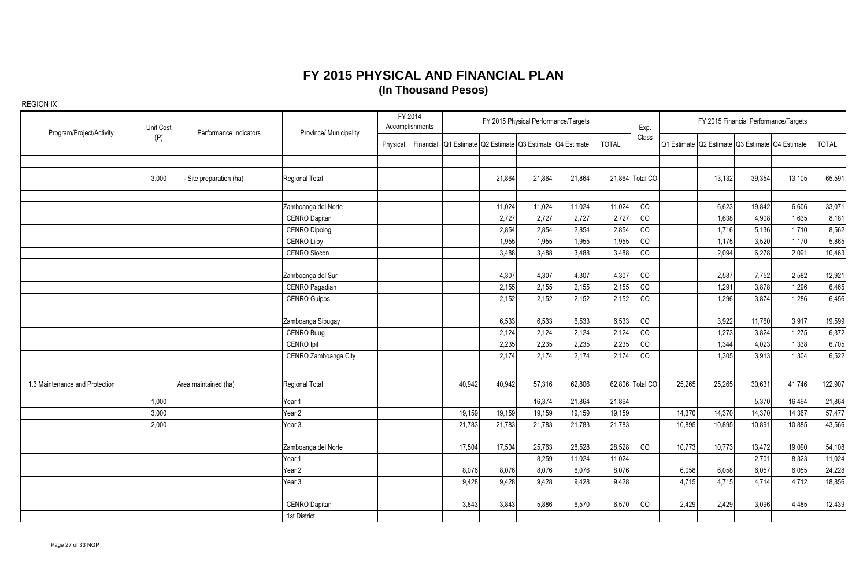| Program/Project/Activity       | Unit Cost | Performance Indicators  | Province/ Municipality |          | FY 2014<br>Accomplishments |                                                           | FY 2015 Physical Performance/Targets |        |              | Exp.            |        | FY 2015 Financial Performance/Targets                   |        |        |              |
|--------------------------------|-----------|-------------------------|------------------------|----------|----------------------------|-----------------------------------------------------------|--------------------------------------|--------|--------------|-----------------|--------|---------------------------------------------------------|--------|--------|--------------|
|                                | (P)       |                         |                        | Physical |                            | Financial Q1 Estimate Q2 Estimate Q3 Estimate Q4 Estimate |                                      |        | <b>TOTAL</b> | Class           |        | l Q1 Estimate   Q2 Estimate   Q3 Estimate   Q4 Estimate |        |        | <b>TOTAL</b> |
|                                |           |                         |                        |          |                            |                                                           |                                      |        |              |                 |        |                                                         |        |        |              |
|                                | 3,000     | - Site preparation (ha) | Regional Total         |          |                            | 21,864                                                    | 21,864                               | 21,864 |              | 21,864 Total CO |        | 13,132                                                  | 39,354 | 13,105 | 65,591       |
|                                |           |                         | Zamboanga del Norte    |          |                            | 11,024                                                    | 11,024                               | 11,024 | 11,024       | CO              |        | 6,623                                                   | 19,842 | 6,606  | 33,071       |
|                                |           |                         | <b>CENRO Dapitan</b>   |          |                            | 2,727                                                     | 2,727                                | 2,727  | 2,727        | CO              |        | 1,638                                                   | 4,908  | 1,635  | 8,181        |
|                                |           |                         | <b>CENRO Dipolog</b>   |          |                            | 2,854                                                     | 2,854                                | 2,854  | 2,854        | CO              |        | 1,716                                                   | 5,136  | 1,710  | 8,562        |
|                                |           |                         | <b>CENRO Liloy</b>     |          |                            | 1,955                                                     | 1,955                                | 1,955  | 1,955        | CO              |        | 1,175                                                   | 3,520  | 1,170  | 5,865        |
|                                |           |                         | CENRO Siocon           |          |                            | 3,488                                                     | 3,488                                | 3,488  | 3,488        | CO              |        | 2,094                                                   | 6,278  | 2,091  | 10,463       |
|                                |           |                         | Zamboanga del Sur      |          |                            | 4,307                                                     | 4,307                                | 4,307  | 4,307        | CO              |        | 2,587                                                   | 7,752  | 2,582  | 12,921       |
|                                |           |                         | CENRO Pagadian         |          |                            | 2,155                                                     | 2,155                                | 2,155  | 2,155        | CO              |        | 1,291                                                   | 3,878  | 1,296  | 6,465        |
|                                |           |                         | <b>CENRO Guipos</b>    |          |                            | 2,152                                                     | 2,152                                | 2,152  | 2,152        | CO              |        | 1,296                                                   | 3,874  | 1,286  | 6,456        |
|                                |           |                         |                        |          |                            |                                                           |                                      |        |              |                 |        |                                                         |        |        |              |
|                                |           |                         | Zamboanga Sibugay      |          |                            | 6,533                                                     | 6,533                                | 6,533  | 6,533        | CO              |        | 3,922                                                   | 11,760 | 3,917  | 19,599       |
|                                |           |                         | <b>CENRO Buug</b>      |          |                            | 2,124                                                     | 2,124                                | 2,124  | 2,124        | CO              |        | 1,273                                                   | 3,824  | 1,275  | 6,372        |
|                                |           |                         | CENRO Ipil             |          |                            | 2,235                                                     | 2,235                                | 2,235  | 2,235        | CO              |        | 1,344                                                   | 4,023  | 1,338  | 6,705        |
|                                |           |                         | CENRO Zamboanga City   |          |                            | 2.174                                                     | 2,174                                | 2.174  | 2,174        | CO              |        | 1.305                                                   | 3,913  | 1,304  | 6,522        |
| 1.3 Maintenance and Protection |           | Area maintained (ha)    | <b>Regional Total</b>  |          |                            | 40,942<br>40,942                                          | 57,316                               | 62,806 |              | 62,806 Total CO | 25,265 | 25,265                                                  | 30,631 | 41,746 | 122,907      |
|                                | 1,000     |                         | Year 1                 |          |                            |                                                           | 16,374                               | 21,864 | 21,864       |                 |        |                                                         | 5,370  | 16,494 | 21,864       |
|                                | 3,000     |                         | Year 2                 |          |                            | 19,159<br>19,159                                          | 19,159                               | 19,159 | 19,159       |                 | 14,370 | 14,370                                                  | 14,370 | 14,367 | 57,477       |
|                                | 2,000     |                         | Year 3                 |          |                            | 21,783<br>21,783                                          | 21,783                               | 21,783 | 21,783       |                 | 10,895 | 10,895                                                  | 10,891 | 10,885 | 43,566       |
|                                |           |                         |                        |          |                            |                                                           |                                      |        |              |                 |        |                                                         |        |        |              |
|                                |           |                         | Zamboanga del Norte    |          |                            | 17,504<br>17,504                                          | 25,763                               | 28,528 | 28,528       | CO              | 10,773 | 10,773                                                  | 13,472 | 19,090 | 54,108       |
|                                |           |                         | Year 1                 |          |                            |                                                           | 8,259                                | 11,024 | 11,024       |                 |        |                                                         | 2,701  | 8,323  | 11,024       |
|                                |           |                         | Year <sub>2</sub>      |          |                            | 8,076<br>8.076                                            | 8,076                                | 8,076  | 8,076        |                 | 6,058  | 6,058                                                   | 6,057  | 6,055  | 24,228       |
|                                |           |                         | Year 3                 |          |                            | 9,428<br>9,428                                            | 9,428                                | 9,428  | 9,428        |                 | 4,715  | 4,715                                                   | 4,714  | 4,712  | 18,856       |
|                                |           |                         |                        |          |                            |                                                           |                                      |        |              |                 |        |                                                         | 3,096  | 4,485  |              |
|                                |           |                         | CENRO Dapitan          |          |                            | 3,843<br>3,843                                            | 5,886                                | 6,570  | 6,570        | CO              | 2,429  | 2,429                                                   |        |        | 12,439       |
|                                |           |                         | 1st District           |          |                            |                                                           |                                      |        |              |                 |        |                                                         |        |        |              |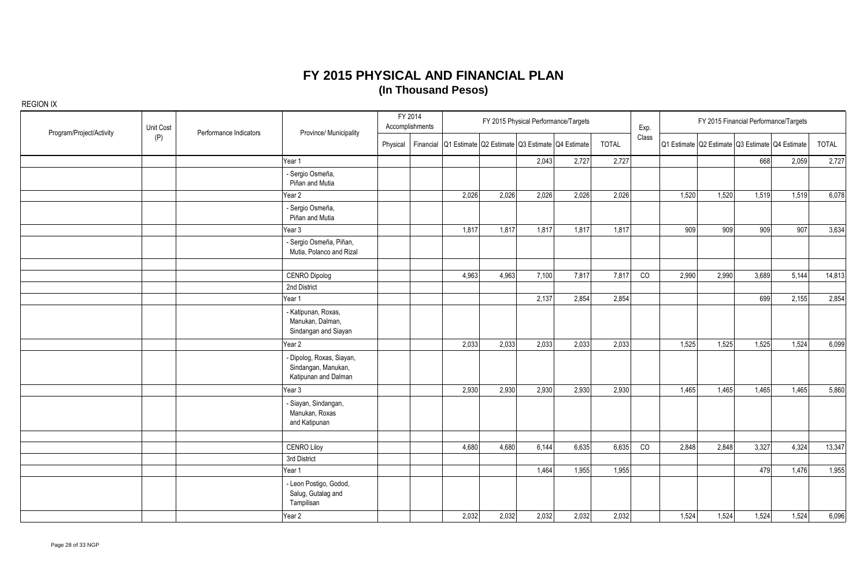| Program/Project/Activity | Unit Cost | Performance Indicators | Province/ Municipality                                                   |          | FY 2014<br>Accomplishments |                                                           |       | FY 2015 Physical Performance/Targets |       |       | Exp.  |       |       | FY 2015 Financial Performance/Targets           |       |        |
|--------------------------|-----------|------------------------|--------------------------------------------------------------------------|----------|----------------------------|-----------------------------------------------------------|-------|--------------------------------------|-------|-------|-------|-------|-------|-------------------------------------------------|-------|--------|
|                          | (P)       |                        |                                                                          | Physical |                            | Financial Q1 Estimate Q2 Estimate Q3 Estimate Q4 Estimate |       |                                      |       | TOTAL | Class |       |       | Q1 Estimate Q2 Estimate Q3 Estimate Q4 Estimate |       | TOTAL  |
|                          |           |                        | Year 1                                                                   |          |                            |                                                           |       | 2,043                                | 2,727 | 2,727 |       |       |       | 668                                             | 2,059 | 2,727  |
|                          |           |                        | - Sergio Osmeña,<br>Piñan and Mutia                                      |          |                            |                                                           |       |                                      |       |       |       |       |       |                                                 |       |        |
|                          |           |                        | Year 2                                                                   |          |                            | 2,026                                                     | 2,026 | 2,026                                | 2,026 | 2,026 |       | 1,520 | 1,520 | 1,519                                           | 1,519 | 6,078  |
|                          |           |                        | - Sergio Osmeña,<br>Piñan and Mutia                                      |          |                            |                                                           |       |                                      |       |       |       |       |       |                                                 |       |        |
|                          |           |                        | Year 3                                                                   |          |                            | 1,817                                                     | 1,817 | 1,817                                | 1,817 | 1,817 |       | 909   | 909   | 909                                             | 907   | 3,634  |
|                          |           |                        | - Sergio Osmeña, Piñan,<br>Mutia, Polanco and Rizal                      |          |                            |                                                           |       |                                      |       |       |       |       |       |                                                 |       |        |
|                          |           |                        | <b>CENRO Dipolog</b>                                                     |          |                            | 4,963                                                     | 4,963 | 7,100                                | 7,817 | 7,817 | CO    | 2,990 | 2,990 | 3,689                                           | 5,144 | 14,813 |
|                          |           |                        | 2nd District                                                             |          |                            |                                                           |       |                                      |       |       |       |       |       |                                                 |       |        |
|                          |           |                        | Year 1                                                                   |          |                            |                                                           |       | 2,137                                | 2,854 | 2,854 |       |       |       | 699                                             | 2,155 | 2,854  |
|                          |           |                        | - Katipunan, Roxas,<br>Manukan, Dalman,<br>Sindangan and Siayan          |          |                            |                                                           |       |                                      |       |       |       |       |       |                                                 |       |        |
|                          |           |                        | Year 2                                                                   |          |                            | 2,033                                                     | 2,033 | 2,033                                | 2,033 | 2,033 |       | 1,525 | 1,525 | 1,525                                           | 1,524 | 6,099  |
|                          |           |                        | - Dipolog, Roxas, Siayan,<br>Sindangan, Manukan,<br>Katipunan and Dalman |          |                            |                                                           |       |                                      |       |       |       |       |       |                                                 |       |        |
|                          |           |                        | Year 3                                                                   |          |                            | 2,930                                                     | 2,930 | 2,930                                | 2,930 | 2,930 |       | 1,465 | 1,465 | 1,465                                           | 1,465 | 5,860  |
|                          |           |                        | - Siayan, Sindangan,<br>Manukan, Roxas<br>and Katipunan                  |          |                            |                                                           |       |                                      |       |       |       |       |       |                                                 |       |        |
|                          |           |                        |                                                                          |          |                            |                                                           |       |                                      |       |       |       |       |       |                                                 |       |        |
|                          |           |                        | <b>CENRO Liloy</b>                                                       |          |                            | 4,680                                                     | 4,680 | 6,144                                | 6,635 | 6,635 | CO    | 2,848 | 2,848 | 3,327                                           | 4,324 | 13,347 |
|                          |           |                        | 3rd District                                                             |          |                            |                                                           |       |                                      |       |       |       |       |       |                                                 |       |        |
|                          |           |                        | Year 1                                                                   |          |                            |                                                           |       | 1,464                                | 1,955 | 1,955 |       |       |       | 479                                             | 1,476 | 1,955  |
|                          |           |                        | - Leon Postigo, Godod,<br>Salug, Gutalag and<br>Tampilisan               |          |                            |                                                           |       |                                      |       |       |       |       |       |                                                 |       |        |
|                          |           |                        | Year 2                                                                   |          |                            | 2,032                                                     | 2,032 | 2,032                                | 2,032 | 2,032 |       | 1,524 | 1,524 | 1,524                                           | 1,524 | 6,096  |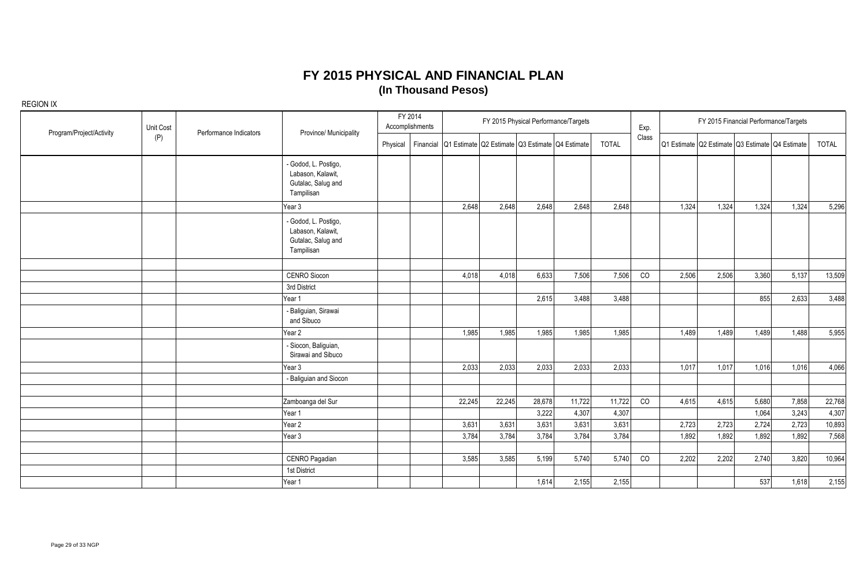| Program/Project/Activity | Unit Cost | Performance Indicators | Province/ Municipality                                                        |          | FY 2014<br>Accomplishments |                                                           |        | FY 2015 Physical Performance/Targets |        |              | Exp.  |       |       | FY 2015 Financial Performance/Targets           |       |              |
|--------------------------|-----------|------------------------|-------------------------------------------------------------------------------|----------|----------------------------|-----------------------------------------------------------|--------|--------------------------------------|--------|--------------|-------|-------|-------|-------------------------------------------------|-------|--------------|
|                          | (P)       |                        |                                                                               | Physical |                            | Financial Q1 Estimate Q2 Estimate Q3 Estimate Q4 Estimate |        |                                      |        | <b>TOTAL</b> | Class |       |       | Q1 Estimate Q2 Estimate Q3 Estimate Q4 Estimate |       | <b>TOTAL</b> |
|                          |           |                        | - Godod, L. Postigo,<br>Labason, Kalawit,<br>Gutalac, Salug and<br>Tampilisan |          |                            |                                                           |        |                                      |        |              |       |       |       |                                                 |       |              |
|                          |           |                        | Year 3                                                                        |          |                            | 2,648                                                     | 2,648  | 2,648                                | 2,648  | 2,648        |       | 1,324 | 1,324 | 1,324                                           | 1,324 | 5,296        |
|                          |           |                        | - Godod, L. Postigo,<br>Labason, Kalawit,<br>Gutalac, Salug and<br>Tampilisan |          |                            |                                                           |        |                                      |        |              |       |       |       |                                                 |       |              |
|                          |           |                        |                                                                               |          |                            |                                                           |        |                                      |        |              |       |       |       |                                                 |       |              |
|                          |           |                        | <b>CENRO Siocon</b>                                                           |          |                            | 4,018                                                     | 4,018  | 6,633                                | 7,506  | 7,506        | CO    | 2,506 | 2,506 | 3,360                                           | 5,137 | 13,509       |
|                          |           |                        | 3rd District                                                                  |          |                            |                                                           |        |                                      |        |              |       |       |       |                                                 |       |              |
|                          |           |                        | Year 1                                                                        |          |                            |                                                           |        | 2,615                                | 3,488  | 3,488        |       |       |       | 855                                             | 2,633 | 3,488        |
|                          |           |                        | - Baliguian, Sirawai<br>and Sibuco                                            |          |                            |                                                           |        |                                      |        |              |       |       |       |                                                 |       |              |
|                          |           |                        | Year 2                                                                        |          |                            | 1,985                                                     | 1,985  | 1,985                                | 1,985  | 1,985        |       | 1,489 | 1.489 | 1.489                                           | 1,488 | 5,955        |
|                          |           |                        | - Siocon, Baliguian,<br>Sirawai and Sibuco                                    |          |                            |                                                           |        |                                      |        |              |       |       |       |                                                 |       |              |
|                          |           |                        | Year 3                                                                        |          |                            | 2,033                                                     | 2,033  | 2,033                                | 2,033  | 2,033        |       | 1,017 | 1,017 | 1,016                                           | 1,016 | 4,066        |
|                          |           |                        | - Baliguian and Siocon                                                        |          |                            |                                                           |        |                                      |        |              |       |       |       |                                                 |       |              |
|                          |           |                        |                                                                               |          |                            |                                                           |        |                                      |        |              |       |       |       |                                                 |       |              |
|                          |           |                        | Zamboanga del Sur                                                             |          |                            | 22,245                                                    | 22,245 | 28,678                               | 11,722 | 11,722       | CO    | 4,615 | 4,615 | 5,680                                           | 7,858 | 22,768       |
|                          |           |                        | Year 1                                                                        |          |                            |                                                           |        | 3,222                                | 4,307  | 4,307        |       |       |       | 1,064                                           | 3,243 | 4,307        |
|                          |           |                        | Year 2                                                                        |          |                            | 3,631                                                     | 3,631  | 3,631                                | 3,631  | 3,631        |       | 2,723 | 2,723 | 2,724                                           | 2,723 | 10,893       |
|                          |           |                        | Year 3                                                                        |          |                            | 3,784                                                     | 3,784  | 3,784                                | 3,784  | 3,784        |       | 1,892 | 1,892 | 1,892                                           | 1,892 | 7,568        |
|                          |           |                        |                                                                               |          |                            |                                                           |        |                                      |        |              |       |       |       |                                                 |       |              |
|                          |           |                        | CENRO Pagadian                                                                |          |                            | 3,585                                                     | 3,585  | 5,199                                | 5,740  | 5,740        | CO    | 2,202 | 2,202 | 2,740                                           | 3,820 | 10,964       |
|                          |           |                        | 1st District                                                                  |          |                            |                                                           |        |                                      |        |              |       |       |       |                                                 |       |              |
|                          |           |                        | Year 1                                                                        |          |                            |                                                           |        | 1,614                                | 2,155  | 2,155        |       |       |       | 537                                             | 1,618 | 2,155        |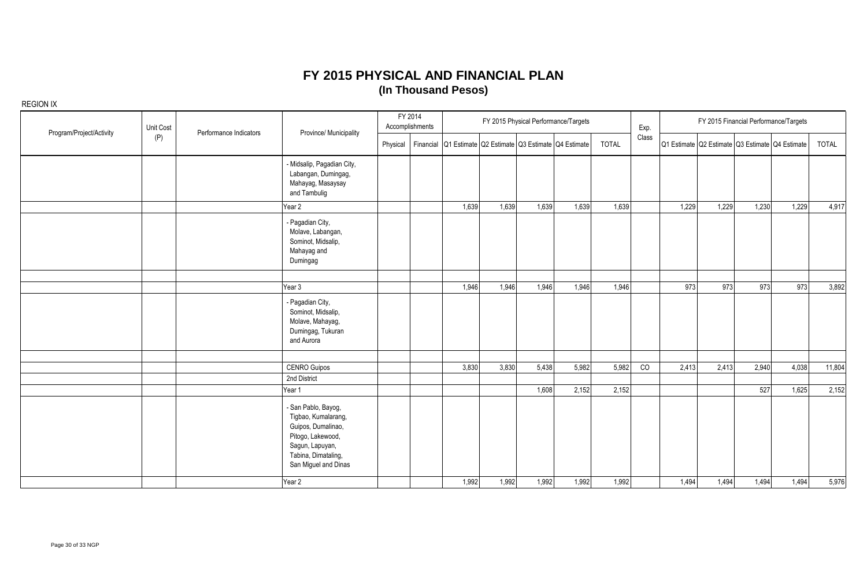| Program/Project/Activity | Unit Cost | Performance Indicators | Province/ Municipality                                                                                                                                  |          | FY 2014<br>Accomplishments |                                                           |       | FY 2015 Physical Performance/Targets |       |              | Exp.  |       |       |       | FY 2015 Financial Performance/Targets           |              |
|--------------------------|-----------|------------------------|---------------------------------------------------------------------------------------------------------------------------------------------------------|----------|----------------------------|-----------------------------------------------------------|-------|--------------------------------------|-------|--------------|-------|-------|-------|-------|-------------------------------------------------|--------------|
|                          | (P)       |                        |                                                                                                                                                         | Physical |                            | Financial Q1 Estimate Q2 Estimate Q3 Estimate Q4 Estimate |       |                                      |       | <b>TOTAL</b> | Class |       |       |       | Q1 Estimate Q2 Estimate Q3 Estimate Q4 Estimate | <b>TOTAL</b> |
|                          |           |                        | - Midsalip, Pagadian City,<br>Labangan, Dumingag,<br>Mahayag, Masaysay<br>and Tambulig                                                                  |          |                            |                                                           |       |                                      |       |              |       |       |       |       |                                                 |              |
|                          |           |                        | Year 2                                                                                                                                                  |          |                            | 1,639                                                     | 1,639 | 1,639                                | 1,639 | 1,639        |       | 1,229 | 1,229 | 1,230 | 1,229                                           | 4,917        |
|                          |           |                        | - Pagadian City,<br>Molave, Labangan,<br>Sominot, Midsalip,<br>Mahayag and<br>Dumingag                                                                  |          |                            |                                                           |       |                                      |       |              |       |       |       |       |                                                 |              |
|                          |           |                        |                                                                                                                                                         |          |                            |                                                           |       |                                      |       |              |       |       |       |       |                                                 |              |
|                          |           |                        | Year 3                                                                                                                                                  |          |                            | 1,946                                                     | 1,946 | 1,946                                | 1,946 | 1,946        |       | 973   | 973   | 973   | 973                                             | 3,892        |
|                          |           |                        | - Pagadian City,<br>Sominot, Midsalip,<br>Molave, Mahayag,<br>Dumingag, Tukuran<br>and Aurora                                                           |          |                            |                                                           |       |                                      |       |              |       |       |       |       |                                                 |              |
|                          |           |                        |                                                                                                                                                         |          |                            |                                                           |       |                                      |       |              |       |       |       |       |                                                 |              |
|                          |           |                        | <b>CENRO Guipos</b>                                                                                                                                     |          |                            | 3,830                                                     | 3,830 | 5,438                                | 5,982 | 5,982        | CO    | 2,413 | 2,413 | 2,940 | 4,038                                           | 11,804       |
|                          |           |                        | 2nd District                                                                                                                                            |          |                            |                                                           |       |                                      |       |              |       |       |       |       |                                                 |              |
|                          |           |                        | Year 1                                                                                                                                                  |          |                            |                                                           |       | 1,608                                | 2,152 | 2,152        |       |       |       | 527   | 1,625                                           | 2,152        |
|                          |           |                        | - San Pablo, Bayog,<br>Tigbao, Kumalarang,<br>Guipos, Dumalinao,<br>Pitogo, Lakewood,<br>Sagun, Lapuyan,<br>Tabina, Dimataling,<br>San Miguel and Dinas |          |                            |                                                           |       |                                      |       |              |       |       |       |       |                                                 |              |
|                          |           |                        | Year 2                                                                                                                                                  |          |                            | 1,992                                                     | 1,992 | 1,992                                | 1,992 | 1,992        |       | 1,494 | 1,494 | 1,494 | 1,494                                           | 5,976        |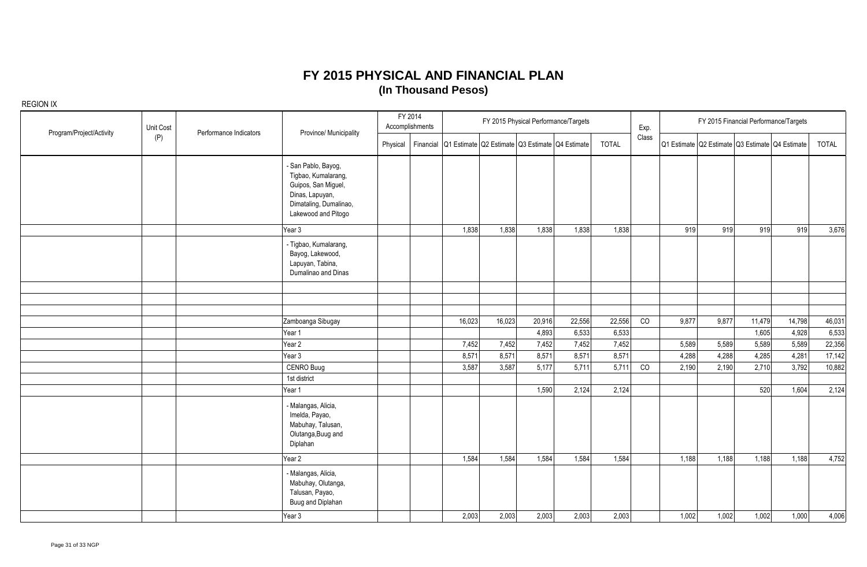| Program/Project/Activity | Unit Cost | Performance Indicators | Province/ Municipality                                                                                                                |          | FY 2014<br>Accomplishments |                                                           |        |        | FY 2015 Physical Performance/Targets |              | Exp.  |       |       | FY 2015 Financial Performance/Targets           |        |        |
|--------------------------|-----------|------------------------|---------------------------------------------------------------------------------------------------------------------------------------|----------|----------------------------|-----------------------------------------------------------|--------|--------|--------------------------------------|--------------|-------|-------|-------|-------------------------------------------------|--------|--------|
|                          | (P)       |                        |                                                                                                                                       | Physical |                            | Financial Q1 Estimate Q2 Estimate Q3 Estimate Q4 Estimate |        |        |                                      | <b>TOTAL</b> | Class |       |       | Q1 Estimate Q2 Estimate Q3 Estimate Q4 Estimate |        | TOTAL  |
|                          |           |                        | - San Pablo, Bayog,<br>Tigbao, Kumalarang,<br>Guipos, San Miguel,<br>Dinas, Lapuyan,<br>Dimataling, Dumalinao,<br>Lakewood and Pitogo |          |                            |                                                           |        |        |                                      |              |       |       |       |                                                 |        |        |
|                          |           |                        | Year 3                                                                                                                                |          |                            | 1,838                                                     | 1,838  | 1,838  | 1,838                                | 1,838        |       | 919   | 919   | 919                                             | 919    | 3,676  |
|                          |           |                        | - Tigbao, Kumalarang,<br>Bayog, Lakewood,<br>Lapuyan, Tabina,<br>Dumalinao and Dinas                                                  |          |                            |                                                           |        |        |                                      |              |       |       |       |                                                 |        |        |
|                          |           |                        |                                                                                                                                       |          |                            |                                                           |        |        |                                      |              |       |       |       |                                                 |        |        |
|                          |           |                        |                                                                                                                                       |          |                            |                                                           |        |        |                                      |              |       |       |       |                                                 |        |        |
|                          |           |                        | Zamboanga Sibugay                                                                                                                     |          |                            | 16,023                                                    | 16,023 | 20,916 | 22,556                               | 22,556       | CO    | 9,877 | 9,877 | 11,479                                          | 14,798 | 46,031 |
|                          |           |                        | Year 1                                                                                                                                |          |                            |                                                           |        | 4,893  | 6,533                                | 6,533        |       |       |       | 1,605                                           | 4,928  | 6,533  |
|                          |           |                        | Year 2                                                                                                                                |          |                            | 7,452                                                     | 7,452  | 7,452  | 7,452                                | 7,452        |       | 5,589 | 5,589 | 5,589                                           | 5,589  | 22,356 |
|                          |           |                        | Year 3                                                                                                                                |          |                            | 8,571                                                     | 8,571  | 8,571  | 8,571                                | 8,571        |       | 4,288 | 4,288 | 4,285                                           | 4,281  | 17,142 |
|                          |           |                        | CENRO Buug                                                                                                                            |          |                            | 3,587                                                     | 3,587  | 5,177  | 5,711                                | 5,711        | CO    | 2,190 | 2,190 | 2,710                                           | 3,792  | 10,882 |
|                          |           |                        | 1st district                                                                                                                          |          |                            |                                                           |        |        |                                      |              |       |       |       |                                                 |        |        |
|                          |           |                        | Year 1                                                                                                                                |          |                            |                                                           |        | 1,590  | 2,124                                | 2,124        |       |       |       | 520                                             | 1,604  | 2,124  |
|                          |           |                        | - Malangas, Alicia,<br>Imelda, Payao,<br>Mabuhay, Talusan,<br>Olutanga, Buug and<br>Diplahan                                          |          |                            |                                                           |        |        |                                      |              |       |       |       |                                                 |        |        |
|                          |           |                        | Year 2                                                                                                                                |          |                            | 1,584                                                     | 1,584  | 1,584  | 1,584                                | 1,584        |       | 1,188 | 1,188 | 1,188                                           | 1,188  | 4,752  |
|                          |           |                        | - Malangas, Alicia,<br>Mabuhay, Olutanga,<br>Talusan, Payao,<br>Buug and Diplahan                                                     |          |                            |                                                           |        |        |                                      |              |       |       |       |                                                 |        |        |
|                          |           |                        | Year 3                                                                                                                                |          |                            | 2,003                                                     | 2,003  | 2,003  | 2,003                                | 2,003        |       | 1,002 | 1,002 | 1,002                                           | 1,000  | 4,006  |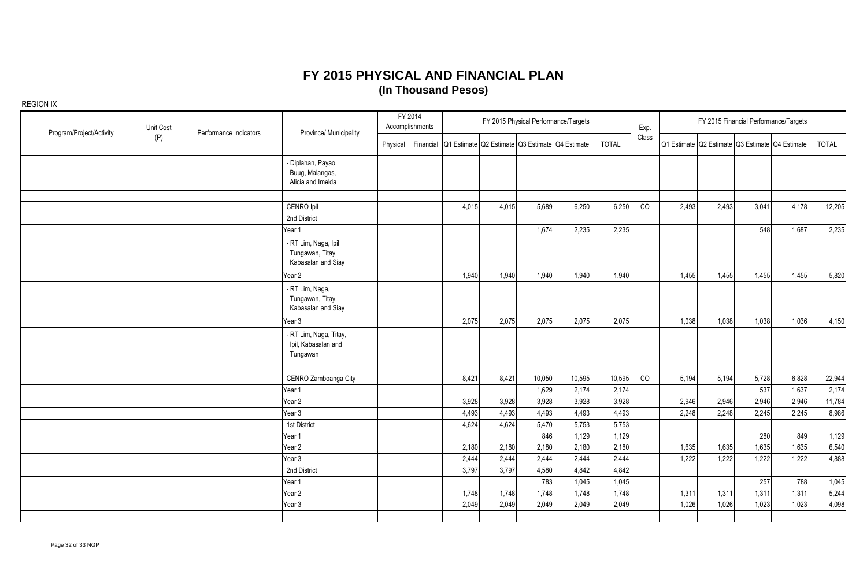| Program/Project/Activity | Unit Cost | Performance Indicators | Province/ Municipality                                         |          | FY 2014<br>Accomplishments |       |       |                 | FY 2015 Physical Performance/Targets                      |                 | Exp.  |       |                                                 |              | FY 2015 Financial Performance/Targets |                 |
|--------------------------|-----------|------------------------|----------------------------------------------------------------|----------|----------------------------|-------|-------|-----------------|-----------------------------------------------------------|-----------------|-------|-------|-------------------------------------------------|--------------|---------------------------------------|-----------------|
|                          | (P)       |                        |                                                                | Physical |                            |       |       |                 | Financial Q1 Estimate Q2 Estimate Q3 Estimate Q4 Estimate | <b>TOTAL</b>    | Class |       | Q1 Estimate Q2 Estimate Q3 Estimate Q4 Estimate |              |                                       | <b>TOTAL</b>    |
|                          |           |                        | - Diplahan, Payao,<br>Buug, Malangas,<br>Alicia and Imelda     |          |                            |       |       |                 |                                                           |                 |       |       |                                                 |              |                                       |                 |
|                          |           |                        |                                                                |          |                            |       |       |                 |                                                           |                 |       |       |                                                 |              |                                       |                 |
|                          |           |                        | CENRO Ipil                                                     |          |                            | 4,015 | 4,015 | 5,689           | 6,250                                                     | 6,250           | CO    | 2,493 | 2,493                                           | 3,041        | 4,178                                 | 12,205          |
|                          |           |                        | 2nd District                                                   |          |                            |       |       |                 |                                                           |                 |       |       |                                                 |              |                                       |                 |
|                          |           |                        | Year 1                                                         |          |                            |       |       | 1,674           | 2,235                                                     | 2,235           |       |       |                                                 | 548          | 1,687                                 | 2,235           |
|                          |           |                        | - RT Lim, Naga, Ipil<br>Tungawan, Titay,<br>Kabasalan and Siay |          |                            |       |       |                 |                                                           |                 |       |       |                                                 |              |                                       |                 |
|                          |           |                        | Year 2                                                         |          |                            | 1,940 | 1,940 | 1,940           | 1,940                                                     | 1,940           |       | 1,455 | 1,455                                           | 1,455        | 1,455                                 | 5,820           |
|                          |           |                        | - RT Lim, Naga,<br>Tungawan, Titay,<br>Kabasalan and Siay      |          |                            |       |       |                 |                                                           |                 |       |       |                                                 |              |                                       |                 |
|                          |           |                        | Year 3                                                         |          |                            | 2,075 | 2,075 | 2,075           | 2,075                                                     | 2,075           |       | 1,038 | 1,038                                           | 1,038        | 1,036                                 | 4,150           |
|                          |           |                        | - RT Lim, Naga, Titay,<br>Ipil, Kabasalan and<br>Tungawan      |          |                            |       |       |                 |                                                           |                 |       |       |                                                 |              |                                       |                 |
|                          |           |                        |                                                                |          |                            |       |       |                 |                                                           |                 |       |       |                                                 |              |                                       |                 |
|                          |           |                        | CENRO Zamboanga City<br>Year 1                                 |          |                            | 8,421 | 8,421 | 10,050<br>1,629 | 10,595<br>2,174                                           | 10,595<br>2,174 | CO    | 5,194 | 5,194                                           | 5,728<br>537 | 6,828<br>1,637                        | 22,944<br>2,174 |
|                          |           |                        | Year 2                                                         |          |                            | 3,928 | 3,928 | 3,928           | 3,928                                                     | 3,928           |       | 2,946 | 2,946                                           | 2,946        | 2,946                                 | 11,784          |
|                          |           |                        | Year 3                                                         |          |                            | 4,493 | 4,493 | 4,493           | 4,493                                                     | 4,493           |       | 2,248 | 2,248                                           | 2,245        | 2,245                                 | 8,986           |
|                          |           |                        | 1st District                                                   |          |                            | 4,624 | 4,624 | 5,470           | 5,753                                                     | 5,753           |       |       |                                                 |              |                                       |                 |
|                          |           |                        | Year 1                                                         |          |                            |       |       | 846             | 1,129                                                     | 1,129           |       |       |                                                 | 280          | 849                                   | 1,129           |
|                          |           |                        | Year 2                                                         |          |                            | 2,180 | 2,180 | 2,180           | 2,180                                                     | 2,180           |       | 1,635 | 1,635                                           | 1,635        | 1,635                                 | 6,540           |
|                          |           |                        | Year 3                                                         |          |                            | 2,444 | 2,444 | 2,444           | 2,444                                                     | 2,444           |       | 1,222 | 1,222                                           | 1,222        | 1,222                                 | 4,888           |
|                          |           |                        | 2nd District                                                   |          |                            | 3,797 | 3,797 | 4,580           | 4,842                                                     | 4,842           |       |       |                                                 |              |                                       |                 |
|                          |           |                        | Year 1                                                         |          |                            |       |       | 783             | 1,045                                                     | 1,045           |       |       |                                                 | 257          | 788                                   | 1,045           |
|                          |           |                        | Year <sub>2</sub>                                              |          |                            | 1,748 | 1,748 | 1,748           | 1,748                                                     | 1,748           |       | 1,311 | 1,311                                           | 1,311        | 1,311                                 | 5,244           |
|                          |           |                        | Year 3                                                         |          |                            | 2,049 | 2,049 | 2,049           | 2,049                                                     | 2,049           |       | 1,026 | 1,026                                           | 1,023        | 1,023                                 | 4,098           |
|                          |           |                        |                                                                |          |                            |       |       |                 |                                                           |                 |       |       |                                                 |              |                                       |                 |